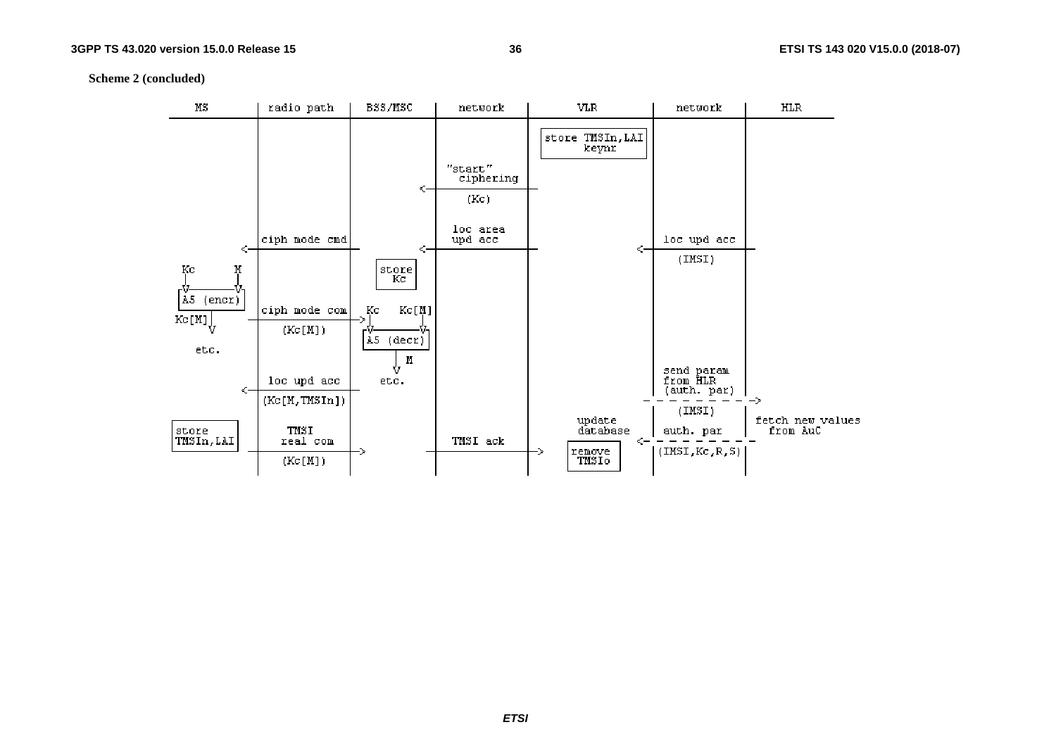**Scheme 2 (concluded)**

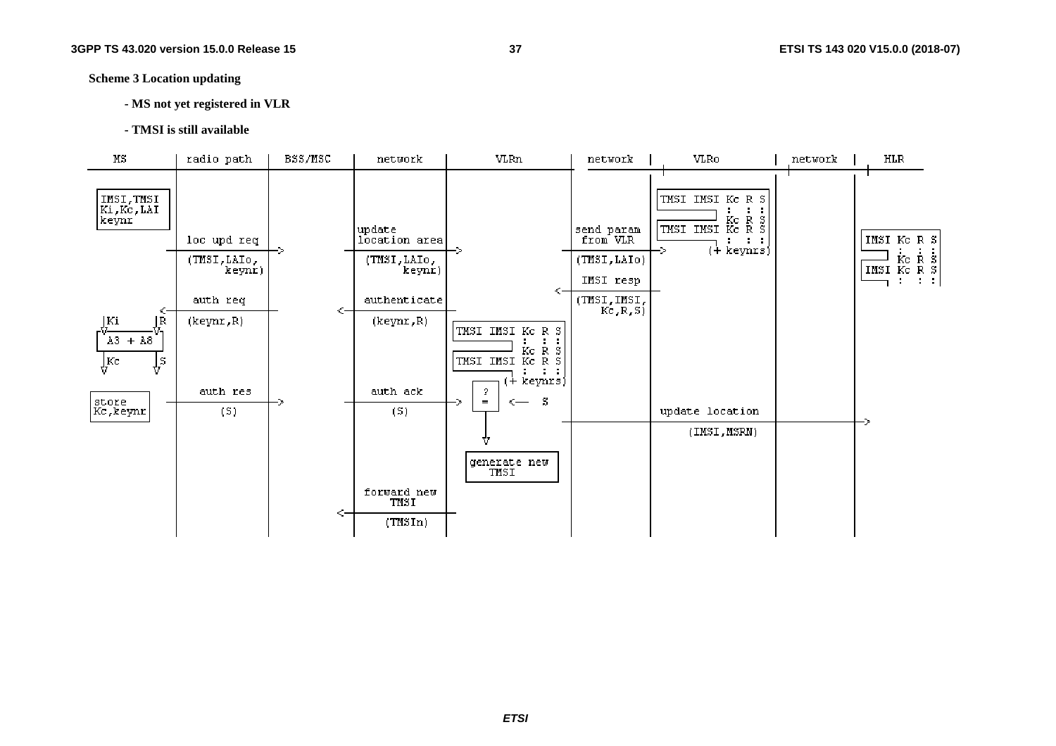**Scheme 3 Location updating** 

- **MS not yet registered in VLR**
- **TMSI is still available**

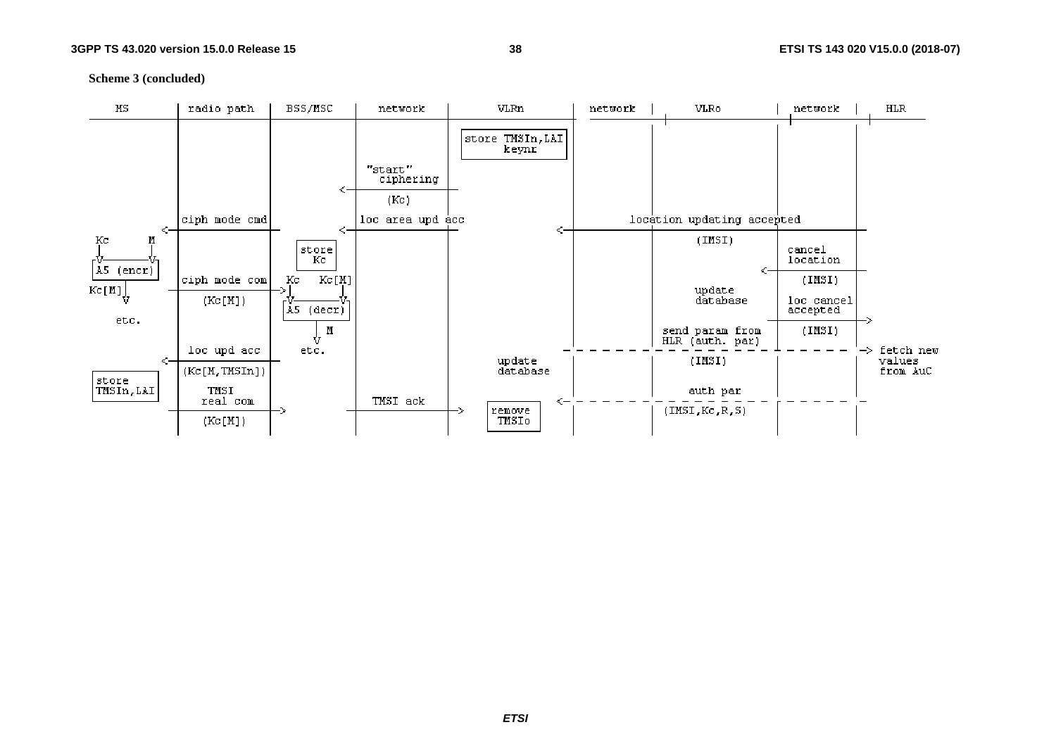**Scheme 3 (concluded)**

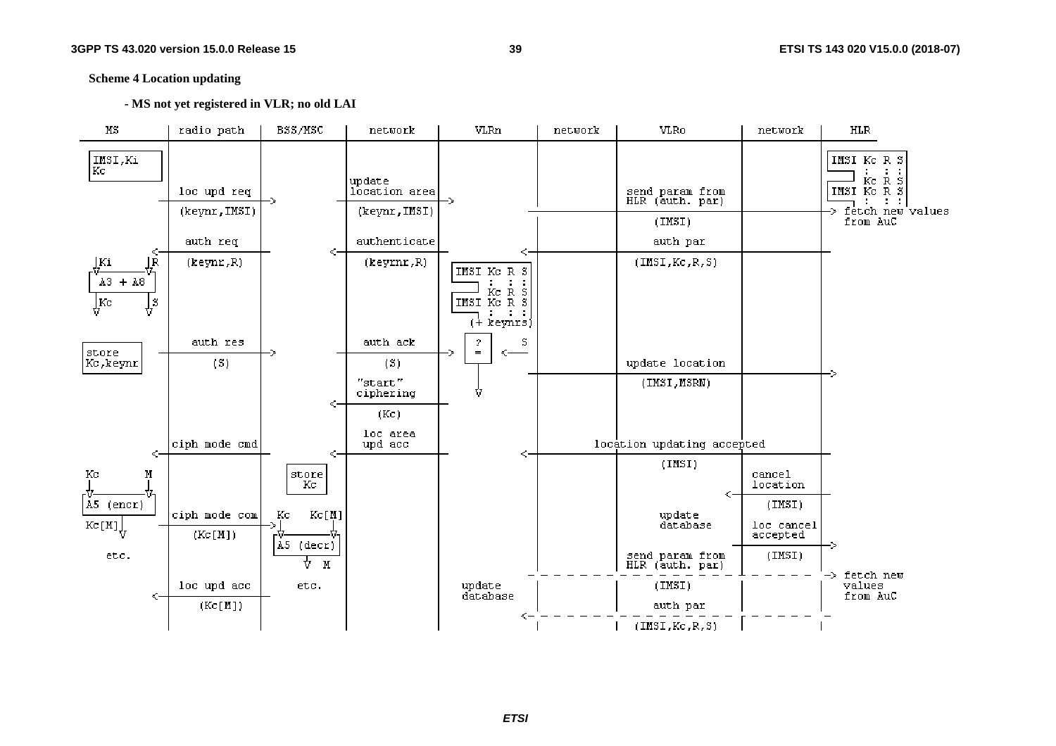#### **Scheme 4 Location updating**

 **- MS not yet registered in VLR; no old LAI** 

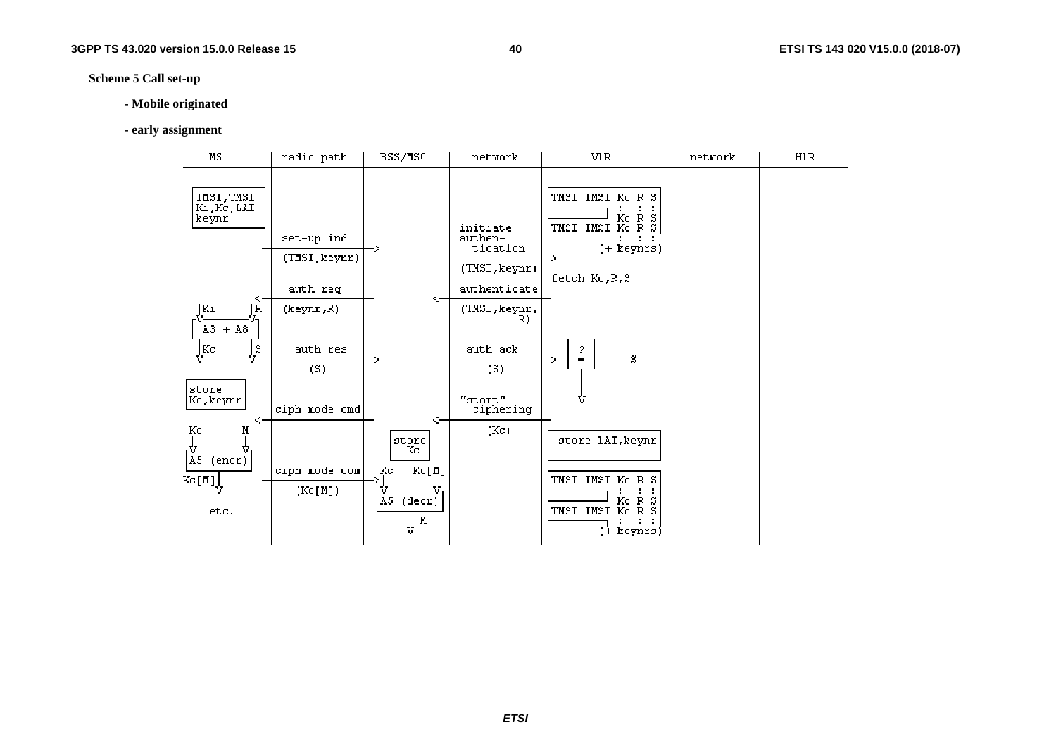### **Scheme 5 Call set-up**

#### **- Mobile originated**

#### **- early assignment**

| $_{\rm MS}$                                            | radio path                              | BSS/MSC                                                        | network                                                          | VLR                                                                                                                                          | network | <b>HLR</b> |
|--------------------------------------------------------|-----------------------------------------|----------------------------------------------------------------|------------------------------------------------------------------|----------------------------------------------------------------------------------------------------------------------------------------------|---------|------------|
| IMSI, TMSI<br>Ki, Kc, LAI<br>keynr                     | set-up ind<br>(TMSI, keynr)<br>auth req |                                                                | initiate<br>authen-<br>tication<br>(TMSI, keynr)<br>authenticate | TMSI IMSI KC R S<br>$\begin{array}{c} \vdots \ \vdots \ \mathbb{R} \end{array}$ s<br>KC TMSI IMSI KC<br>$(+$ keynrs)<br>-><br>fetch Kc, R, S |         |            |
| <.<br>Ki<br>ΙR<br>$A3 + A8$                            | (keynr, R)                              | <-                                                             | (TMSI, keynr,<br>R)                                              |                                                                                                                                              |         |            |
| $\int\limits_{\Omega}$ Kc<br>$\Downarrow^{\mathtt{S}}$ | auth res<br>(S)                         |                                                                | auth ack<br>(S)                                                  | 2.<br>S<br>$=$<br>∾                                                                                                                          |         |            |
| store<br>Kc, keynr<br><-                               | ciph mode cmd                           | <−                                                             | "start"<br>ciphering                                             |                                                                                                                                              |         |            |
| Кc<br>Μ<br>A5 (encr)<br>Kc[M]<br>etc.                  | ciph mode com <br>(Kc[M])               | store<br>Кc<br>Kc<br>Kc[M]<br>A5.<br>$(\text{decr})$<br>M<br>Ů | (Kc)                                                             | store LAI, keynr<br>TMSI IMSI KC R S<br>Кc<br>R<br>s<br>TMSI IMSI Kc<br>R S<br>(+ keynrs)                                                    |         |            |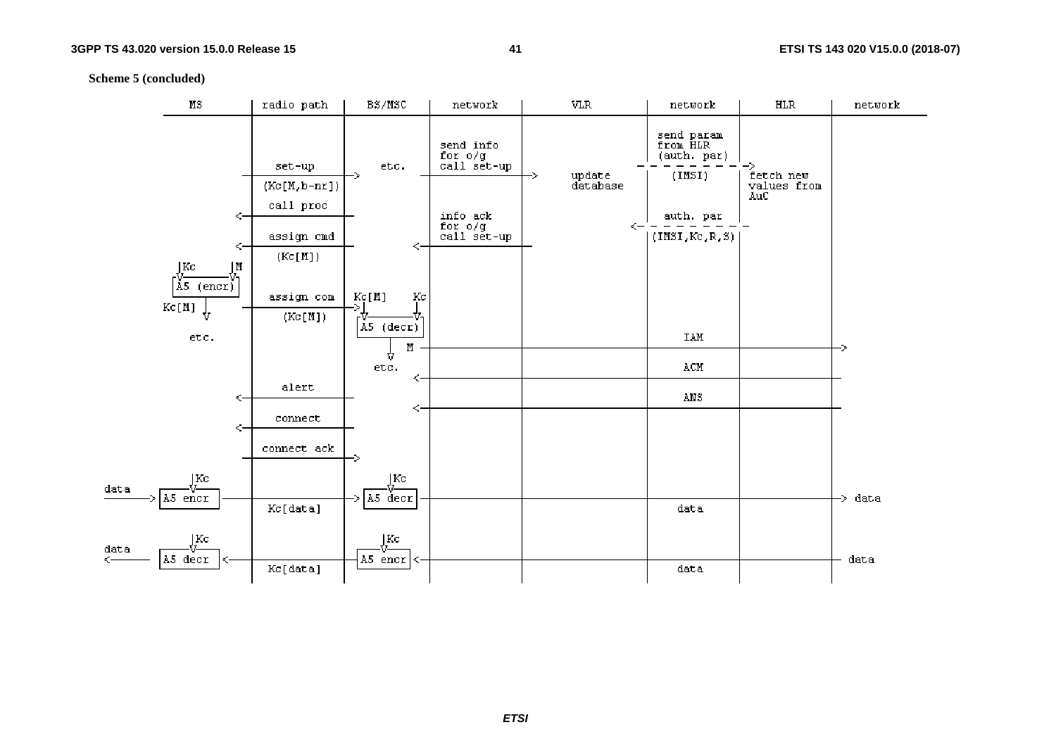#### **Scheme 5 (concluded)**

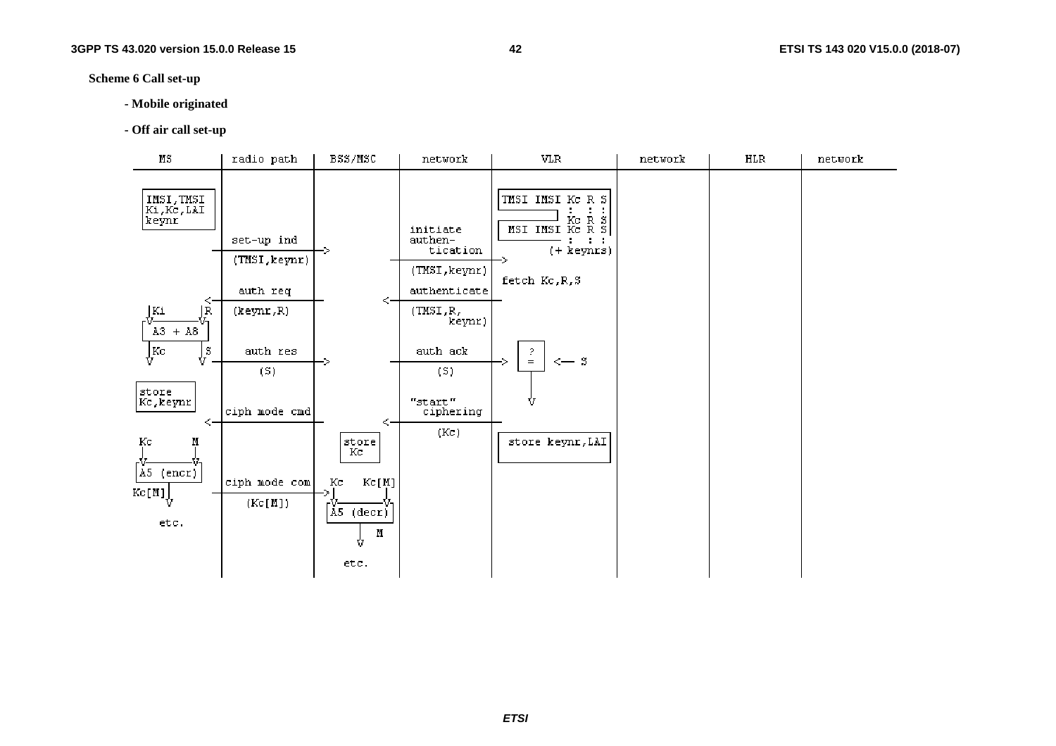#### **Scheme 6 Call set-up**

- **Mobile originated**
- **Off air call set-up**

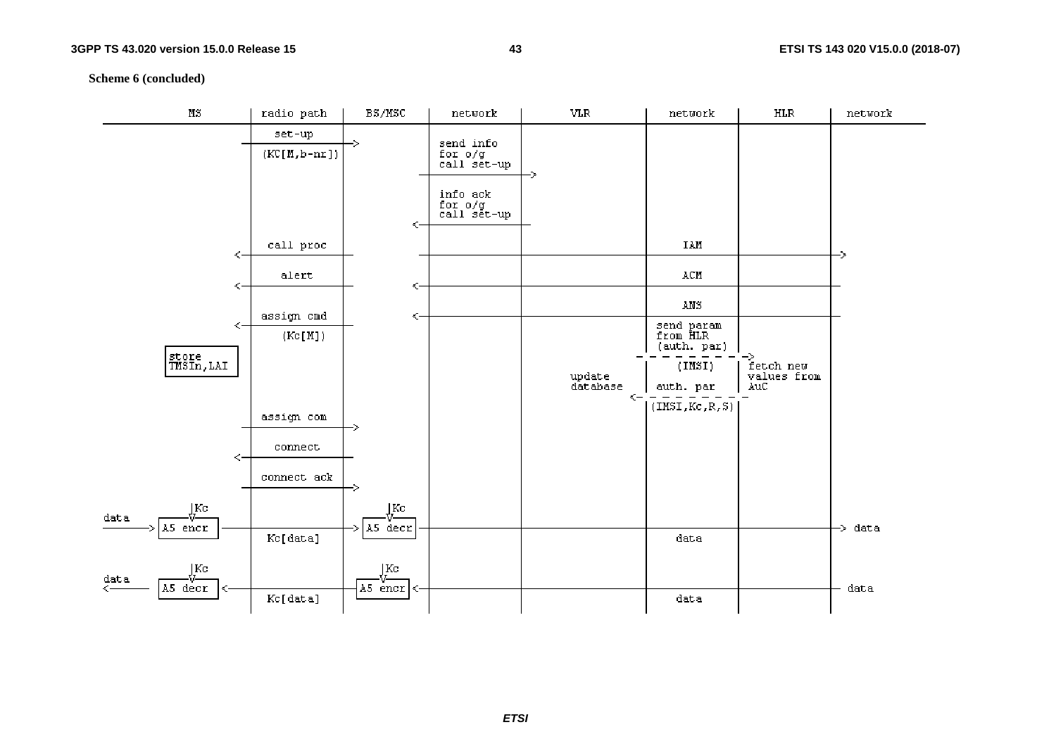**Scheme 6 (concluded)**

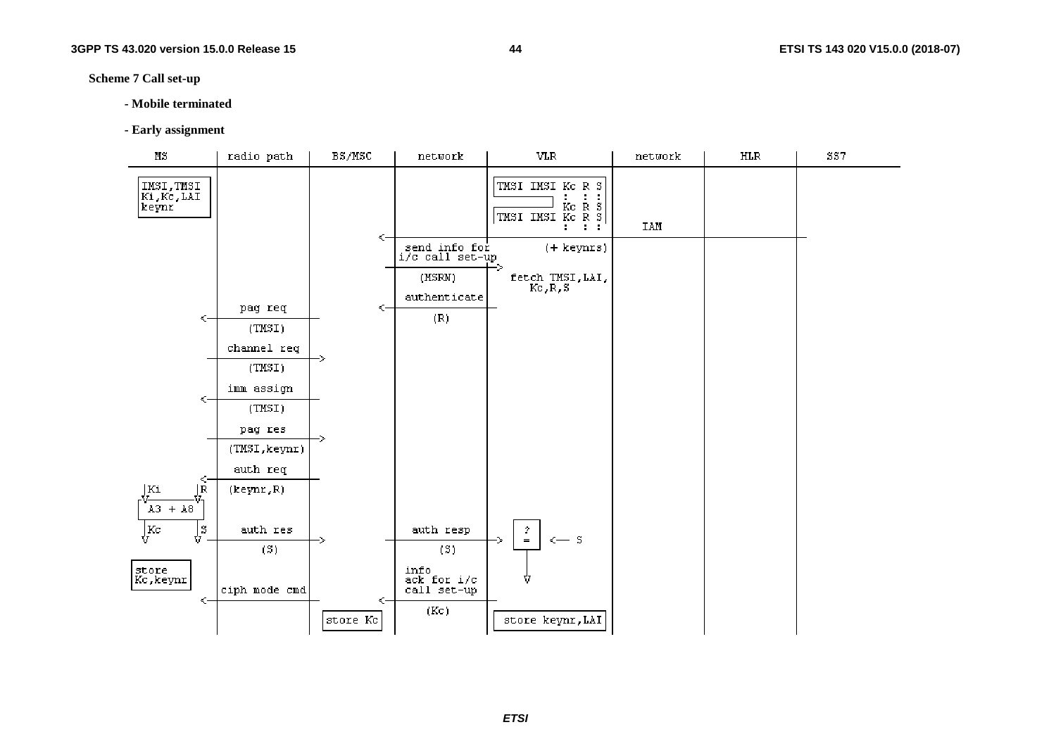#### **Scheme 7 Call set-up**

#### **- Mobile terminated**

#### **- Early assignment**

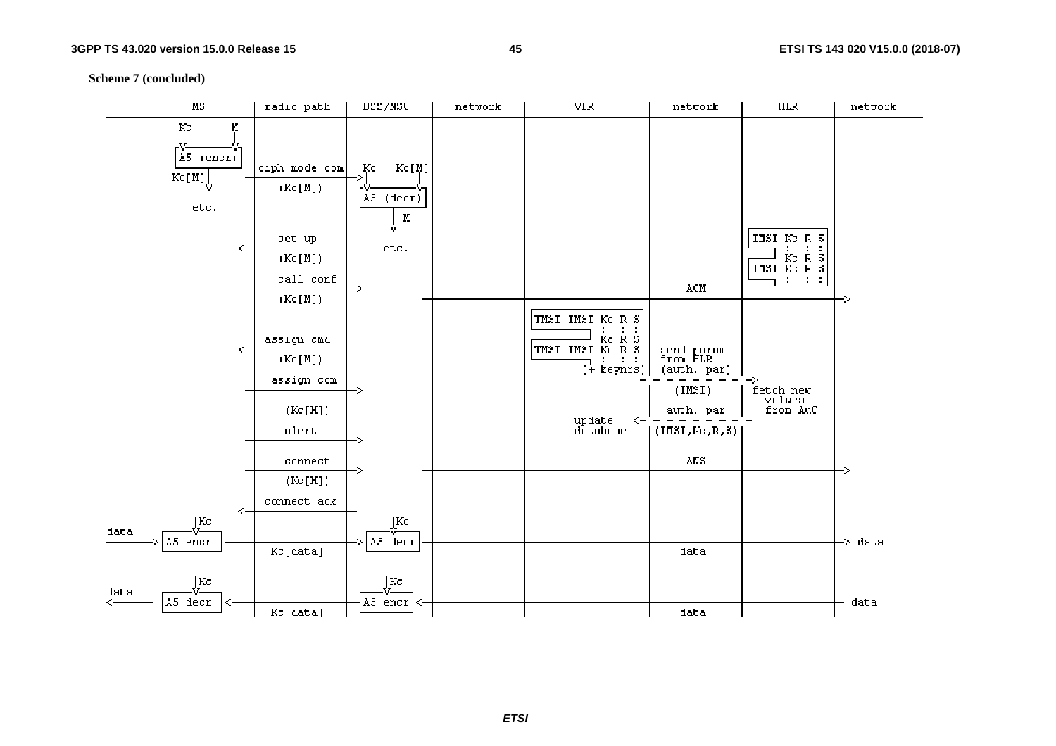**Scheme 7 (concluded)** 

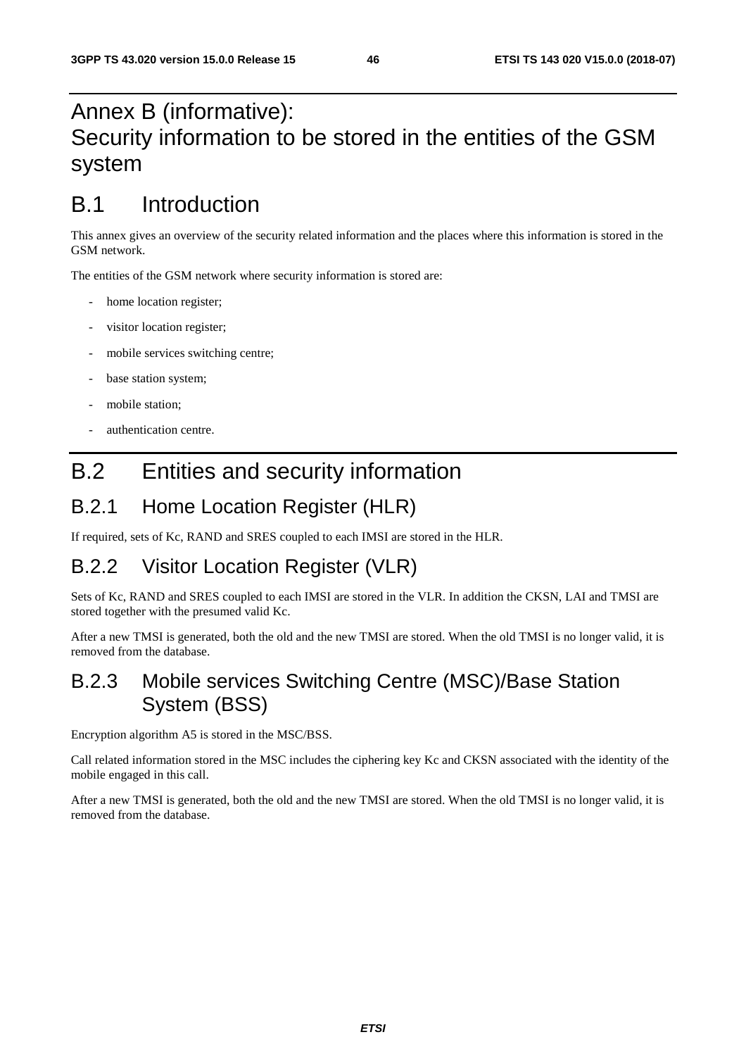# Annex B (informative): Security information to be stored in the entities of the GSM system

# B.1 Introduction

This annex gives an overview of the security related information and the places where this information is stored in the GSM network.

The entities of the GSM network where security information is stored are:

- home location register;
- visitor location register;
- mobile services switching centre;
- base station system;
- mobile station;
- authentication centre.

# B.2 Entities and security information

## B.2.1 Home Location Register (HLR)

If required, sets of Kc, RAND and SRES coupled to each IMSI are stored in the HLR.

## B.2.2 Visitor Location Register (VLR)

Sets of Kc, RAND and SRES coupled to each IMSI are stored in the VLR. In addition the CKSN, LAI and TMSI are stored together with the presumed valid Kc.

After a new TMSI is generated, both the old and the new TMSI are stored. When the old TMSI is no longer valid, it is removed from the database.

## B.2.3 Mobile services Switching Centre (MSC)/Base Station System (BSS)

Encryption algorithm A5 is stored in the MSC/BSS.

Call related information stored in the MSC includes the ciphering key Kc and CKSN associated with the identity of the mobile engaged in this call.

After a new TMSI is generated, both the old and the new TMSI are stored. When the old TMSI is no longer valid, it is removed from the database.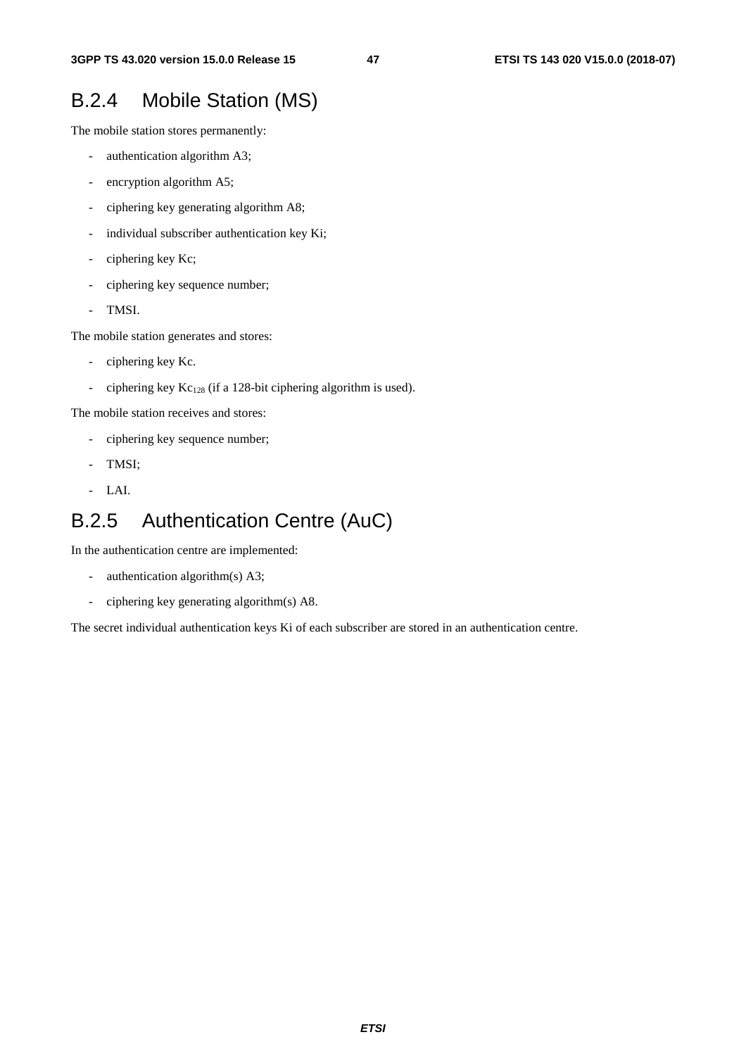## B.2.4 Mobile Station (MS)

The mobile station stores permanently:

- authentication algorithm A3;
- encryption algorithm A5;
- ciphering key generating algorithm A8;
- individual subscriber authentication key Ki;
- ciphering key Kc;
- ciphering key sequence number;
- TMSI.

The mobile station generates and stores:

- ciphering key Kc.
- ciphering key  $Kc_{128}$  (if a 128-bit ciphering algorithm is used).

The mobile station receives and stores:

- ciphering key sequence number;
- TMSI:
- LAI.

# B.2.5 Authentication Centre (AuC)

In the authentication centre are implemented:

- authentication algorithm(s) A3;
- ciphering key generating algorithm(s) A8.

The secret individual authentication keys Ki of each subscriber are stored in an authentication centre.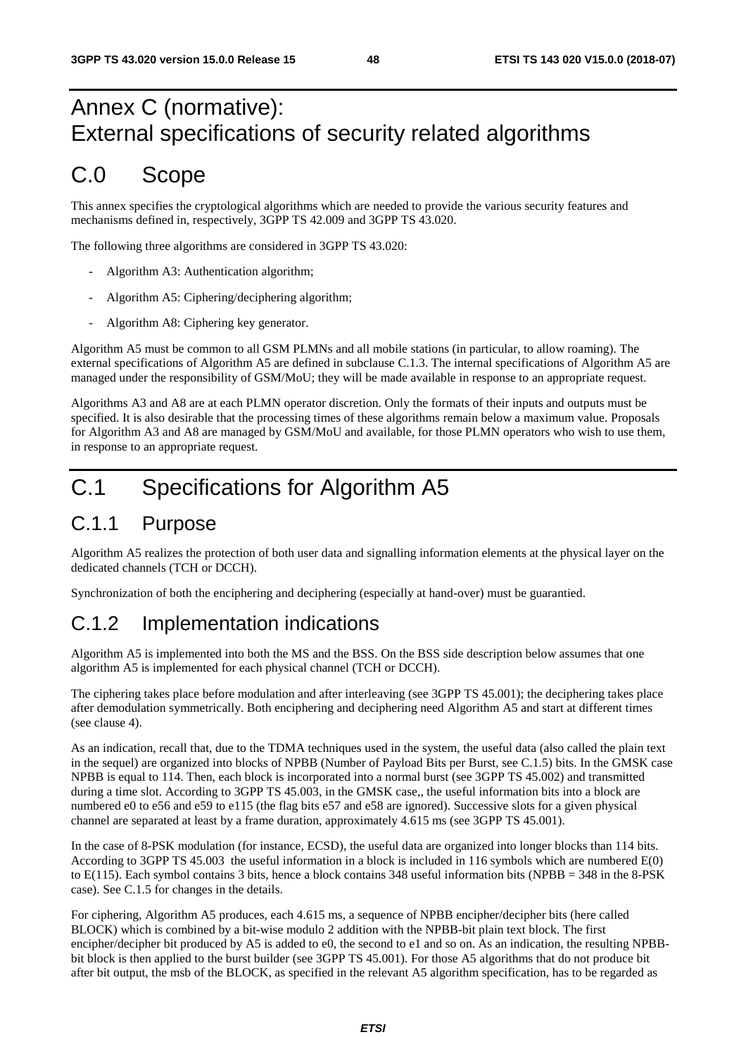# Annex C (normative): External specifications of security related algorithms

# C.0 Scope

This annex specifies the cryptological algorithms which are needed to provide the various security features and mechanisms defined in, respectively, 3GPP TS 42.009 and 3GPP TS 43.020.

The following three algorithms are considered in 3GPP TS 43.020:

- Algorithm A3: Authentication algorithm;
- Algorithm A5: Ciphering/deciphering algorithm;
- Algorithm A8: Ciphering key generator.

Algorithm A5 must be common to all GSM PLMNs and all mobile stations (in particular, to allow roaming). The external specifications of Algorithm A5 are defined in subclause C.1.3. The internal specifications of Algorithm A5 are managed under the responsibility of GSM/MoU; they will be made available in response to an appropriate request.

Algorithms A3 and A8 are at each PLMN operator discretion. Only the formats of their inputs and outputs must be specified. It is also desirable that the processing times of these algorithms remain below a maximum value. Proposals for Algorithm A3 and A8 are managed by GSM/MoU and available, for those PLMN operators who wish to use them, in response to an appropriate request.

# C.1 Specifications for Algorithm A5

## C.1.1 Purpose

Algorithm A5 realizes the protection of both user data and signalling information elements at the physical layer on the dedicated channels (TCH or DCCH).

Synchronization of both the enciphering and deciphering (especially at hand-over) must be guarantied.

## C.1.2 Implementation indications

Algorithm A5 is implemented into both the MS and the BSS. On the BSS side description below assumes that one algorithm A5 is implemented for each physical channel (TCH or DCCH).

The ciphering takes place before modulation and after interleaving (see 3GPP TS 45.001); the deciphering takes place after demodulation symmetrically. Both enciphering and deciphering need Algorithm A5 and start at different times (see clause 4).

As an indication, recall that, due to the TDMA techniques used in the system, the useful data (also called the plain text in the sequel) are organized into blocks of NPBB (Number of Payload Bits per Burst, see C.1.5) bits. In the GMSK case NPBB is equal to 114. Then, each block is incorporated into a normal burst (see 3GPP TS 45.002) and transmitted during a time slot. According to 3GPP TS 45.003, in the GMSK case,, the useful information bits into a block are numbered e0 to e56 and e59 to e115 (the flag bits e57 and e58 are ignored). Successive slots for a given physical channel are separated at least by a frame duration, approximately 4.615 ms (see 3GPP TS 45.001).

In the case of 8-PSK modulation (for instance, ECSD), the useful data are organized into longer blocks than 114 bits. According to 3GPP TS 45.003 the useful information in a block is included in 116 symbols which are numbered E(0) to E(115). Each symbol contains 3 bits, hence a block contains 348 useful information bits (NPBB = 348 in the 8-PSK case). See C.1.5 for changes in the details.

For ciphering, Algorithm A5 produces, each 4.615 ms, a sequence of NPBB encipher/decipher bits (here called BLOCK) which is combined by a bit-wise modulo 2 addition with the NPBB-bit plain text block. The first encipher/decipher bit produced by A5 is added to e0, the second to e1 and so on. As an indication, the resulting NPBBbit block is then applied to the burst builder (see 3GPP TS 45.001). For those A5 algorithms that do not produce bit after bit output, the msb of the BLOCK, as specified in the relevant A5 algorithm specification, has to be regarded as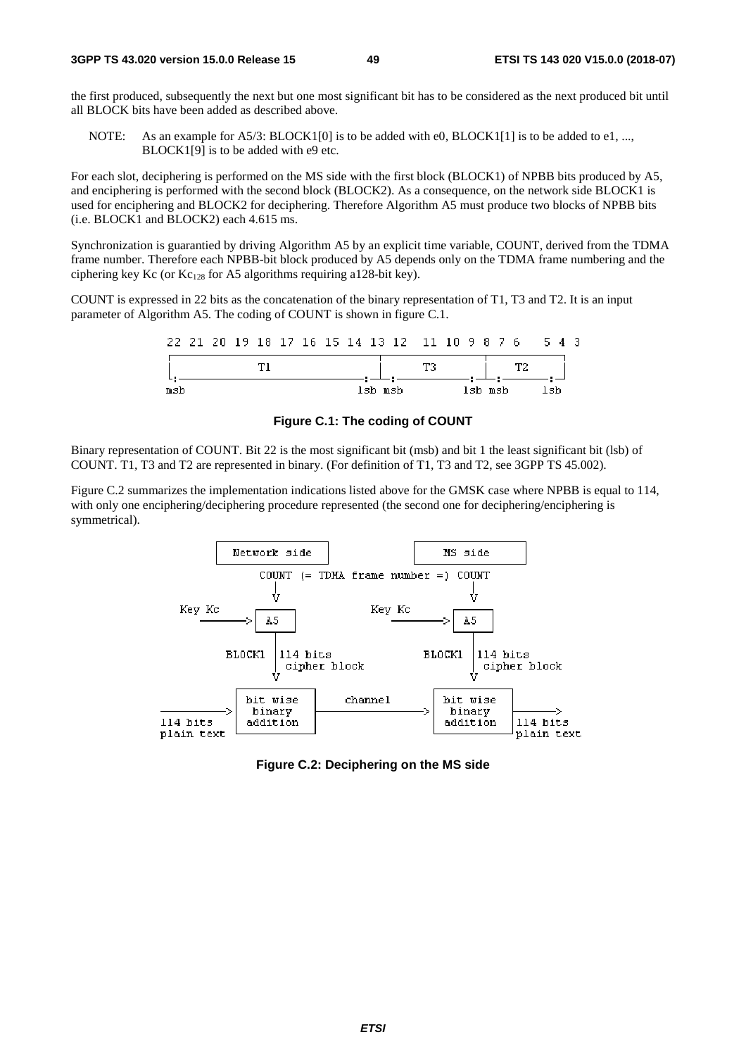the first produced, subsequently the next but one most significant bit has to be considered as the next produced bit until all BLOCK bits have been added as described above.

NOTE: As an example for  $A5/3$ : BLOCK1[0] is to be added with e0, BLOCK1[1] is to be added to e1, ..., BLOCK1[9] is to be added with e9 etc.

For each slot, deciphering is performed on the MS side with the first block (BLOCK1) of NPBB bits produced by A5, and enciphering is performed with the second block (BLOCK2). As a consequence, on the network side BLOCK1 is used for enciphering and BLOCK2 for deciphering. Therefore Algorithm A5 must produce two blocks of NPBB bits (i.e. BLOCK1 and BLOCK2) each 4.615 ms.

Synchronization is guarantied by driving Algorithm A5 by an explicit time variable, COUNT, derived from the TDMA frame number. Therefore each NPBB-bit block produced by A5 depends only on the TDMA frame numbering and the ciphering key Kc (or  $Kc_{128}$  for A5 algorithms requiring a128-bit key).

COUNT is expressed in 22 bits as the concatenation of the binary representation of T1, T3 and T2. It is an input parameter of Algorithm A5. The coding of COUNT is shown in figure C.1.

|     |  |  |  |  | 22 21 20 19 18 17 16 15 14 13 12 11 10 9 8 7 6 |    |         |  |    | 543 |  |
|-----|--|--|--|--|------------------------------------------------|----|---------|--|----|-----|--|
|     |  |  |  |  |                                                | тз |         |  | ጥን |     |  |
| msb |  |  |  |  | lsb msb                                        |    | lsb msb |  |    | lsh |  |

**Figure C.1: The coding of COUNT** 

Binary representation of COUNT. Bit 22 is the most significant bit (msb) and bit 1 the least significant bit (lsb) of COUNT. T1, T3 and T2 are represented in binary. (For definition of T1, T3 and T2, see 3GPP TS 45.002).

Figure C.2 summarizes the implementation indications listed above for the GMSK case where NPBB is equal to 114, with only one enciphering/deciphering procedure represented (the second one for deciphering/enciphering is symmetrical).



**Figure C.2: Deciphering on the MS side**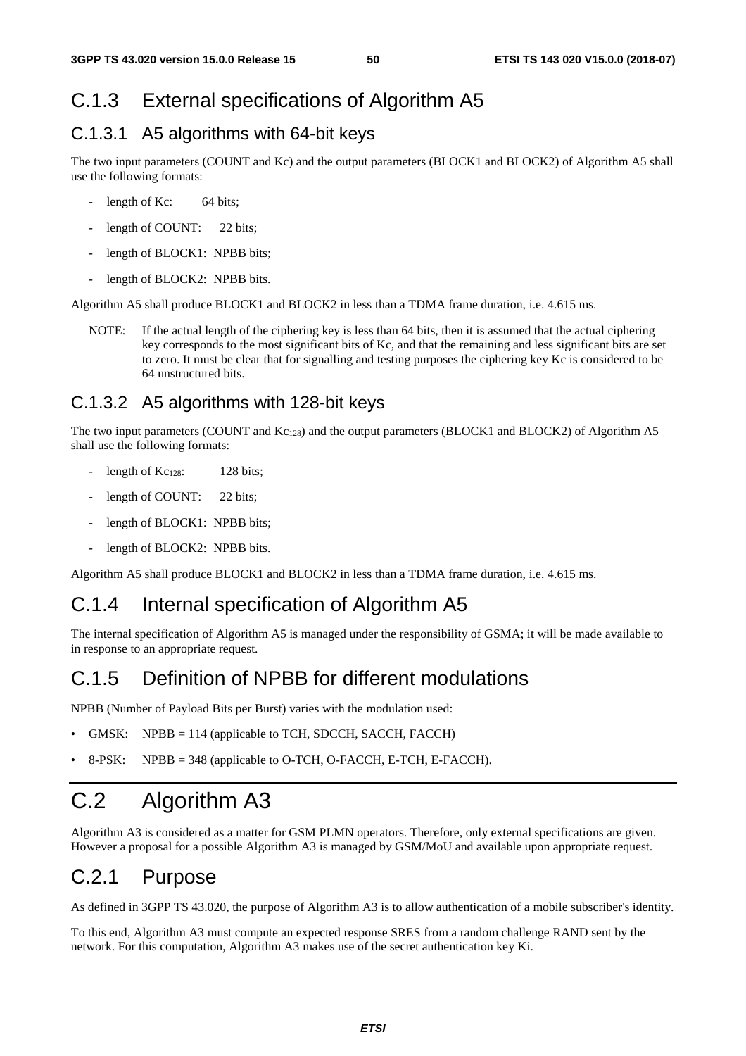### C.1.3 External specifications of Algorithm A5

### C.1.3.1 A5 algorithms with 64-bit keys

The two input parameters (COUNT and Kc) and the output parameters (BLOCK1 and BLOCK2) of Algorithm A5 shall use the following formats:

- length of Kc:  $64 \text{ bits}$ ;
- length of COUNT: 22 bits;
- length of BLOCK1: NPBB bits;
- length of BLOCK2: NPBB bits.

Algorithm A5 shall produce BLOCK1 and BLOCK2 in less than a TDMA frame duration, i.e. 4.615 ms.

NOTE: If the actual length of the ciphering key is less than 64 bits, then it is assumed that the actual ciphering key corresponds to the most significant bits of Kc, and that the remaining and less significant bits are set to zero. It must be clear that for signalling and testing purposes the ciphering key Kc is considered to be 64 unstructured bits.

### C.1.3.2 A5 algorithms with 128-bit keys

The two input parameters (COUNT and Kc<sub>128</sub>) and the output parameters (BLOCK1 and BLOCK2) of Algorithm A5 shall use the following formats:

- length of  $Kc_{128}$ : 128 bits;
- length of COUNT: 22 bits;
- length of BLOCK1: NPBB bits;
- length of BLOCK2: NPBB bits.

Algorithm A5 shall produce BLOCK1 and BLOCK2 in less than a TDMA frame duration, i.e. 4.615 ms.

## C.1.4 Internal specification of Algorithm A5

The internal specification of Algorithm A5 is managed under the responsibility of GSMA; it will be made available to in response to an appropriate request.

### C.1.5 Definition of NPBB for different modulations

NPBB (Number of Payload Bits per Burst) varies with the modulation used:

- GMSK: NPBB = 114 (applicable to TCH, SDCCH, SACCH, FACCH)
- 8-PSK: NPBB = 348 (applicable to O-TCH, O-FACCH, E-TCH, E-FACCH).

# C.2 Algorithm A3

Algorithm A3 is considered as a matter for GSM PLMN operators. Therefore, only external specifications are given. However a proposal for a possible Algorithm A3 is managed by GSM/MoU and available upon appropriate request.

### C.2.1 Purpose

As defined in 3GPP TS 43.020, the purpose of Algorithm A3 is to allow authentication of a mobile subscriber's identity.

To this end, Algorithm A3 must compute an expected response SRES from a random challenge RAND sent by the network. For this computation, Algorithm A3 makes use of the secret authentication key Ki.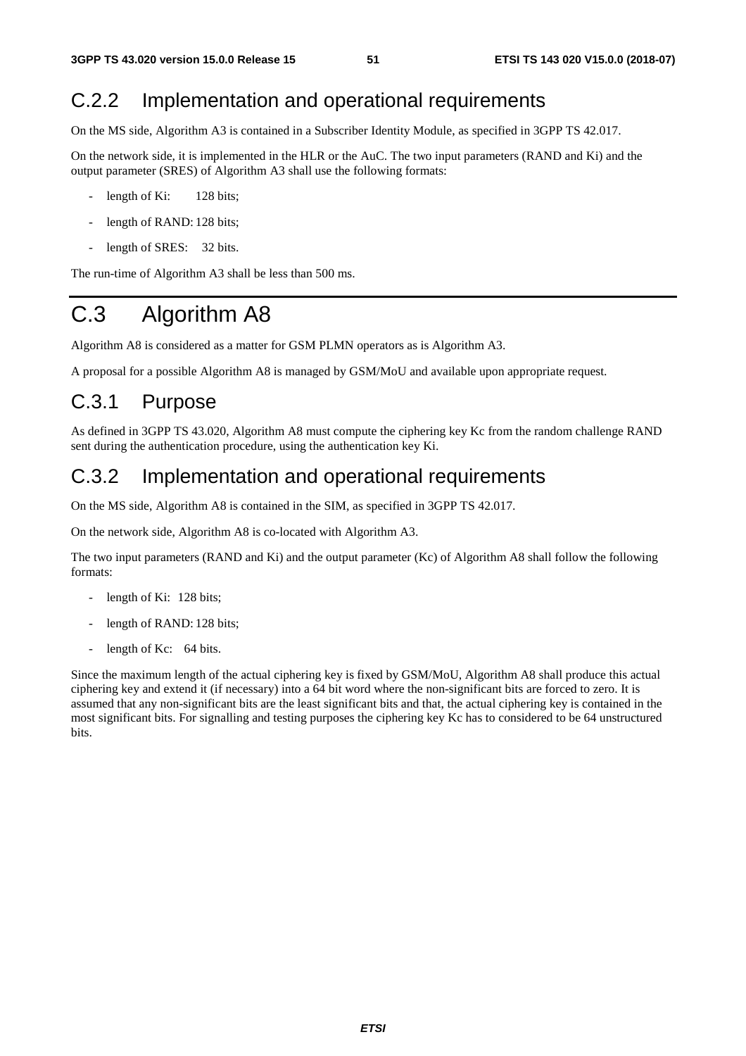## C.2.2 Implementation and operational requirements

On the MS side, Algorithm A3 is contained in a Subscriber Identity Module, as specified in 3GPP TS 42.017.

On the network side, it is implemented in the HLR or the AuC. The two input parameters (RAND and Ki) and the output parameter (SRES) of Algorithm A3 shall use the following formats:

- length of Ki:  $128 \text{ bits}$ ;
- length of RAND: 128 bits;
- length of SRES: 32 bits.

The run-time of Algorithm A3 shall be less than 500 ms.

# C.3 Algorithm A8

Algorithm A8 is considered as a matter for GSM PLMN operators as is Algorithm A3.

A proposal for a possible Algorithm A8 is managed by GSM/MoU and available upon appropriate request.

### C.3.1 Purpose

As defined in 3GPP TS 43.020, Algorithm A8 must compute the ciphering key Kc from the random challenge RAND sent during the authentication procedure, using the authentication key Ki.

### C.3.2 Implementation and operational requirements

On the MS side, Algorithm A8 is contained in the SIM, as specified in 3GPP TS 42.017.

On the network side, Algorithm A8 is co-located with Algorithm A3.

The two input parameters (RAND and Ki) and the output parameter (Kc) of Algorithm A8 shall follow the following formats:

- length of Ki: 128 bits;
- length of RAND: 128 bits;
- length of Kc:  $64 \text{ bits.}$

Since the maximum length of the actual ciphering key is fixed by GSM/MoU, Algorithm A8 shall produce this actual ciphering key and extend it (if necessary) into a 64 bit word where the non-significant bits are forced to zero. It is assumed that any non-significant bits are the least significant bits and that, the actual ciphering key is contained in the most significant bits. For signalling and testing purposes the ciphering key Kc has to considered to be 64 unstructured bits.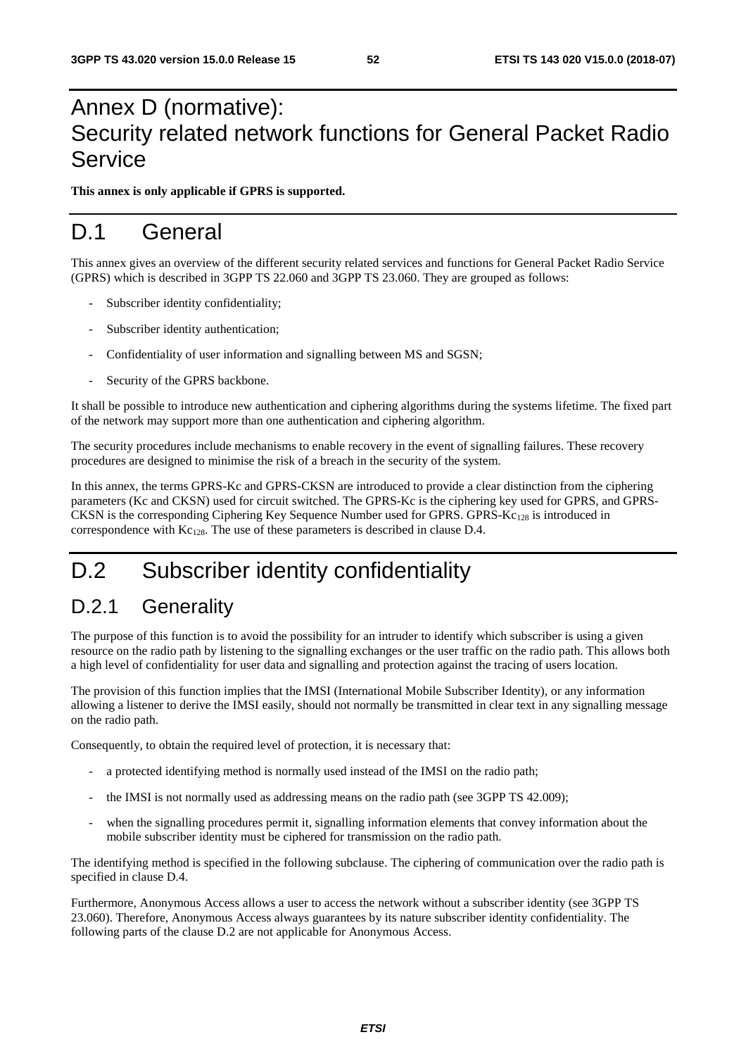# Annex D (normative): Security related network functions for General Packet Radio **Service**

**This annex is only applicable if GPRS is supported.** 

## D.1 General

This annex gives an overview of the different security related services and functions for General Packet Radio Service (GPRS) which is described in 3GPP TS 22.060 and 3GPP TS 23.060. They are grouped as follows:

- Subscriber identity confidentiality;
- Subscriber identity authentication;
- Confidentiality of user information and signalling between MS and SGSN;
- Security of the GPRS backbone.

It shall be possible to introduce new authentication and ciphering algorithms during the systems lifetime. The fixed part of the network may support more than one authentication and ciphering algorithm.

The security procedures include mechanisms to enable recovery in the event of signalling failures. These recovery procedures are designed to minimise the risk of a breach in the security of the system.

In this annex, the terms GPRS-Kc and GPRS-CKSN are introduced to provide a clear distinction from the ciphering parameters (Kc and CKSN) used for circuit switched. The GPRS-Kc is the ciphering key used for GPRS, and GPRS-CKSN is the corresponding Ciphering Key Sequence Number used for GPRS. GPRS-Kc128 is introduced in correspondence with  $Kc_{128}$ . The use of these parameters is described in clause D.4.

# D.2 Subscriber identity confidentiality

### D.2.1 Generality

The purpose of this function is to avoid the possibility for an intruder to identify which subscriber is using a given resource on the radio path by listening to the signalling exchanges or the user traffic on the radio path. This allows both a high level of confidentiality for user data and signalling and protection against the tracing of users location.

The provision of this function implies that the IMSI (International Mobile Subscriber Identity), or any information allowing a listener to derive the IMSI easily, should not normally be transmitted in clear text in any signalling message on the radio path.

Consequently, to obtain the required level of protection, it is necessary that:

- a protected identifying method is normally used instead of the IMSI on the radio path;
- the IMSI is not normally used as addressing means on the radio path (see 3GPP TS 42.009);
- when the signalling procedures permit it, signalling information elements that convey information about the mobile subscriber identity must be ciphered for transmission on the radio path.

The identifying method is specified in the following subclause. The ciphering of communication over the radio path is specified in clause D.4.

Furthermore, Anonymous Access allows a user to access the network without a subscriber identity (see 3GPP TS 23.060). Therefore, Anonymous Access always guarantees by its nature subscriber identity confidentiality. The following parts of the clause D.2 are not applicable for Anonymous Access.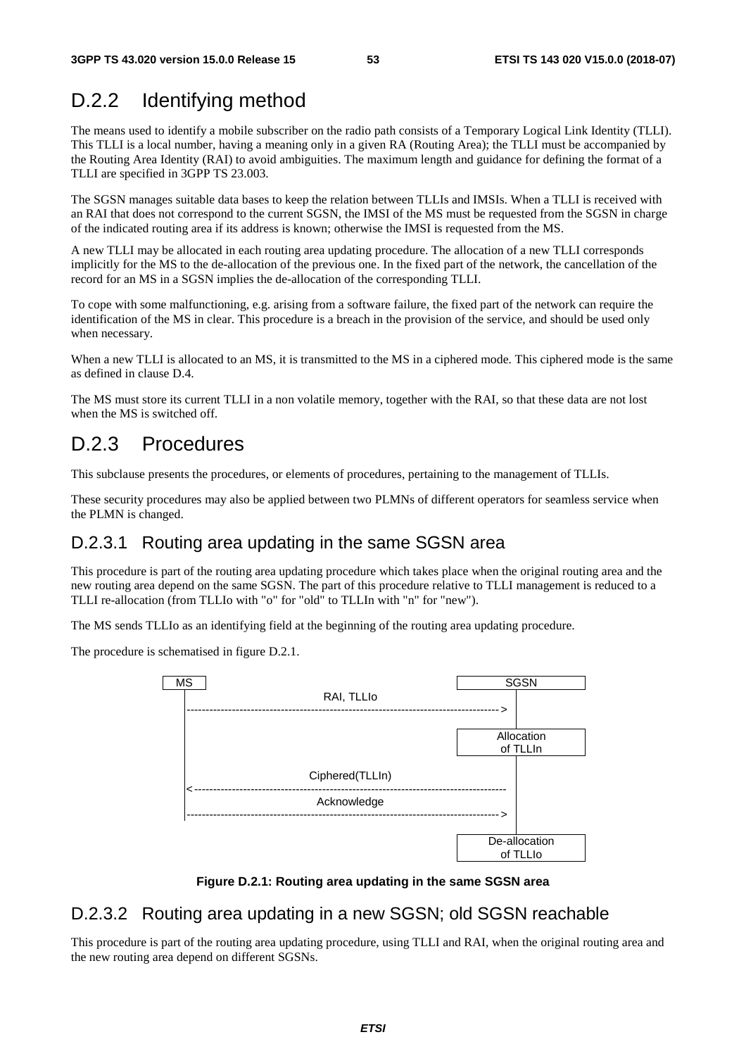## D.2.2 Identifying method

The means used to identify a mobile subscriber on the radio path consists of a Temporary Logical Link Identity (TLLI). This TLLI is a local number, having a meaning only in a given RA (Routing Area); the TLLI must be accompanied by the Routing Area Identity (RAI) to avoid ambiguities. The maximum length and guidance for defining the format of a TLLI are specified in 3GPP TS 23.003.

The SGSN manages suitable data bases to keep the relation between TLLIs and IMSIs. When a TLLI is received with an RAI that does not correspond to the current SGSN, the IMSI of the MS must be requested from the SGSN in charge of the indicated routing area if its address is known; otherwise the IMSI is requested from the MS.

A new TLLI may be allocated in each routing area updating procedure. The allocation of a new TLLI corresponds implicitly for the MS to the de-allocation of the previous one. In the fixed part of the network, the cancellation of the record for an MS in a SGSN implies the de-allocation of the corresponding TLLI.

To cope with some malfunctioning, e.g. arising from a software failure, the fixed part of the network can require the identification of the MS in clear. This procedure is a breach in the provision of the service, and should be used only when necessary.

When a new TLLI is allocated to an MS, it is transmitted to the MS in a ciphered mode. This ciphered mode is the same as defined in clause D.4.

The MS must store its current TLLI in a non volatile memory, together with the RAI, so that these data are not lost when the MS is switched off.

### D.2.3 Procedures

This subclause presents the procedures, or elements of procedures, pertaining to the management of TLLIs.

These security procedures may also be applied between two PLMNs of different operators for seamless service when the PLMN is changed.

### D.2.3.1 Routing area updating in the same SGSN area

This procedure is part of the routing area updating procedure which takes place when the original routing area and the new routing area depend on the same SGSN. The part of this procedure relative to TLLI management is reduced to a TLLI re-allocation (from TLLIo with "o" for "old" to TLLIn with "n" for "new").

The MS sends TLLIo as an identifying field at the beginning of the routing area updating procedure.

The procedure is schematised in figure D.2.1.



**Figure D.2.1: Routing area updating in the same SGSN area** 

### D.2.3.2 Routing area updating in a new SGSN; old SGSN reachable

This procedure is part of the routing area updating procedure, using TLLI and RAI, when the original routing area and the new routing area depend on different SGSNs.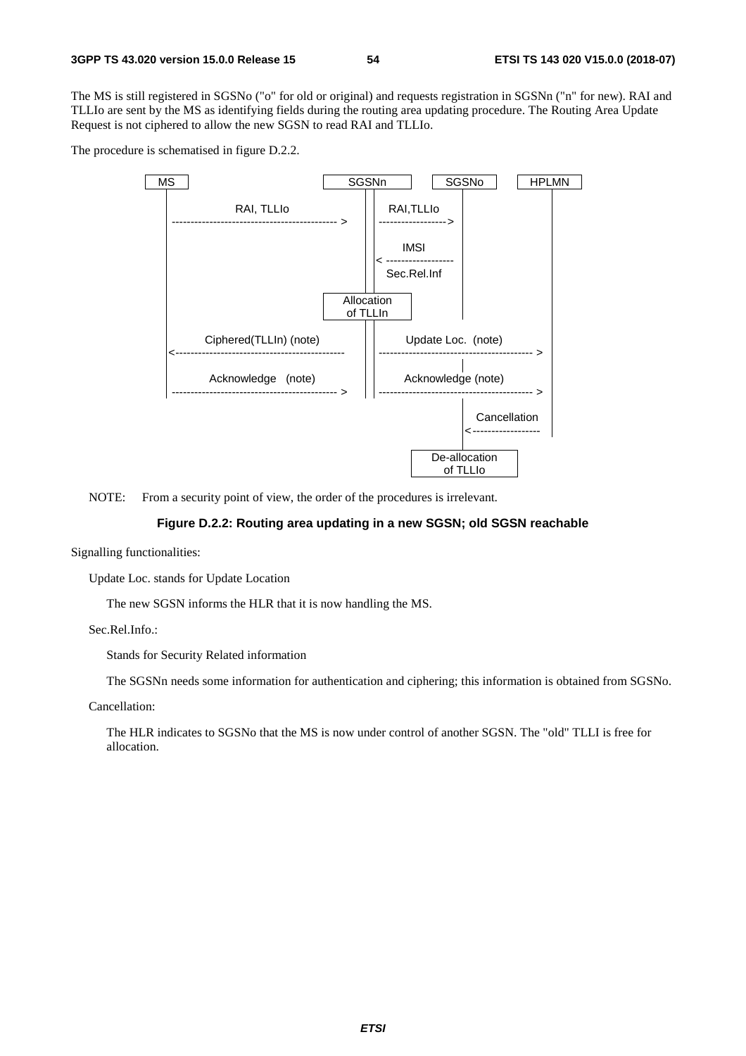The MS is still registered in SGSNo ("o" for old or original) and requests registration in SGSNn ("n" for new). RAI and TLLIo are sent by the MS as identifying fields during the routing area updating procedure. The Routing Area Update Request is not ciphered to allow the new SGSN to read RAI and TLLIo.

The procedure is schematised in figure D.2.2.



NOTE: From a security point of view, the order of the procedures is irrelevant.

#### **Figure D.2.2: Routing area updating in a new SGSN; old SGSN reachable**

Signalling functionalities:

Update Loc. stands for Update Location

The new SGSN informs the HLR that it is now handling the MS.

Sec.Rel.Info.:

Stands for Security Related information

The SGSNn needs some information for authentication and ciphering; this information is obtained from SGSNo.

Cancellation:

 The HLR indicates to SGSNo that the MS is now under control of another SGSN. The "old" TLLI is free for allocation.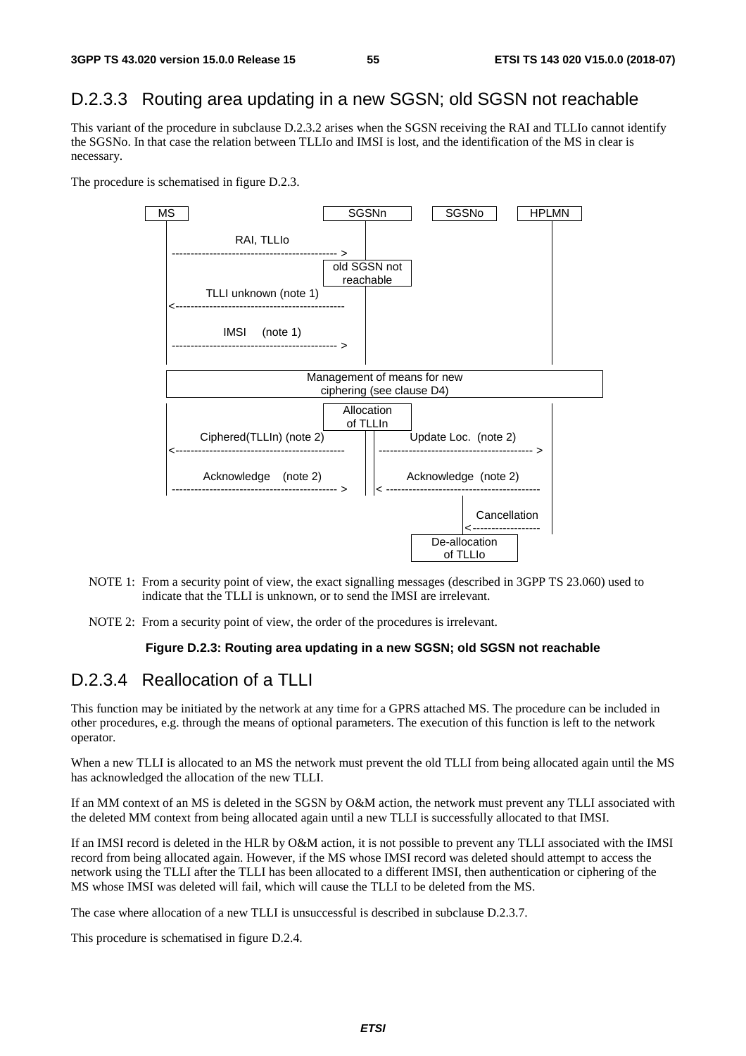### D.2.3.3 Routing area updating in a new SGSN; old SGSN not reachable

This variant of the procedure in subclause D.2.3.2 arises when the SGSN receiving the RAI and TLLIo cannot identify the SGSNo. In that case the relation between TLLIo and IMSI is lost, and the identification of the MS in clear is necessary.

The procedure is schematised in figure D.2.3.



- NOTE 1: From a security point of view, the exact signalling messages (described in 3GPP TS 23.060) used to indicate that the TLLI is unknown, or to send the IMSI are irrelevant.
- NOTE 2: From a security point of view, the order of the procedures is irrelevant.

#### **Figure D.2.3: Routing area updating in a new SGSN; old SGSN not reachable**

### D.2.3.4 Reallocation of a TLLI

This function may be initiated by the network at any time for a GPRS attached MS. The procedure can be included in other procedures, e.g. through the means of optional parameters. The execution of this function is left to the network operator.

When a new TLLI is allocated to an MS the network must prevent the old TLLI from being allocated again until the MS has acknowledged the allocation of the new TLLI.

If an MM context of an MS is deleted in the SGSN by O&M action, the network must prevent any TLLI associated with the deleted MM context from being allocated again until a new TLLI is successfully allocated to that IMSI.

If an IMSI record is deleted in the HLR by O&M action, it is not possible to prevent any TLLI associated with the IMSI record from being allocated again. However, if the MS whose IMSI record was deleted should attempt to access the network using the TLLI after the TLLI has been allocated to a different IMSI, then authentication or ciphering of the MS whose IMSI was deleted will fail, which will cause the TLLI to be deleted from the MS.

The case where allocation of a new TLLI is unsuccessful is described in subclause D.2.3.7.

This procedure is schematised in figure D.2.4.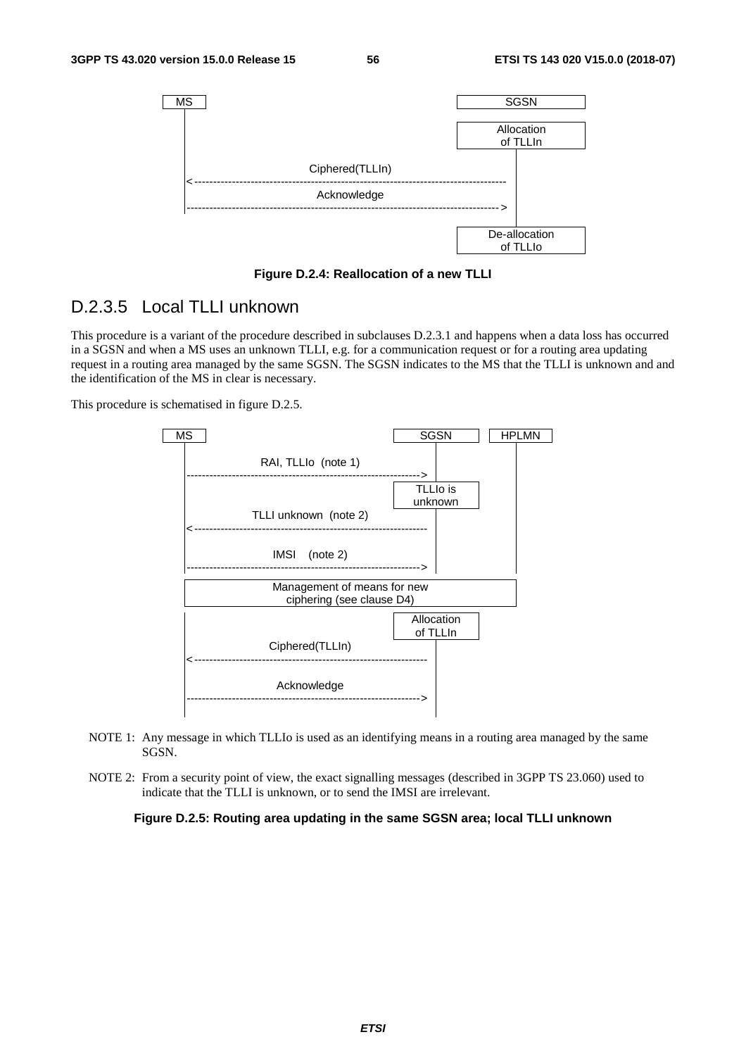

**Figure D.2.4: Reallocation of a new TLLI** 

### D.2.3.5 Local TLLI unknown

This procedure is a variant of the procedure described in subclauses D.2.3.1 and happens when a data loss has occurred in a SGSN and when a MS uses an unknown TLLI, e.g. for a communication request or for a routing area updating request in a routing area managed by the same SGSN. The SGSN indicates to the MS that the TLLI is unknown and and the identification of the MS in clear is necessary.

This procedure is schematised in figure D.2.5.



- NOTE 1: Any message in which TLLIo is used as an identifying means in a routing area managed by the same SGSN.
- NOTE 2: From a security point of view, the exact signalling messages (described in 3GPP TS 23.060) used to indicate that the TLLI is unknown, or to send the IMSI are irrelevant.

**Figure D.2.5: Routing area updating in the same SGSN area; local TLLI unknown**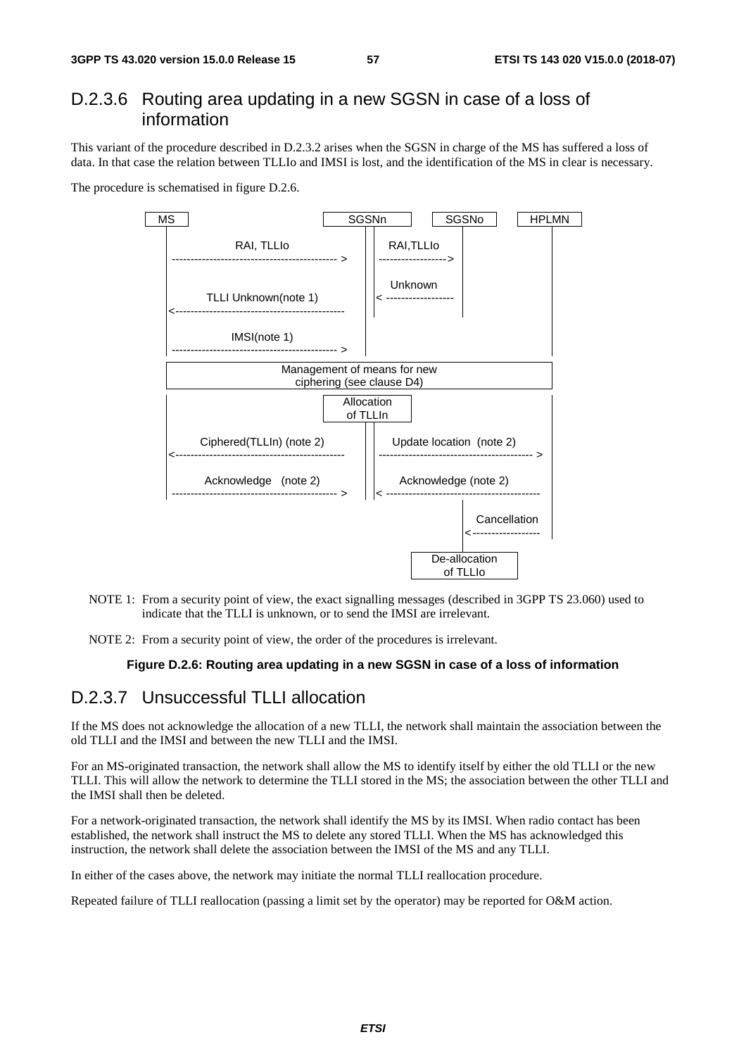### D.2.3.6 Routing area updating in a new SGSN in case of a loss of information

This variant of the procedure described in D.2.3.2 arises when the SGSN in charge of the MS has suffered a loss of data. In that case the relation between TLLIo and IMSI is lost, and the identification of the MS in clear is necessary.

The procedure is schematised in figure D.2.6.



- NOTE 1: From a security point of view, the exact signalling messages (described in 3GPP TS 23.060) used to indicate that the TLLI is unknown, or to send the IMSI are irrelevant.
- NOTE 2: From a security point of view, the order of the procedures is irrelevant.

#### **Figure D.2.6: Routing area updating in a new SGSN in case of a loss of information**

### D.2.3.7 Unsuccessful TLLI allocation

If the MS does not acknowledge the allocation of a new TLLI, the network shall maintain the association between the old TLLI and the IMSI and between the new TLLI and the IMSI.

For an MS-originated transaction, the network shall allow the MS to identify itself by either the old TLLI or the new TLLI. This will allow the network to determine the TLLI stored in the MS; the association between the other TLLI and the IMSI shall then be deleted.

For a network-originated transaction, the network shall identify the MS by its IMSI. When radio contact has been established, the network shall instruct the MS to delete any stored TLLI. When the MS has acknowledged this instruction, the network shall delete the association between the IMSI of the MS and any TLLI.

In either of the cases above, the network may initiate the normal TLLI reallocation procedure.

Repeated failure of TLLI reallocation (passing a limit set by the operator) may be reported for O&M action.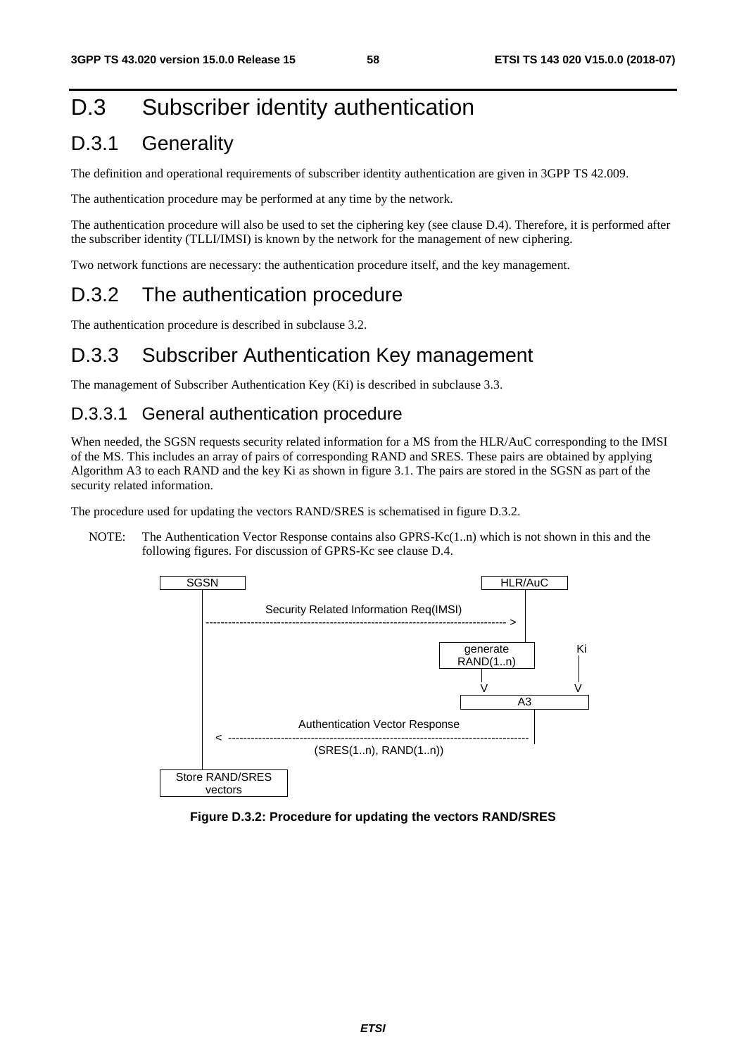# D.3 Subscriber identity authentication

## D.3.1 Generality

The definition and operational requirements of subscriber identity authentication are given in 3GPP TS 42.009.

The authentication procedure may be performed at any time by the network.

The authentication procedure will also be used to set the ciphering key (see clause D.4). Therefore, it is performed after the subscriber identity (TLLI/IMSI) is known by the network for the management of new ciphering.

Two network functions are necessary: the authentication procedure itself, and the key management.

## D.3.2 The authentication procedure

The authentication procedure is described in subclause 3.2.

### D.3.3 Subscriber Authentication Key management

The management of Subscriber Authentication Key (Ki) is described in subclause 3.3.

### D.3.3.1 General authentication procedure

When needed, the SGSN requests security related information for a MS from the HLR/AuC corresponding to the IMSI of the MS. This includes an array of pairs of corresponding RAND and SRES. These pairs are obtained by applying Algorithm A3 to each RAND and the key Ki as shown in figure 3.1. The pairs are stored in the SGSN as part of the security related information.

The procedure used for updating the vectors RAND/SRES is schematised in figure D.3.2.

NOTE: The Authentication Vector Response contains also GPRS-Kc(1..n) which is not shown in this and the following figures. For discussion of GPRS-Kc see clause D.4.



**Figure D.3.2: Procedure for updating the vectors RAND/SRES**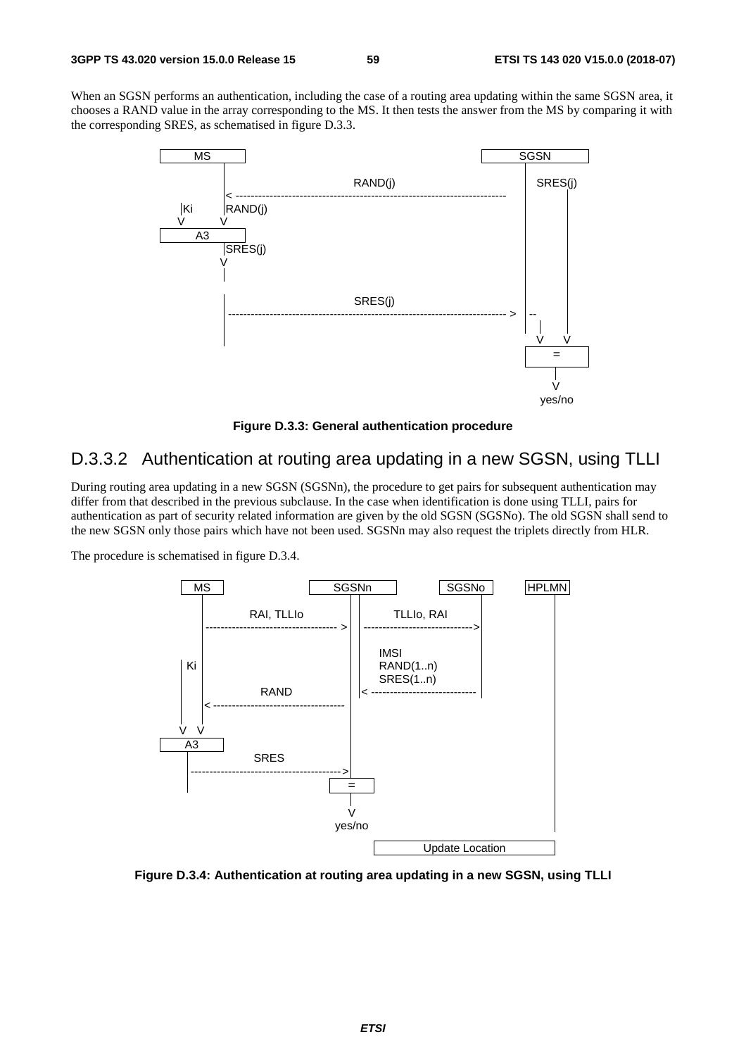When an SGSN performs an authentication, including the case of a routing area updating within the same SGSN area, it chooses a RAND value in the array corresponding to the MS. It then tests the answer from the MS by comparing it with the corresponding SRES, as schematised in figure D.3.3.



**Figure D.3.3: General authentication procedure** 

### D.3.3.2 Authentication at routing area updating in a new SGSN, using TLLI

During routing area updating in a new SGSN (SGSNn), the procedure to get pairs for subsequent authentication may differ from that described in the previous subclause. In the case when identification is done using TLLI, pairs for authentication as part of security related information are given by the old SGSN (SGSNo). The old SGSN shall send to the new SGSN only those pairs which have not been used. SGSNn may also request the triplets directly from HLR.

The procedure is schematised in figure D.3.4.



**Figure D.3.4: Authentication at routing area updating in a new SGSN, using TLLI**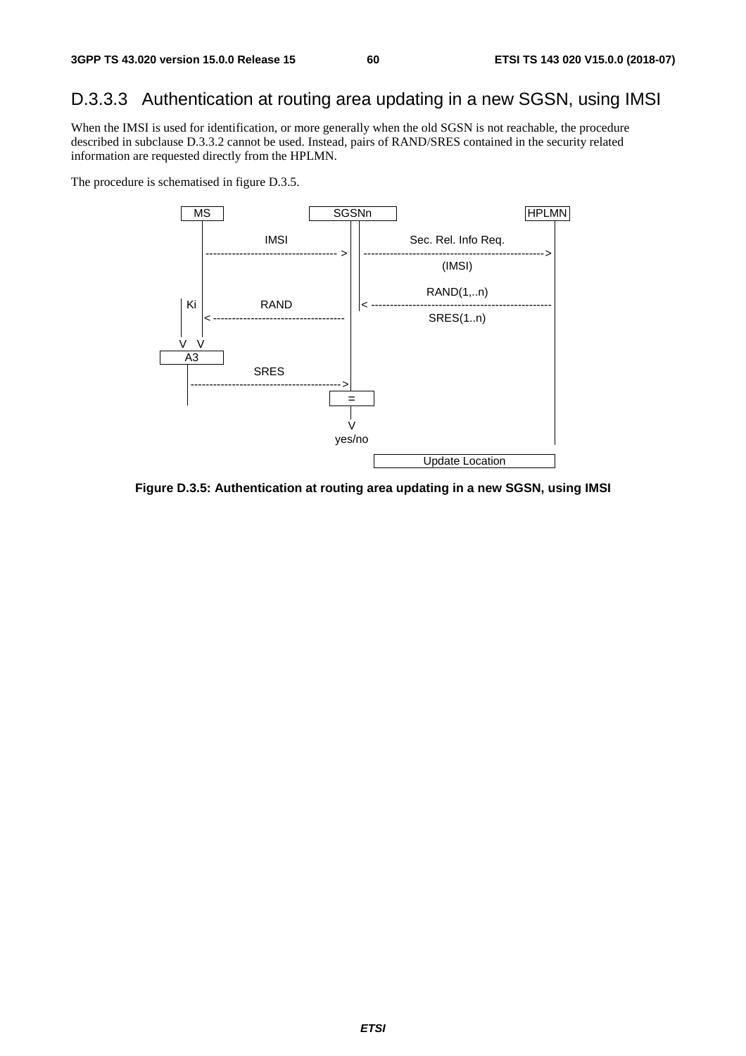## D.3.3.3 Authentication at routing area updating in a new SGSN, using IMSI

When the IMSI is used for identification, or more generally when the old SGSN is not reachable, the procedure described in subclause D.3.3.2 cannot be used. Instead, pairs of RAND/SRES contained in the security related information are requested directly from the HPLMN.

The procedure is schematised in figure D.3.5.



**Figure D.3.5: Authentication at routing area updating in a new SGSN, using IMSI**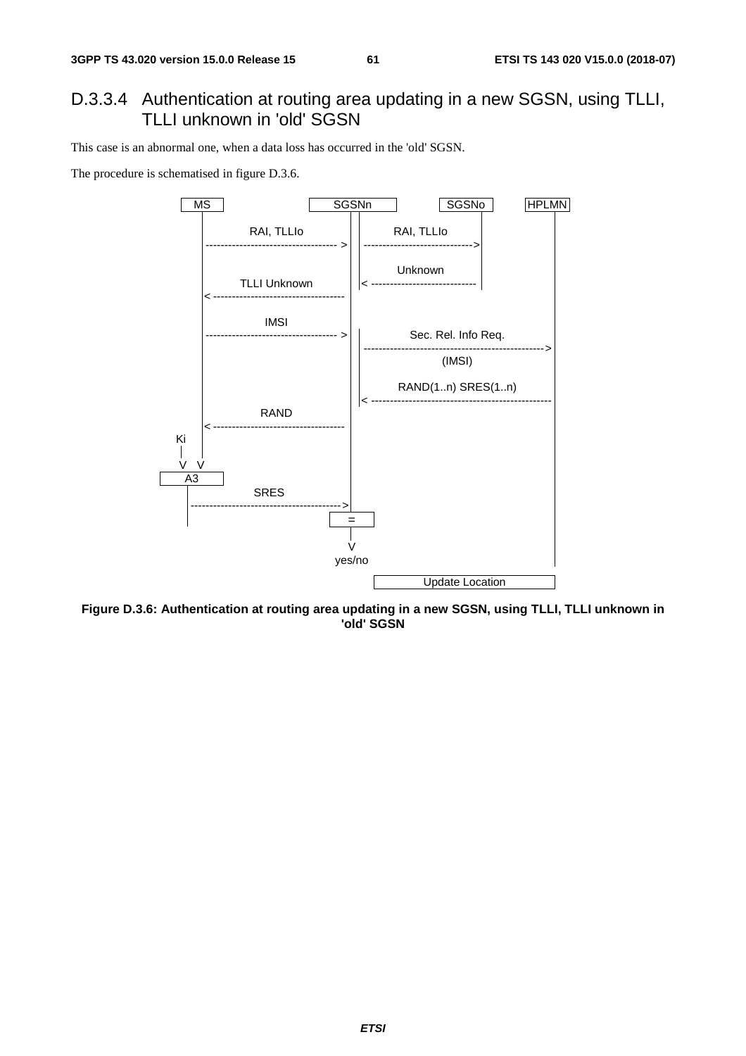### D.3.3.4 Authentication at routing area updating in a new SGSN, using TLLI, TLLI unknown in 'old' SGSN

This case is an abnormal one, when a data loss has occurred in the 'old' SGSN.

The procedure is schematised in figure D.3.6.



**Figure D.3.6: Authentication at routing area updating in a new SGSN, using TLLI, TLLI unknown in 'old' SGSN**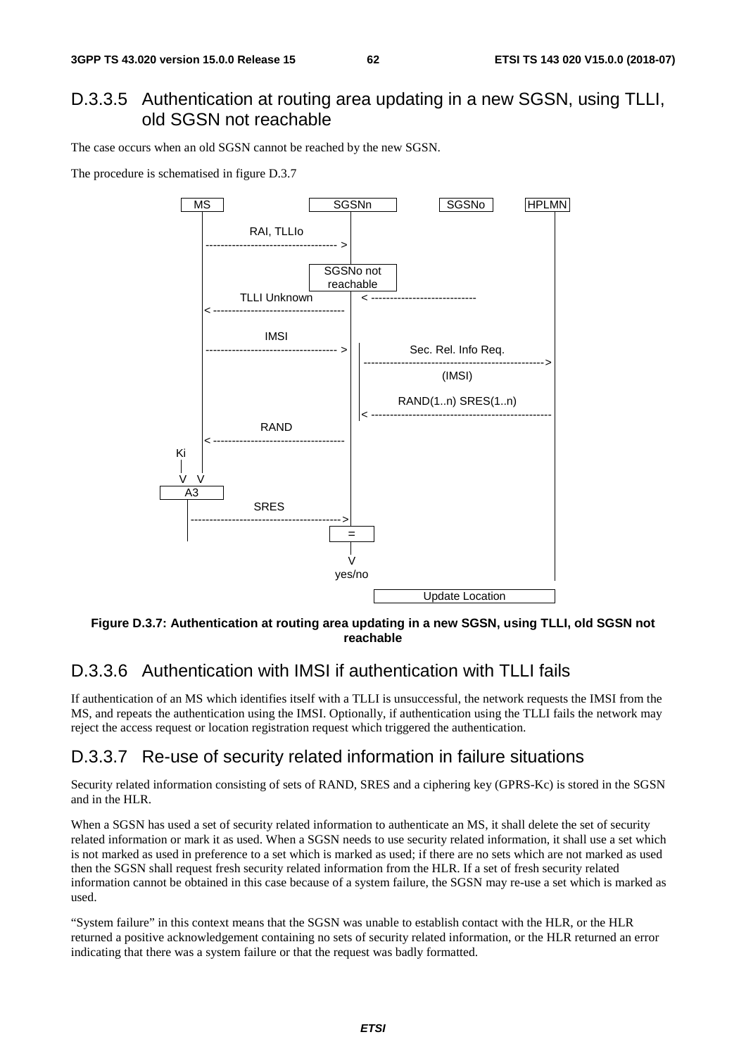### D.3.3.5 Authentication at routing area updating in a new SGSN, using TLLI, old SGSN not reachable

The case occurs when an old SGSN cannot be reached by the new SGSN.

The procedure is schematised in figure D.3.7



**Figure D.3.7: Authentication at routing area updating in a new SGSN, using TLLI, old SGSN not reachable** 

### D.3.3.6 Authentication with IMSI if authentication with TLLI fails

If authentication of an MS which identifies itself with a TLLI is unsuccessful, the network requests the IMSI from the MS, and repeats the authentication using the IMSI. Optionally, if authentication using the TLLI fails the network may reject the access request or location registration request which triggered the authentication.

### D.3.3.7 Re-use of security related information in failure situations

Security related information consisting of sets of RAND, SRES and a ciphering key (GPRS-Kc) is stored in the SGSN and in the HLR.

When a SGSN has used a set of security related information to authenticate an MS, it shall delete the set of security related information or mark it as used. When a SGSN needs to use security related information, it shall use a set which is not marked as used in preference to a set which is marked as used; if there are no sets which are not marked as used then the SGSN shall request fresh security related information from the HLR. If a set of fresh security related information cannot be obtained in this case because of a system failure, the SGSN may re-use a set which is marked as used.

"System failure" in this context means that the SGSN was unable to establish contact with the HLR, or the HLR returned a positive acknowledgement containing no sets of security related information, or the HLR returned an error indicating that there was a system failure or that the request was badly formatted.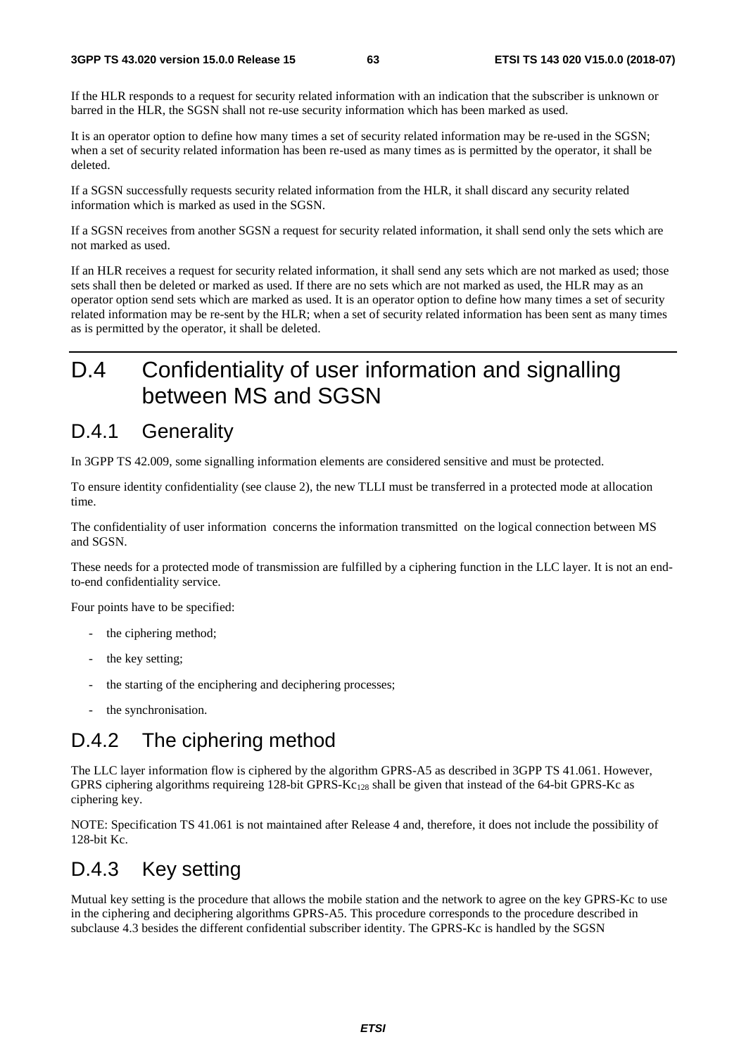If the HLR responds to a request for security related information with an indication that the subscriber is unknown or barred in the HLR, the SGSN shall not re-use security information which has been marked as used.

It is an operator option to define how many times a set of security related information may be re-used in the SGSN; when a set of security related information has been re-used as many times as is permitted by the operator, it shall be deleted.

If a SGSN successfully requests security related information from the HLR, it shall discard any security related information which is marked as used in the SGSN.

If a SGSN receives from another SGSN a request for security related information, it shall send only the sets which are not marked as used.

If an HLR receives a request for security related information, it shall send any sets which are not marked as used; those sets shall then be deleted or marked as used. If there are no sets which are not marked as used, the HLR may as an operator option send sets which are marked as used. It is an operator option to define how many times a set of security related information may be re-sent by the HLR; when a set of security related information has been sent as many times as is permitted by the operator, it shall be deleted.

# D.4 Confidentiality of user information and signalling between MS and SGSN

### D.4.1 Generality

In 3GPP TS 42.009, some signalling information elements are considered sensitive and must be protected.

To ensure identity confidentiality (see clause 2), the new TLLI must be transferred in a protected mode at allocation time.

The confidentiality of user information concerns the information transmitted on the logical connection between MS and SGSN.

These needs for a protected mode of transmission are fulfilled by a ciphering function in the LLC layer. It is not an endto-end confidentiality service.

Four points have to be specified:

- the ciphering method;
- the key setting;
- the starting of the enciphering and deciphering processes;
- the synchronisation.

## D.4.2 The ciphering method

The LLC layer information flow is ciphered by the algorithm GPRS-A5 as described in 3GPP TS 41.061. However, GPRS ciphering algorithms requireing 128-bit GPRS- $Kc_{128}$  shall be given that instead of the 64-bit GPRS-Kc as ciphering key.

NOTE: Specification TS 41.061 is not maintained after Release 4 and, therefore, it does not include the possibility of 128-bit Kc.

## D.4.3 Key setting

Mutual key setting is the procedure that allows the mobile station and the network to agree on the key GPRS-Kc to use in the ciphering and deciphering algorithms GPRS-A5. This procedure corresponds to the procedure described in subclause 4.3 besides the different confidential subscriber identity. The GPRS-Kc is handled by the SGSN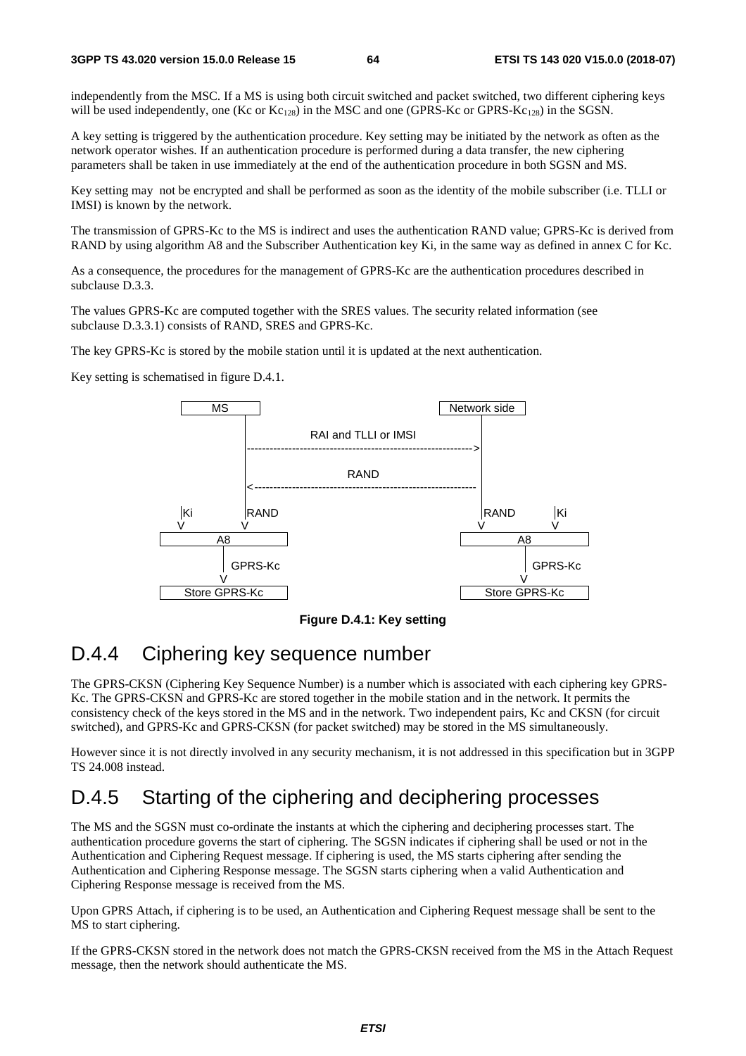independently from the MSC. If a MS is using both circuit switched and packet switched, two different ciphering keys will be used independently, one (Kc or  $Kc_{128}$ ) in the MSC and one (GPRS-Kc or GPRS-Kc<sub>128</sub>) in the SGSN.

A key setting is triggered by the authentication procedure. Key setting may be initiated by the network as often as the network operator wishes. If an authentication procedure is performed during a data transfer, the new ciphering parameters shall be taken in use immediately at the end of the authentication procedure in both SGSN and MS.

Key setting may not be encrypted and shall be performed as soon as the identity of the mobile subscriber (i.e. TLLI or IMSI) is known by the network.

The transmission of GPRS-Kc to the MS is indirect and uses the authentication RAND value; GPRS-Kc is derived from RAND by using algorithm A8 and the Subscriber Authentication key Ki, in the same way as defined in annex C for Kc.

As a consequence, the procedures for the management of GPRS-Kc are the authentication procedures described in subclause D.3.3.

The values GPRS-Kc are computed together with the SRES values. The security related information (see subclause D.3.3.1) consists of RAND, SRES and GPRS-Kc.

The key GPRS-Kc is stored by the mobile station until it is updated at the next authentication.

Key setting is schematised in figure D.4.1.



**Figure D.4.1: Key setting** 

## D.4.4 Ciphering key sequence number

The GPRS-CKSN (Ciphering Key Sequence Number) is a number which is associated with each ciphering key GPRS-Kc. The GPRS-CKSN and GPRS-Kc are stored together in the mobile station and in the network. It permits the consistency check of the keys stored in the MS and in the network. Two independent pairs, Kc and CKSN (for circuit switched), and GPRS-Kc and GPRS-CKSN (for packet switched) may be stored in the MS simultaneously.

However since it is not directly involved in any security mechanism, it is not addressed in this specification but in 3GPP TS 24.008 instead.

## D.4.5 Starting of the ciphering and deciphering processes

The MS and the SGSN must co-ordinate the instants at which the ciphering and deciphering processes start. The authentication procedure governs the start of ciphering. The SGSN indicates if ciphering shall be used or not in the Authentication and Ciphering Request message. If ciphering is used, the MS starts ciphering after sending the Authentication and Ciphering Response message. The SGSN starts ciphering when a valid Authentication and Ciphering Response message is received from the MS.

Upon GPRS Attach, if ciphering is to be used, an Authentication and Ciphering Request message shall be sent to the MS to start ciphering.

If the GPRS-CKSN stored in the network does not match the GPRS-CKSN received from the MS in the Attach Request message, then the network should authenticate the MS.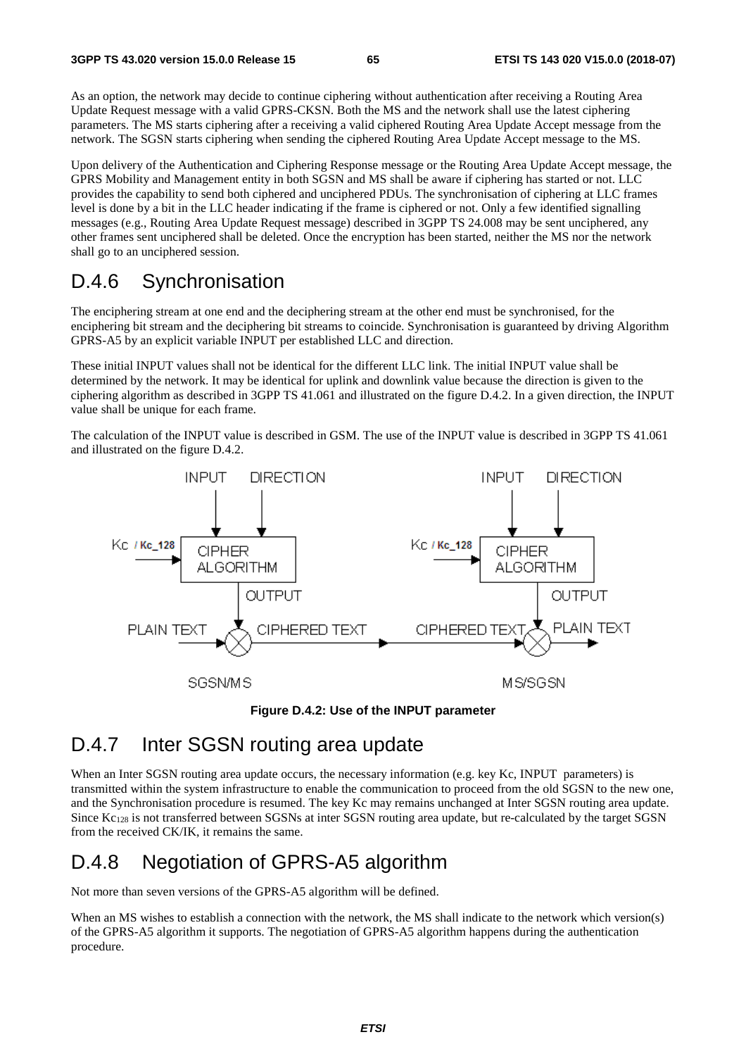As an option, the network may decide to continue ciphering without authentication after receiving a Routing Area Update Request message with a valid GPRS-CKSN. Both the MS and the network shall use the latest ciphering parameters. The MS starts ciphering after a receiving a valid ciphered Routing Area Update Accept message from the network. The SGSN starts ciphering when sending the ciphered Routing Area Update Accept message to the MS.

Upon delivery of the Authentication and Ciphering Response message or the Routing Area Update Accept message, the GPRS Mobility and Management entity in both SGSN and MS shall be aware if ciphering has started or not. LLC provides the capability to send both ciphered and unciphered PDUs. The synchronisation of ciphering at LLC frames level is done by a bit in the LLC header indicating if the frame is ciphered or not. Only a few identified signalling messages (e.g., Routing Area Update Request message) described in 3GPP TS 24.008 may be sent unciphered, any other frames sent unciphered shall be deleted. Once the encryption has been started, neither the MS nor the network shall go to an unciphered session.

## D.4.6 Synchronisation

The enciphering stream at one end and the deciphering stream at the other end must be synchronised, for the enciphering bit stream and the deciphering bit streams to coincide. Synchronisation is guaranteed by driving Algorithm GPRS-A5 by an explicit variable INPUT per established LLC and direction.

These initial INPUT values shall not be identical for the different LLC link. The initial INPUT value shall be determined by the network. It may be identical for uplink and downlink value because the direction is given to the ciphering algorithm as described in 3GPP TS 41.061 and illustrated on the figure D.4.2. In a given direction, the INPUT value shall be unique for each frame.

The calculation of the INPUT value is described in GSM. The use of the INPUT value is described in 3GPP TS 41.061 and illustrated on the figure D.4.2.





## D.4.7 Inter SGSN routing area update

When an Inter SGSN routing area update occurs, the necessary information (e.g. key Kc, INPUT parameters) is transmitted within the system infrastructure to enable the communication to proceed from the old SGSN to the new one, and the Synchronisation procedure is resumed. The key Kc may remains unchanged at Inter SGSN routing area update. Since Kc128 is not transferred between SGSNs at inter SGSN routing area update, but re-calculated by the target SGSN from the received CK/IK, it remains the same.

## D.4.8 Negotiation of GPRS-A5 algorithm

Not more than seven versions of the GPRS-A5 algorithm will be defined.

When an MS wishes to establish a connection with the network, the MS shall indicate to the network which version(s) of the GPRS-A5 algorithm it supports. The negotiation of GPRS-A5 algorithm happens during the authentication procedure.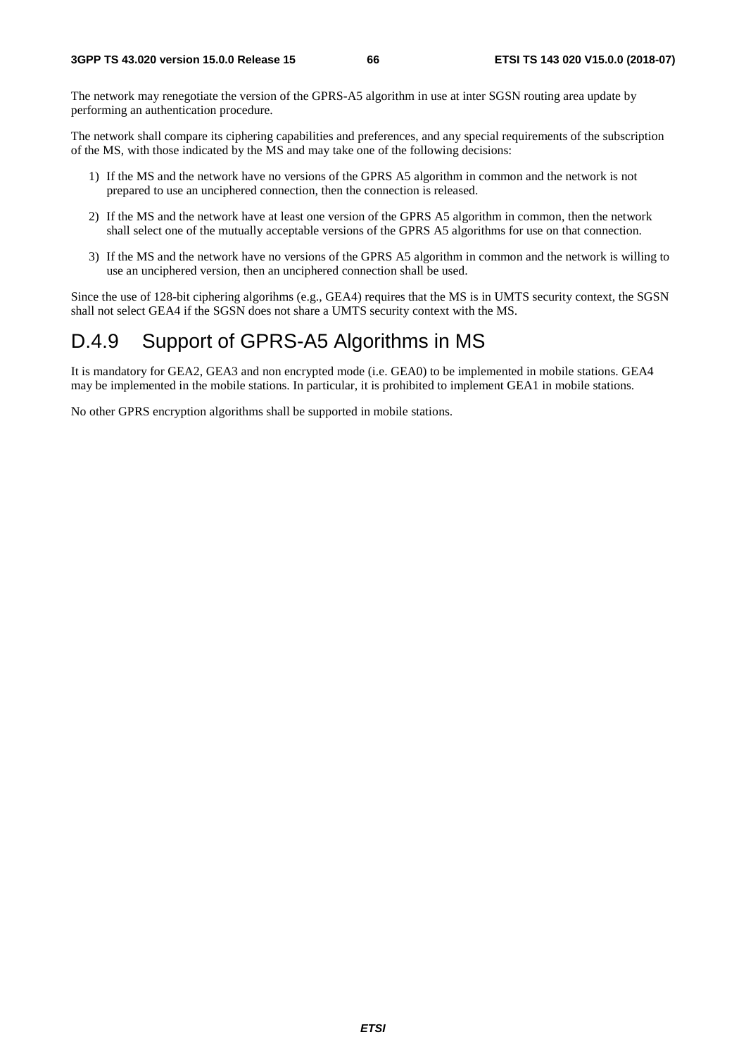The network may renegotiate the version of the GPRS-A5 algorithm in use at inter SGSN routing area update by performing an authentication procedure.

The network shall compare its ciphering capabilities and preferences, and any special requirements of the subscription of the MS, with those indicated by the MS and may take one of the following decisions:

- 1) If the MS and the network have no versions of the GPRS A5 algorithm in common and the network is not prepared to use an unciphered connection, then the connection is released.
- 2) If the MS and the network have at least one version of the GPRS A5 algorithm in common, then the network shall select one of the mutually acceptable versions of the GPRS A5 algorithms for use on that connection.
- 3) If the MS and the network have no versions of the GPRS A5 algorithm in common and the network is willing to use an unciphered version, then an unciphered connection shall be used.

Since the use of 128-bit ciphering algorihms (e.g., GEA4) requires that the MS is in UMTS security context, the SGSN shall not select GEA4 if the SGSN does not share a UMTS security context with the MS.

## D.4.9 Support of GPRS-A5 Algorithms in MS

It is mandatory for GEA2, GEA3 and non encrypted mode (i.e. GEA0) to be implemented in mobile stations. GEA4 may be implemented in the mobile stations. In particular, it is prohibited to implement GEA1 in mobile stations.

No other GPRS encryption algorithms shall be supported in mobile stations.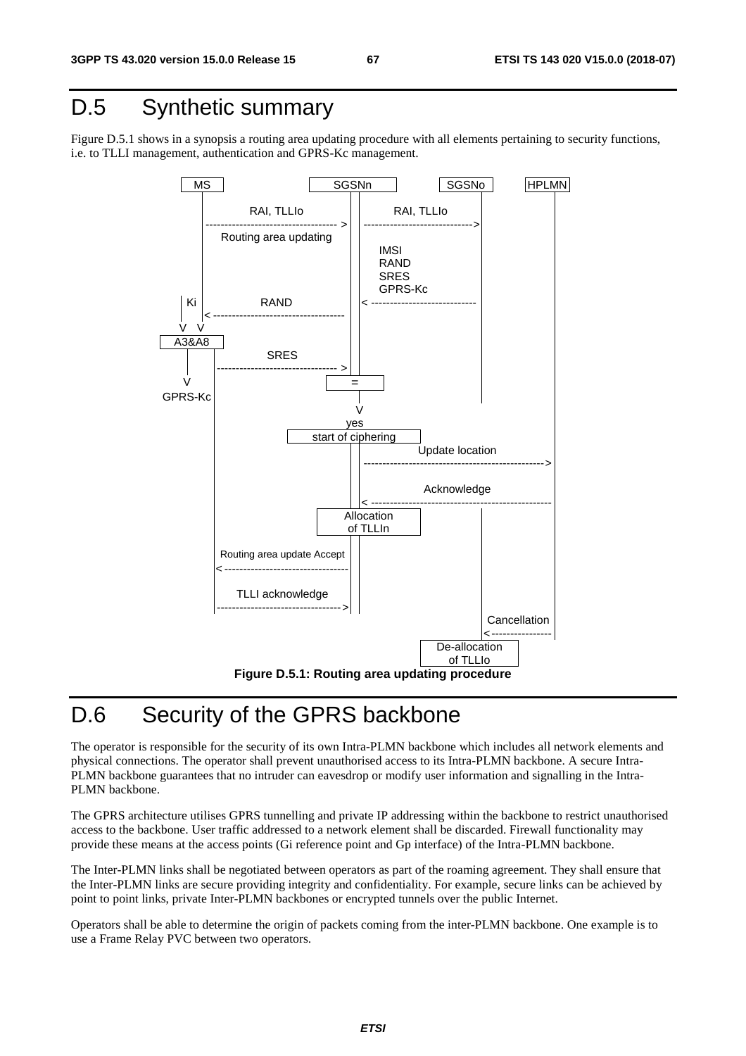# D.5 Synthetic summary

Figure D.5.1 shows in a synopsis a routing area updating procedure with all elements pertaining to security functions, i.e. to TLLI management, authentication and GPRS-Kc management.



# D.6 Security of the GPRS backbone

The operator is responsible for the security of its own Intra-PLMN backbone which includes all network elements and physical connections. The operator shall prevent unauthorised access to its Intra-PLMN backbone. A secure Intra-PLMN backbone guarantees that no intruder can eavesdrop or modify user information and signalling in the Intra-PLMN backbone.

The GPRS architecture utilises GPRS tunnelling and private IP addressing within the backbone to restrict unauthorised access to the backbone. User traffic addressed to a network element shall be discarded. Firewall functionality may provide these means at the access points (Gi reference point and Gp interface) of the Intra-PLMN backbone.

The Inter-PLMN links shall be negotiated between operators as part of the roaming agreement. They shall ensure that the Inter-PLMN links are secure providing integrity and confidentiality. For example, secure links can be achieved by point to point links, private Inter-PLMN backbones or encrypted tunnels over the public Internet.

Operators shall be able to determine the origin of packets coming from the inter-PLMN backbone. One example is to use a Frame Relay PVC between two operators.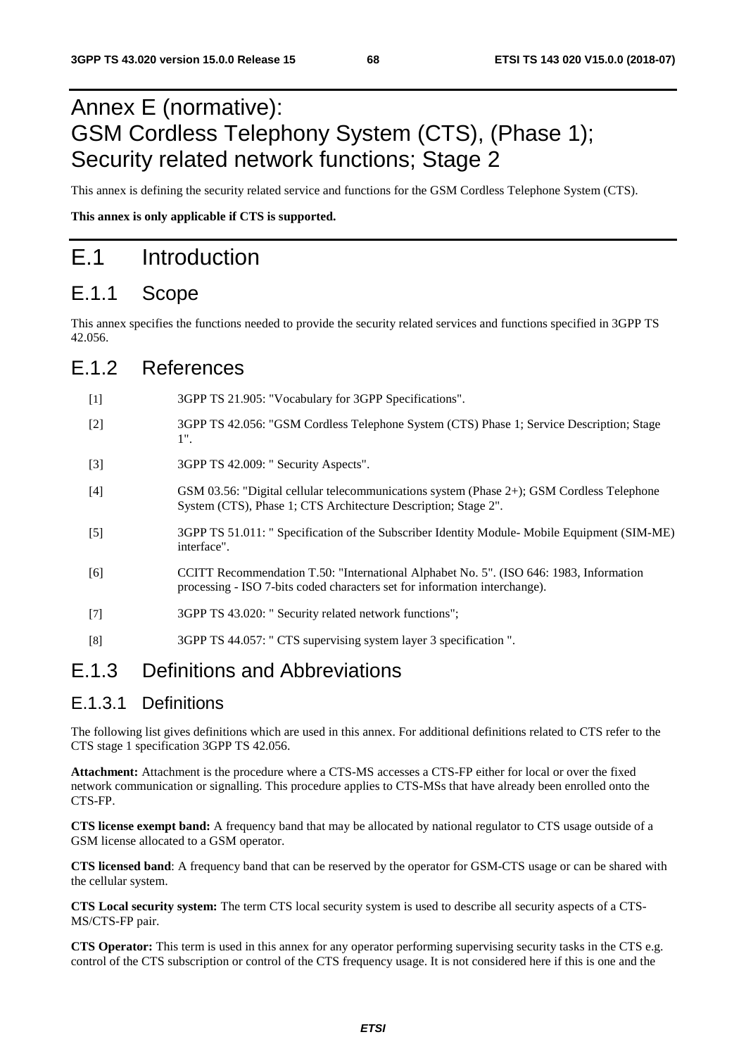# Annex E (normative): GSM Cordless Telephony System (CTS), (Phase 1); Security related network functions; Stage 2

This annex is defining the security related service and functions for the GSM Cordless Telephone System (CTS).

**This annex is only applicable if CTS is supported.** 

## E.1 Introduction

### E.1.1 Scope

This annex specifies the functions needed to provide the security related services and functions specified in 3GPP TS 42.056.

### E.1.2 References

[1] 3GPP TS 21.905: "Vocabulary for 3GPP Specifications". [2] 3GPP TS 42.056: "GSM Cordless Telephone System (CTS) Phase 1; Service Description; Stage 1". [3] 3GPP TS 42.009: " Security Aspects". [4] GSM 03.56: "Digital cellular telecommunications system (Phase 2+); GSM Cordless Telephone System (CTS), Phase 1; CTS Architecture Description; Stage 2". [5] 3GPP TS 51.011: " Specification of the Subscriber Identity Module- Mobile Equipment (SIM-ME) interface". [6] CCITT Recommendation T.50: "International Alphabet No. 5". (ISO 646: 1983, Information processing - ISO 7-bits coded characters set for information interchange). [7] 3GPP TS 43.020: " Security related network functions"; [8] 3GPP TS 44.057: " CTS supervising system layer 3 specification ".

## E.1.3 Definitions and Abbreviations

### E.1.3.1 Definitions

The following list gives definitions which are used in this annex. For additional definitions related to CTS refer to the CTS stage 1 specification 3GPP TS 42.056.

**Attachment:** Attachment is the procedure where a CTS-MS accesses a CTS-FP either for local or over the fixed network communication or signalling. This procedure applies to CTS-MSs that have already been enrolled onto the CTS-FP.

**CTS license exempt band:** A frequency band that may be allocated by national regulator to CTS usage outside of a GSM license allocated to a GSM operator.

**CTS licensed band**: A frequency band that can be reserved by the operator for GSM-CTS usage or can be shared with the cellular system.

**CTS Local security system:** The term CTS local security system is used to describe all security aspects of a CTS-MS/CTS-FP pair.

**CTS Operator:** This term is used in this annex for any operator performing supervising security tasks in the CTS e.g. control of the CTS subscription or control of the CTS frequency usage. It is not considered here if this is one and the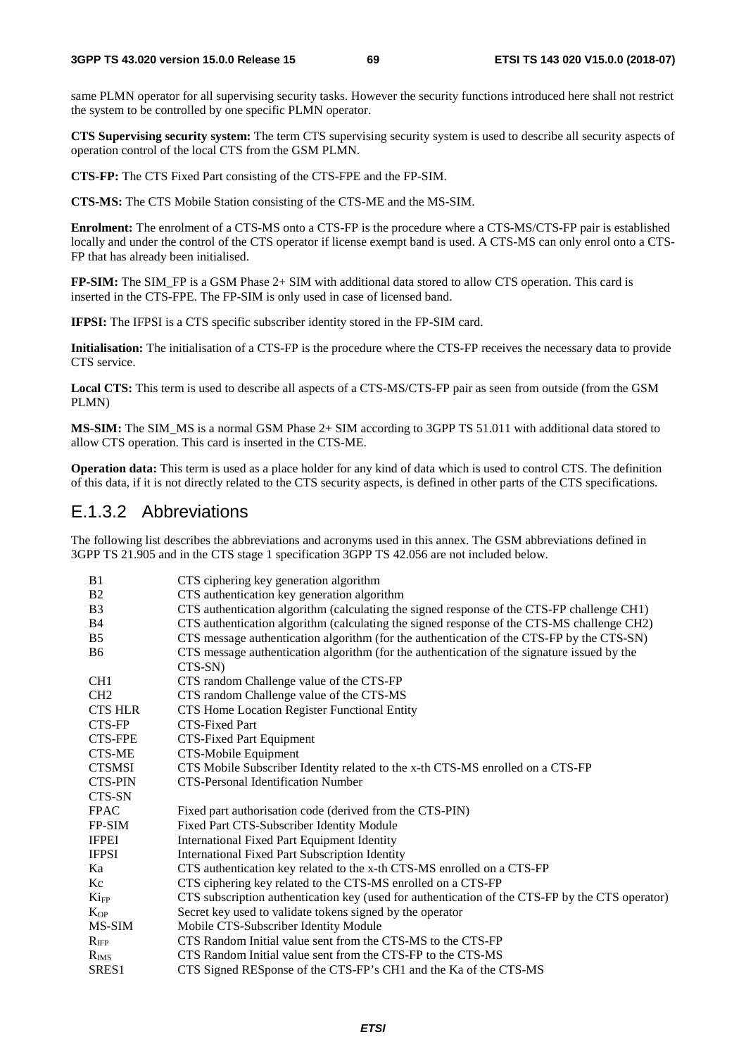same PLMN operator for all supervising security tasks. However the security functions introduced here shall not restrict the system to be controlled by one specific PLMN operator.

**CTS Supervising security system:** The term CTS supervising security system is used to describe all security aspects of operation control of the local CTS from the GSM PLMN.

**CTS-FP:** The CTS Fixed Part consisting of the CTS-FPE and the FP-SIM.

**CTS-MS:** The CTS Mobile Station consisting of the CTS-ME and the MS-SIM.

**Enrolment:** The enrolment of a CTS-MS onto a CTS-FP is the procedure where a CTS-MS/CTS-FP pair is established locally and under the control of the CTS operator if license exempt band is used. A CTS-MS can only enrol onto a CTS-FP that has already been initialised.

**FP-SIM:** The SIM\_FP is a GSM Phase 2+ SIM with additional data stored to allow CTS operation. This card is inserted in the CTS-FPE. The FP-SIM is only used in case of licensed band.

**IFPSI:** The IFPSI is a CTS specific subscriber identity stored in the FP-SIM card.

**Initialisation:** The initialisation of a CTS-FP is the procedure where the CTS-FP receives the necessary data to provide CTS service.

**Local CTS:** This term is used to describe all aspects of a CTS-MS/CTS-FP pair as seen from outside (from the GSM PLMN)

**MS-SIM:** The SIM\_MS is a normal GSM Phase 2+ SIM according to 3GPP TS 51.011 with additional data stored to allow CTS operation. This card is inserted in the CTS-ME.

**Operation data:** This term is used as a place holder for any kind of data which is used to control CTS. The definition of this data, if it is not directly related to the CTS security aspects, is defined in other parts of the CTS specifications.

### E.1.3.2 Abbreviations

The following list describes the abbreviations and acronyms used in this annex. The GSM abbreviations defined in 3GPP TS 21.905 and in the CTS stage 1 specification 3GPP TS 42.056 are not included below.

| B <sub>1</sub>   | CTS ciphering key generation algorithm                                                          |
|------------------|-------------------------------------------------------------------------------------------------|
| B2               | CTS authentication key generation algorithm                                                     |
| B <sub>3</sub>   | CTS authentication algorithm (calculating the signed response of the CTS-FP challenge CH1)      |
| <b>B4</b>        | CTS authentication algorithm (calculating the signed response of the CTS-MS challenge CH2)      |
| B5               | CTS message authentication algorithm (for the authentication of the CTS-FP by the CTS-SN)       |
| <b>B6</b>        | CTS message authentication algorithm (for the authentication of the signature issued by the     |
|                  | CTS-SN)                                                                                         |
| CH <sub>1</sub>  | CTS random Challenge value of the CTS-FP                                                        |
| CH2              | CTS random Challenge value of the CTS-MS                                                        |
| <b>CTS HLR</b>   | CTS Home Location Register Functional Entity                                                    |
| <b>CTS-FP</b>    | <b>CTS-Fixed Part</b>                                                                           |
| <b>CTS-FPE</b>   | CTS-Fixed Part Equipment                                                                        |
| CTS-ME           | CTS-Mobile Equipment                                                                            |
| <b>CTSMSI</b>    | CTS Mobile Subscriber Identity related to the x-th CTS-MS enrolled on a CTS-FP                  |
| <b>CTS-PIN</b>   | <b>CTS-Personal Identification Number</b>                                                       |
| CTS-SN           |                                                                                                 |
| <b>FPAC</b>      | Fixed part authorisation code (derived from the CTS-PIN)                                        |
| FP-SIM           | Fixed Part CTS-Subscriber Identity Module                                                       |
| <b>IFPEI</b>     | <b>International Fixed Part Equipment Identity</b>                                              |
| <b>IFPSI</b>     | International Fixed Part Subscription Identity                                                  |
| Ka               | CTS authentication key related to the x-th CTS-MS enrolled on a CTS-FP                          |
| Kc               | CTS ciphering key related to the CTS-MS enrolled on a CTS-FP                                    |
| Ki <sub>FP</sub> | CTS subscription authentication key (used for authentication of the CTS-FP by the CTS operator) |
| $K_{OP}$         | Secret key used to validate tokens signed by the operator                                       |
| MS-SIM           | Mobile CTS-Subscriber Identity Module                                                           |
| $R_{\text{IFP}}$ | CTS Random Initial value sent from the CTS-MS to the CTS-FP                                     |
| $R_{IMS}$        | CTS Random Initial value sent from the CTS-FP to the CTS-MS                                     |
| SRES1            | CTS Signed RESponse of the CTS-FP's CH1 and the Ka of the CTS-MS                                |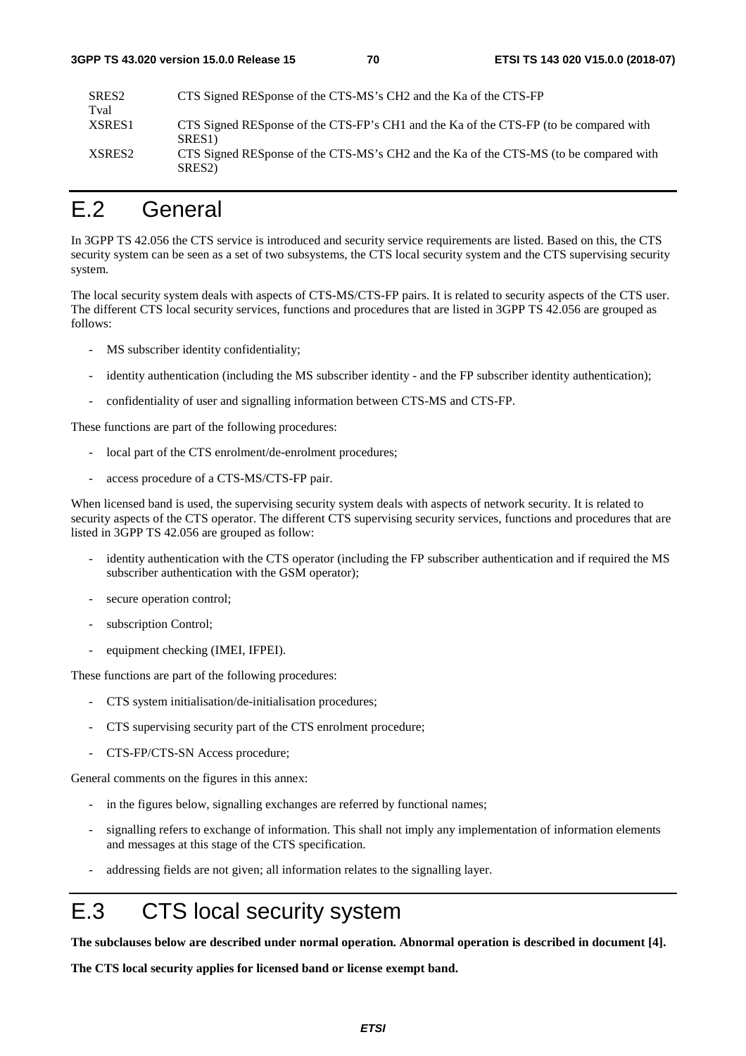| SRES2  | CTS Signed RESponse of the CTS-MS's CH2 and the Ka of the CTS-FP                                             |
|--------|--------------------------------------------------------------------------------------------------------------|
| Tval   |                                                                                                              |
| XSRES1 | CTS Signed RESponse of the CTS-FP's CH1 and the Ka of the CTS-FP (to be compared with<br>SRES <sub>1</sub> ) |
| XSRES2 | CTS Signed RESponse of the CTS-MS's CH2 and the Ka of the CTS-MS (to be compared with<br>SRES <sub>2</sub>   |

# E.2 General

In 3GPP TS 42.056 the CTS service is introduced and security service requirements are listed. Based on this, the CTS security system can be seen as a set of two subsystems, the CTS local security system and the CTS supervising security system.

The local security system deals with aspects of CTS-MS/CTS-FP pairs. It is related to security aspects of the CTS user. The different CTS local security services, functions and procedures that are listed in 3GPP TS 42.056 are grouped as follows:

- MS subscriber identity confidentiality;
- identity authentication (including the MS subscriber identity and the FP subscriber identity authentication);
- confidentiality of user and signalling information between CTS-MS and CTS-FP.

These functions are part of the following procedures:

- local part of the CTS enrolment/de-enrolment procedures;
- access procedure of a CTS-MS/CTS-FP pair.

When licensed band is used, the supervising security system deals with aspects of network security. It is related to security aspects of the CTS operator. The different CTS supervising security services, functions and procedures that are listed in 3GPP TS 42.056 are grouped as follow:

- identity authentication with the CTS operator (including the FP subscriber authentication and if required the MS subscriber authentication with the GSM operator);
- secure operation control;
- subscription Control;
- equipment checking (IMEI, IFPEI).

These functions are part of the following procedures:

- CTS system initialisation/de-initialisation procedures;
- CTS supervising security part of the CTS enrolment procedure;
- CTS-FP/CTS-SN Access procedure;

General comments on the figures in this annex:

- in the figures below, signalling exchanges are referred by functional names;
- signalling refers to exchange of information. This shall not imply any implementation of information elements and messages at this stage of the CTS specification.
- addressing fields are not given; all information relates to the signalling layer.

# E.3 CTS local security system

**The subclauses below are described under normal operation. Abnormal operation is described in document [4].** 

**The CTS local security applies for licensed band or license exempt band.**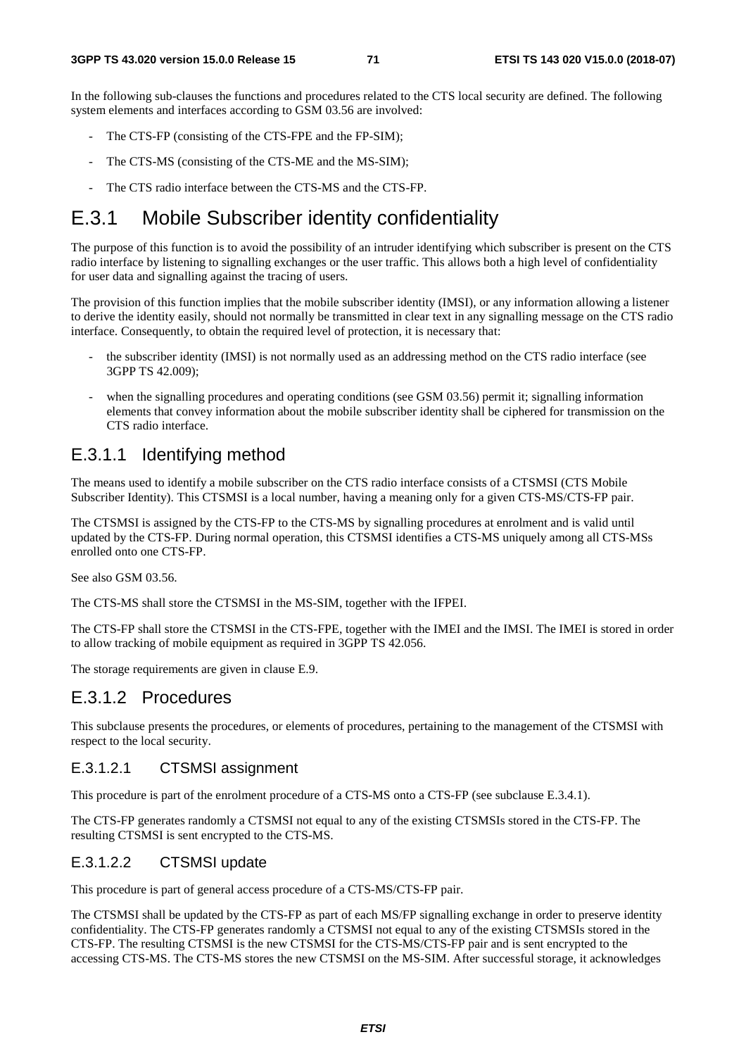In the following sub-clauses the functions and procedures related to the CTS local security are defined. The following system elements and interfaces according to GSM 03.56 are involved:

- The CTS-FP (consisting of the CTS-FPE and the FP-SIM);
- The CTS-MS (consisting of the CTS-ME and the MS-SIM);
- The CTS radio interface between the CTS-MS and the CTS-FP.

## E.3.1 Mobile Subscriber identity confidentiality

The purpose of this function is to avoid the possibility of an intruder identifying which subscriber is present on the CTS radio interface by listening to signalling exchanges or the user traffic. This allows both a high level of confidentiality for user data and signalling against the tracing of users.

The provision of this function implies that the mobile subscriber identity (IMSI), or any information allowing a listener to derive the identity easily, should not normally be transmitted in clear text in any signalling message on the CTS radio interface. Consequently, to obtain the required level of protection, it is necessary that:

- the subscriber identity (IMSI) is not normally used as an addressing method on the CTS radio interface (see 3GPP TS 42.009);
- when the signalling procedures and operating conditions (see GSM 03.56) permit it; signalling information elements that convey information about the mobile subscriber identity shall be ciphered for transmission on the CTS radio interface.

### E.3.1.1 Identifying method

The means used to identify a mobile subscriber on the CTS radio interface consists of a CTSMSI (CTS Mobile Subscriber Identity). This CTSMSI is a local number, having a meaning only for a given CTS-MS/CTS-FP pair.

The CTSMSI is assigned by the CTS-FP to the CTS-MS by signalling procedures at enrolment and is valid until updated by the CTS-FP. During normal operation, this CTSMSI identifies a CTS-MS uniquely among all CTS-MSs enrolled onto one CTS-FP.

See also GSM 03.56.

The CTS-MS shall store the CTSMSI in the MS-SIM, together with the IFPEI.

The CTS-FP shall store the CTSMSI in the CTS-FPE, together with the IMEI and the IMSI. The IMEI is stored in order to allow tracking of mobile equipment as required in 3GPP TS 42.056.

The storage requirements are given in clause E.9.

### E.3.1.2 Procedures

This subclause presents the procedures, or elements of procedures, pertaining to the management of the CTSMSI with respect to the local security.

#### E.3.1.2.1 CTSMSI assignment

This procedure is part of the enrolment procedure of a CTS-MS onto a CTS-FP (see subclause E.3.4.1).

The CTS-FP generates randomly a CTSMSI not equal to any of the existing CTSMSIs stored in the CTS-FP. The resulting CTSMSI is sent encrypted to the CTS-MS.

#### E.3.1.2.2 CTSMSI update

This procedure is part of general access procedure of a CTS-MS/CTS-FP pair.

The CTSMSI shall be updated by the CTS-FP as part of each MS/FP signalling exchange in order to preserve identity confidentiality. The CTS-FP generates randomly a CTSMSI not equal to any of the existing CTSMSIs stored in the CTS-FP. The resulting CTSMSI is the new CTSMSI for the CTS-MS/CTS-FP pair and is sent encrypted to the accessing CTS-MS. The CTS-MS stores the new CTSMSI on the MS-SIM. After successful storage, it acknowledges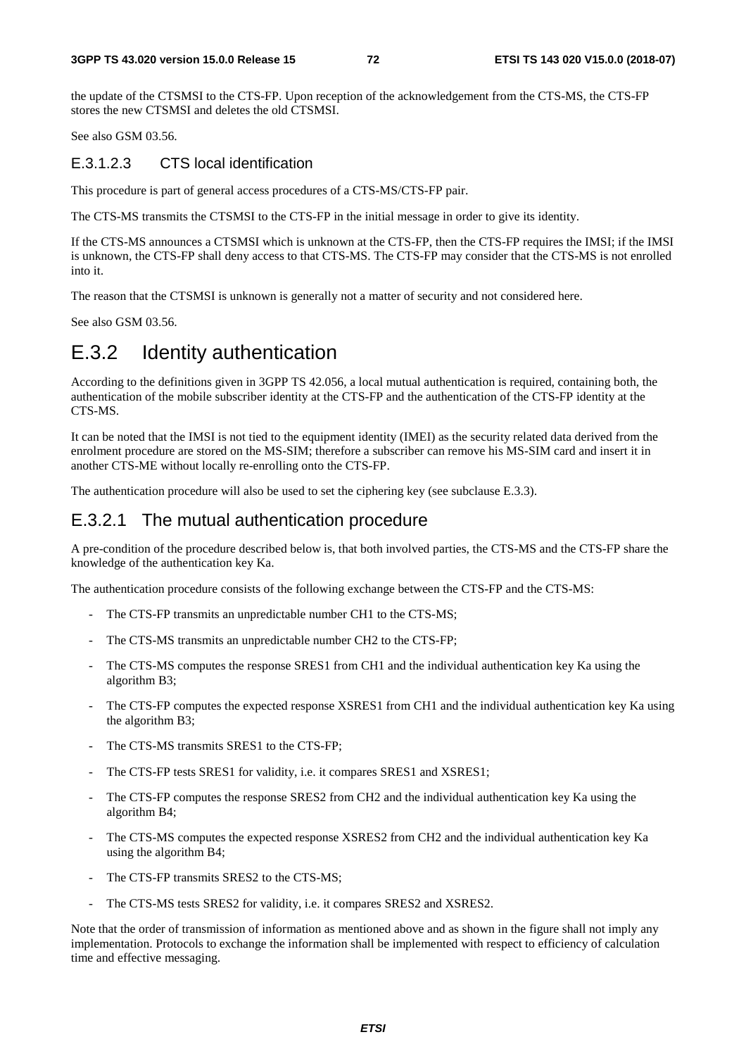the update of the CTSMSI to the CTS-FP. Upon reception of the acknowledgement from the CTS-MS, the CTS-FP stores the new CTSMSI and deletes the old CTSMSI.

See also GSM 03.56.

### E.3.1.2.3 CTS local identification

This procedure is part of general access procedures of a CTS-MS/CTS-FP pair.

The CTS-MS transmits the CTSMSI to the CTS-FP in the initial message in order to give its identity.

If the CTS-MS announces a CTSMSI which is unknown at the CTS-FP, then the CTS-FP requires the IMSI; if the IMSI is unknown, the CTS-FP shall deny access to that CTS-MS. The CTS-FP may consider that the CTS-MS is not enrolled into it.

The reason that the CTSMSI is unknown is generally not a matter of security and not considered here.

See also GSM 03.56.

## E.3.2 Identity authentication

According to the definitions given in 3GPP TS 42.056, a local mutual authentication is required, containing both, the authentication of the mobile subscriber identity at the CTS-FP and the authentication of the CTS-FP identity at the CTS-MS.

It can be noted that the IMSI is not tied to the equipment identity (IMEI) as the security related data derived from the enrolment procedure are stored on the MS-SIM; therefore a subscriber can remove his MS-SIM card and insert it in another CTS-ME without locally re-enrolling onto the CTS-FP.

The authentication procedure will also be used to set the ciphering key (see subclause E.3.3).

### E.3.2.1 The mutual authentication procedure

A pre-condition of the procedure described below is, that both involved parties, the CTS-MS and the CTS-FP share the knowledge of the authentication key Ka.

The authentication procedure consists of the following exchange between the CTS-FP and the CTS-MS:

- The CTS-FP transmits an unpredictable number CH1 to the CTS-MS;
- The CTS-MS transmits an unpredictable number CH2 to the CTS-FP;
- The CTS-MS computes the response SRES1 from CH1 and the individual authentication key Ka using the algorithm B3;
- The CTS-FP computes the expected response XSRES1 from CH1 and the individual authentication key Ka using the algorithm B3;
- The CTS-MS transmits SRES1 to the CTS-FP;
- The CTS-FP tests SRES1 for validity, i.e. it compares SRES1 and XSRES1;
- The CTS-FP computes the response SRES2 from CH2 and the individual authentication key Ka using the algorithm B4;
- The CTS-MS computes the expected response XSRES2 from CH2 and the individual authentication key Ka using the algorithm B4;
- The CTS-FP transmits SRES2 to the CTS-MS;
- The CTS-MS tests SRES2 for validity, i.e. it compares SRES2 and XSRES2.

Note that the order of transmission of information as mentioned above and as shown in the figure shall not imply any implementation. Protocols to exchange the information shall be implemented with respect to efficiency of calculation time and effective messaging.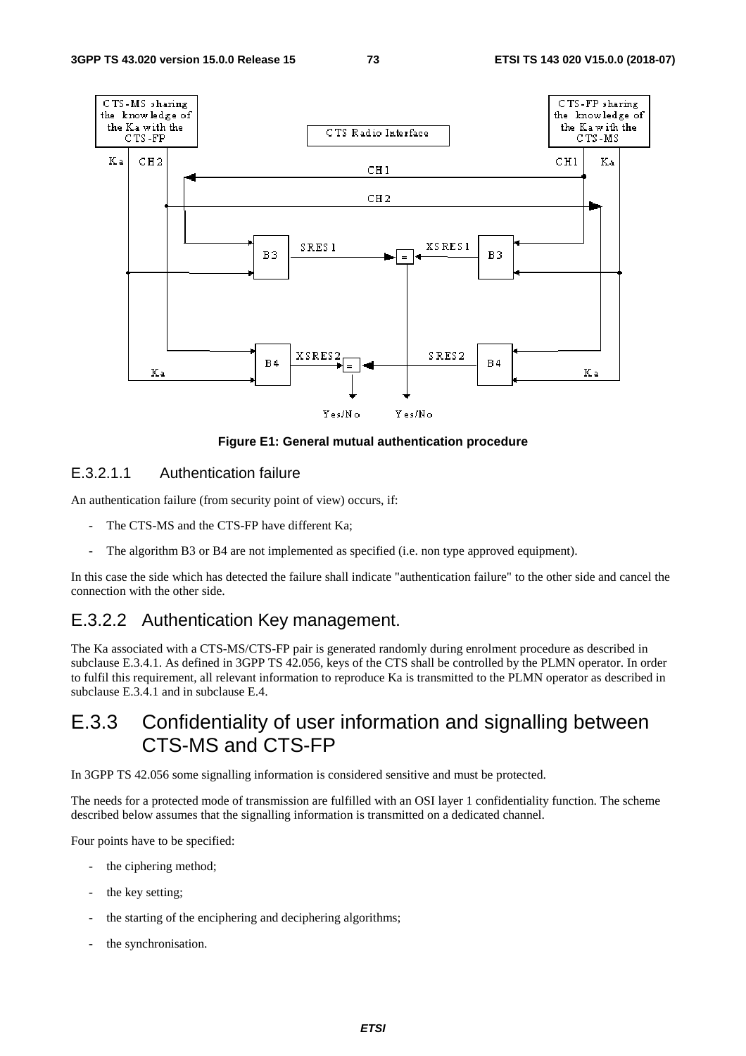

**Figure E1: General mutual authentication procedure** 

#### E.3.2.1.1 Authentication failure

An authentication failure (from security point of view) occurs, if:

- The CTS-MS and the CTS-FP have different Ka;
- The algorithm B3 or B4 are not implemented as specified (i.e. non type approved equipment).

In this case the side which has detected the failure shall indicate "authentication failure" to the other side and cancel the connection with the other side.

### E.3.2.2 Authentication Key management.

The Ka associated with a CTS-MS/CTS-FP pair is generated randomly during enrolment procedure as described in subclause E.3.4.1. As defined in 3GPP TS 42.056, keys of the CTS shall be controlled by the PLMN operator. In order to fulfil this requirement, all relevant information to reproduce Ka is transmitted to the PLMN operator as described in subclause E.3.4.1 and in subclause E.4.

## E.3.3 Confidentiality of user information and signalling between CTS-MS and CTS-FP

In 3GPP TS 42.056 some signalling information is considered sensitive and must be protected.

The needs for a protected mode of transmission are fulfilled with an OSI layer 1 confidentiality function. The scheme described below assumes that the signalling information is transmitted on a dedicated channel.

Four points have to be specified:

- the ciphering method;
- the key setting;
- the starting of the enciphering and deciphering algorithms;
- the synchronisation.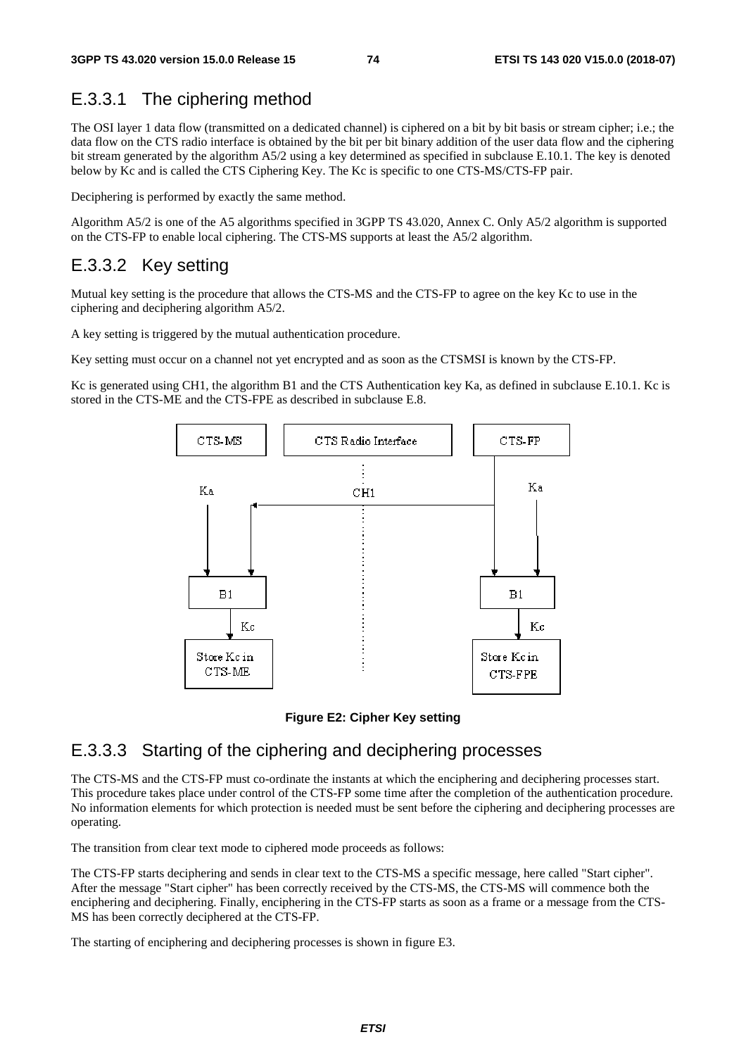## E.3.3.1 The ciphering method

The OSI layer 1 data flow (transmitted on a dedicated channel) is ciphered on a bit by bit basis or stream cipher; i.e.; the data flow on the CTS radio interface is obtained by the bit per bit binary addition of the user data flow and the ciphering bit stream generated by the algorithm A5/2 using a key determined as specified in subclause E.10.1. The key is denoted below by Kc and is called the CTS Ciphering Key. The Kc is specific to one CTS-MS/CTS-FP pair.

Deciphering is performed by exactly the same method.

Algorithm A5/2 is one of the A5 algorithms specified in 3GPP TS 43.020, Annex C. Only A5/2 algorithm is supported on the CTS-FP to enable local ciphering. The CTS-MS supports at least the A5/2 algorithm.

## E.3.3.2 Key setting

Mutual key setting is the procedure that allows the CTS-MS and the CTS-FP to agree on the key Kc to use in the ciphering and deciphering algorithm A5/2.

A key setting is triggered by the mutual authentication procedure.

Key setting must occur on a channel not yet encrypted and as soon as the CTSMSI is known by the CTS-FP.

Kc is generated using CH1, the algorithm B1 and the CTS Authentication key Ka, as defined in subclause E.10.1. Kc is stored in the CTS-ME and the CTS-FPE as described in subclause E.8.



**Figure E2: Cipher Key setting** 

## E.3.3.3 Starting of the ciphering and deciphering processes

The CTS-MS and the CTS-FP must co-ordinate the instants at which the enciphering and deciphering processes start. This procedure takes place under control of the CTS-FP some time after the completion of the authentication procedure. No information elements for which protection is needed must be sent before the ciphering and deciphering processes are operating.

The transition from clear text mode to ciphered mode proceeds as follows:

The CTS-FP starts deciphering and sends in clear text to the CTS-MS a specific message, here called "Start cipher". After the message "Start cipher" has been correctly received by the CTS-MS, the CTS-MS will commence both the enciphering and deciphering. Finally, enciphering in the CTS-FP starts as soon as a frame or a message from the CTS-MS has been correctly deciphered at the CTS-FP.

The starting of enciphering and deciphering processes is shown in figure E3.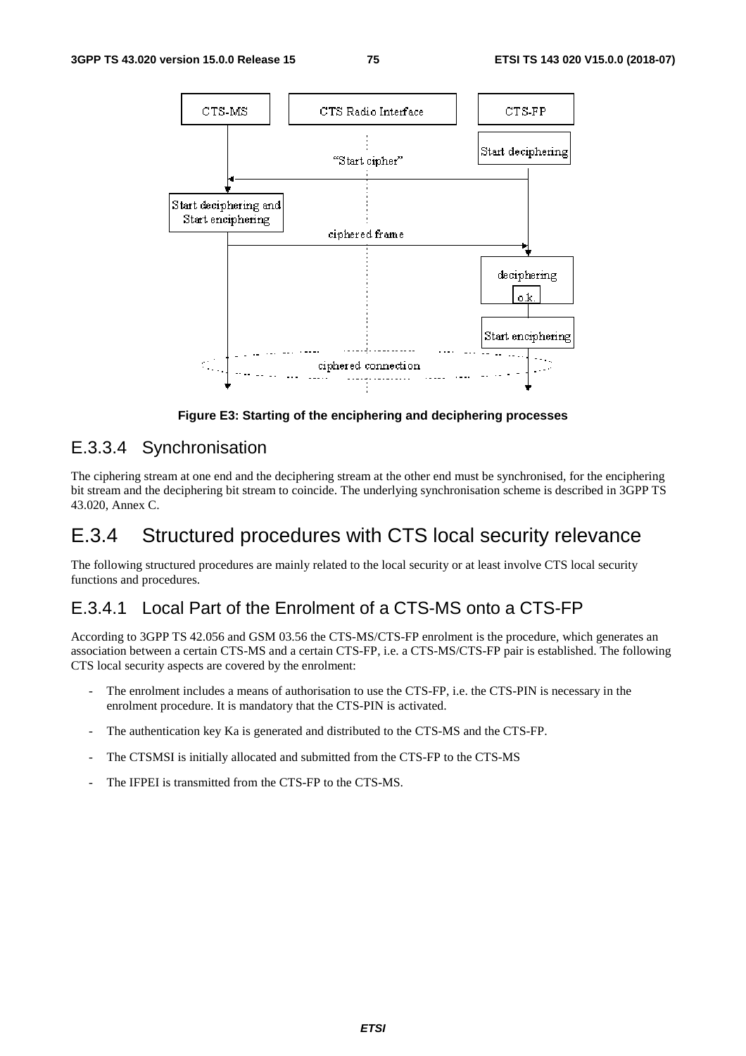

**Figure E3: Starting of the enciphering and deciphering processes** 

## E.3.3.4 Synchronisation

The ciphering stream at one end and the deciphering stream at the other end must be synchronised, for the enciphering bit stream and the deciphering bit stream to coincide. The underlying synchronisation scheme is described in 3GPP TS 43.020, Annex C.

# E.3.4 Structured procedures with CTS local security relevance

The following structured procedures are mainly related to the local security or at least involve CTS local security functions and procedures.

## E.3.4.1 Local Part of the Enrolment of a CTS-MS onto a CTS-FP

According to 3GPP TS 42.056 and GSM 03.56 the CTS-MS/CTS-FP enrolment is the procedure, which generates an association between a certain CTS-MS and a certain CTS-FP, i.e. a CTS-MS/CTS-FP pair is established. The following CTS local security aspects are covered by the enrolment:

- The enrolment includes a means of authorisation to use the CTS-FP, i.e. the CTS-PIN is necessary in the enrolment procedure. It is mandatory that the CTS-PIN is activated.
- The authentication key Ka is generated and distributed to the CTS-MS and the CTS-FP.
- The CTSMSI is initially allocated and submitted from the CTS-FP to the CTS-MS
- The IFPEI is transmitted from the CTS-FP to the CTS-MS.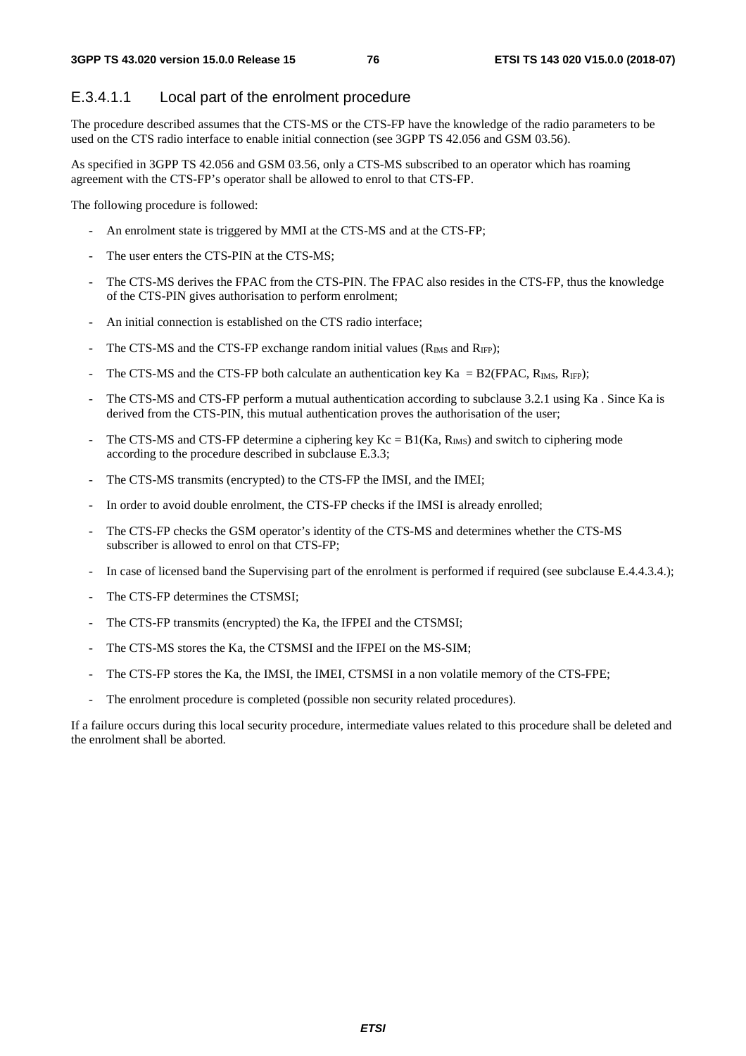### E.3.4.1.1 Local part of the enrolment procedure

The procedure described assumes that the CTS-MS or the CTS-FP have the knowledge of the radio parameters to be used on the CTS radio interface to enable initial connection (see 3GPP TS 42.056 and GSM 03.56).

As specified in 3GPP TS 42.056 and GSM 03.56, only a CTS-MS subscribed to an operator which has roaming agreement with the CTS-FP's operator shall be allowed to enrol to that CTS-FP.

The following procedure is followed:

- An enrolment state is triggered by MMI at the CTS-MS and at the CTS-FP;
- The user enters the CTS-PIN at the CTS-MS:
- The CTS-MS derives the FPAC from the CTS-PIN. The FPAC also resides in the CTS-FP, thus the knowledge of the CTS-PIN gives authorisation to perform enrolment;
- An initial connection is established on the CTS radio interface;
- The CTS-MS and the CTS-FP exchange random initial values ( $R_{\text{IMS}}$  and  $R_{\text{IF}}$ );
- The CTS-MS and the CTS-FP both calculate an authentication key Ka =  $B2(FPAC, R_{IMS}, R_{IFP})$ ;
- The CTS-MS and CTS-FP perform a mutual authentication according to subclause 3.2.1 using Ka. Since Ka is derived from the CTS-PIN, this mutual authentication proves the authorisation of the user;
- The CTS-MS and CTS-FP determine a ciphering key Kc =  $B1(Ka, R_{\text{IMS}})$  and switch to ciphering mode according to the procedure described in subclause E.3.3;
- The CTS-MS transmits (encrypted) to the CTS-FP the IMSI, and the IMEI;
- In order to avoid double enrolment, the CTS-FP checks if the IMSI is already enrolled;
- The CTS-FP checks the GSM operator's identity of the CTS-MS and determines whether the CTS-MS subscriber is allowed to enrol on that CTS-FP;
- In case of licensed band the Supervising part of the enrolment is performed if required (see subclause E.4.4.3.4.);
- The CTS-FP determines the CTSMSI;
- The CTS-FP transmits (encrypted) the Ka, the IFPEI and the CTSMSI;
- The CTS-MS stores the Ka, the CTSMSI and the IFPEI on the MS-SIM;
- The CTS-FP stores the Ka, the IMSI, the IMEI, CTSMSI in a non volatile memory of the CTS-FPE;
- The enrolment procedure is completed (possible non security related procedures).

If a failure occurs during this local security procedure, intermediate values related to this procedure shall be deleted and the enrolment shall be aborted.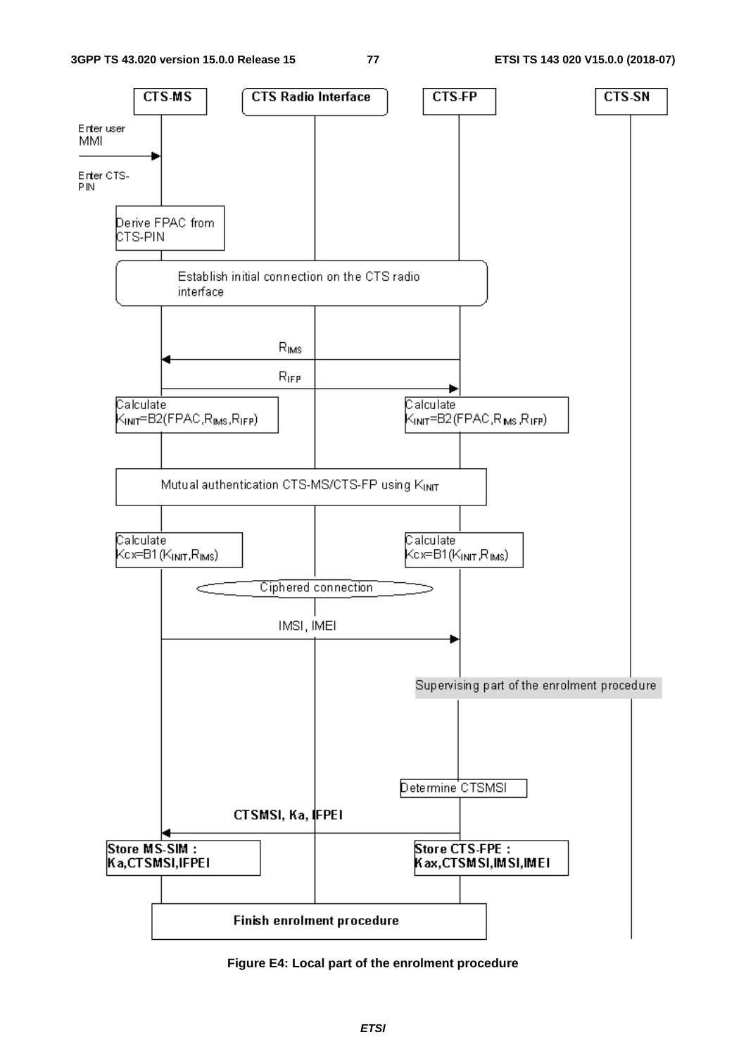

**Figure E4: Local part of the enrolment procedure**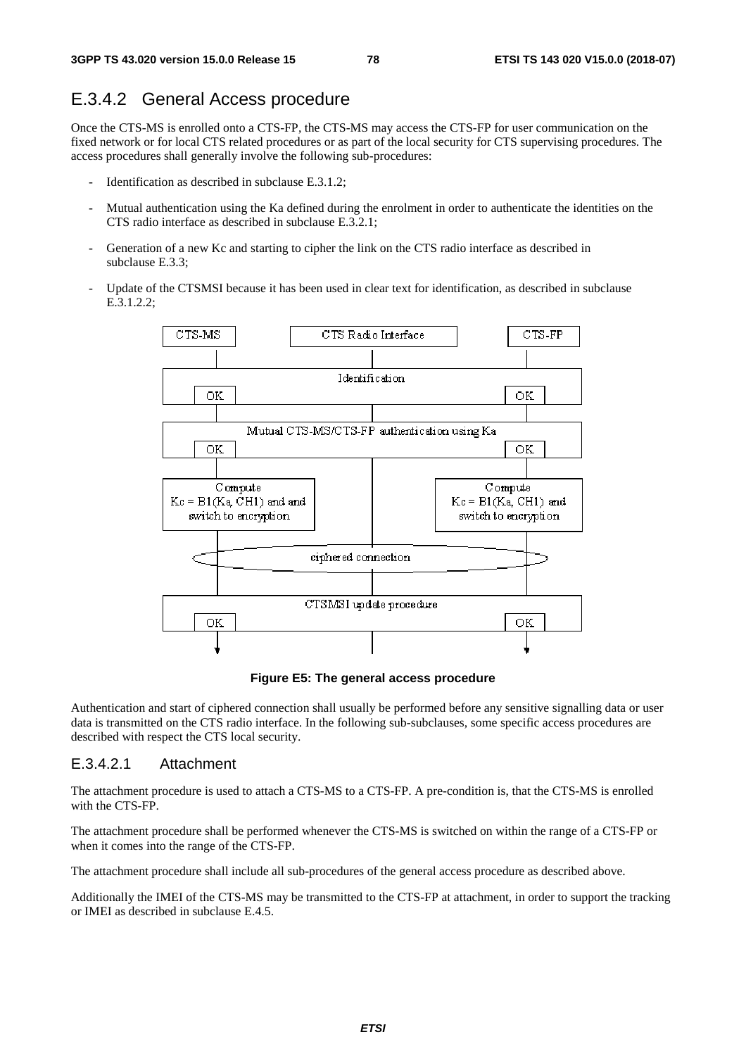## E.3.4.2 General Access procedure

Once the CTS-MS is enrolled onto a CTS-FP, the CTS-MS may access the CTS-FP for user communication on the fixed network or for local CTS related procedures or as part of the local security for CTS supervising procedures. The access procedures shall generally involve the following sub-procedures:

- Identification as described in subclause E.3.1.2;
- Mutual authentication using the Ka defined during the enrolment in order to authenticate the identities on the CTS radio interface as described in subclause E.3.2.1;
- Generation of a new Kc and starting to cipher the link on the CTS radio interface as described in subclause E.3.3;
- Update of the CTSMSI because it has been used in clear text for identification, as described in subclause E.3.1.2.2;



**Figure E5: The general access procedure** 

Authentication and start of ciphered connection shall usually be performed before any sensitive signalling data or user data is transmitted on the CTS radio interface. In the following sub-subclauses, some specific access procedures are described with respect the CTS local security.

### E.3.4.2.1 Attachment

The attachment procedure is used to attach a CTS-MS to a CTS-FP. A pre-condition is, that the CTS-MS is enrolled with the CTS-FP.

The attachment procedure shall be performed whenever the CTS-MS is switched on within the range of a CTS-FP or when it comes into the range of the CTS-FP.

The attachment procedure shall include all sub-procedures of the general access procedure as described above.

Additionally the IMEI of the CTS-MS may be transmitted to the CTS-FP at attachment, in order to support the tracking or IMEI as described in subclause E.4.5.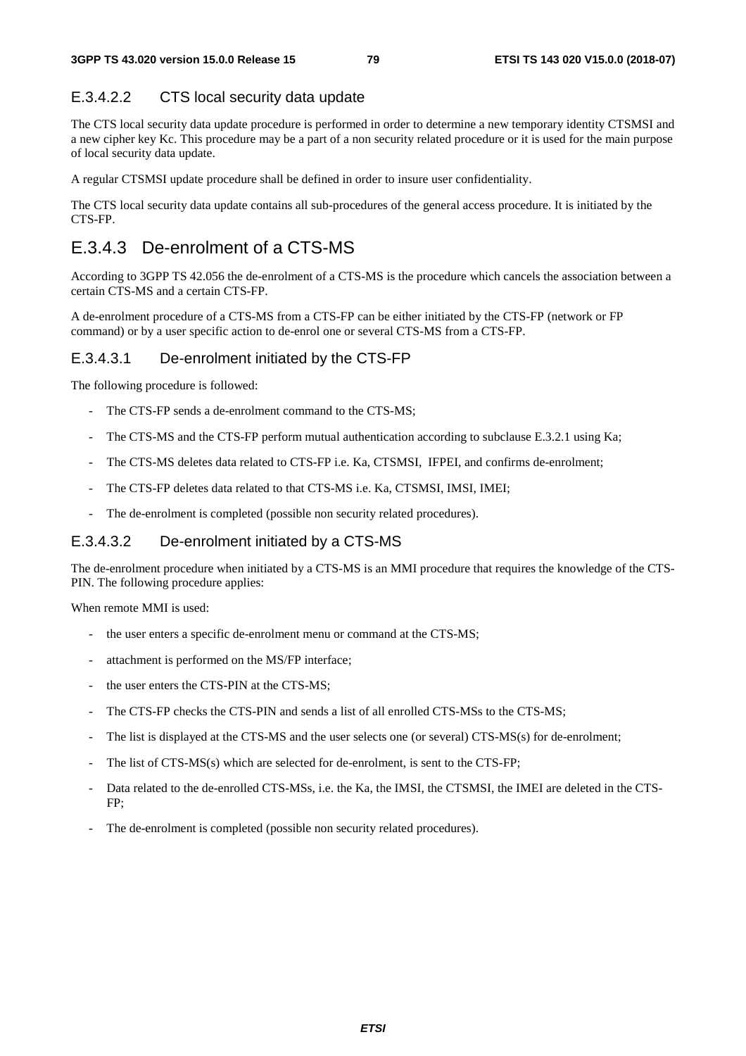## E.3.4.2.2 CTS local security data update

The CTS local security data update procedure is performed in order to determine a new temporary identity CTSMSI and a new cipher key Kc. This procedure may be a part of a non security related procedure or it is used for the main purpose of local security data update.

A regular CTSMSI update procedure shall be defined in order to insure user confidentiality.

The CTS local security data update contains all sub-procedures of the general access procedure. It is initiated by the CTS-FP.

# E.3.4.3 De-enrolment of a CTS-MS

According to 3GPP TS 42.056 the de-enrolment of a CTS-MS is the procedure which cancels the association between a certain CTS-MS and a certain CTS-FP.

A de-enrolment procedure of a CTS-MS from a CTS-FP can be either initiated by the CTS-FP (network or FP command) or by a user specific action to de-enrol one or several CTS-MS from a CTS-FP.

## E.3.4.3.1 De-enrolment initiated by the CTS-FP

The following procedure is followed:

- The CTS-FP sends a de-enrolment command to the CTS-MS;
- The CTS-MS and the CTS-FP perform mutual authentication according to subclause E.3.2.1 using Ka;
- The CTS-MS deletes data related to CTS-FP i.e. Ka, CTSMSI, IFPEI, and confirms de-enrolment;
- The CTS-FP deletes data related to that CTS-MS i.e. Ka, CTSMSI, IMSI, IMEI;
- The de-enrolment is completed (possible non security related procedures).

### E.3.4.3.2 De-enrolment initiated by a CTS-MS

The de-enrolment procedure when initiated by a CTS-MS is an MMI procedure that requires the knowledge of the CTS-PIN. The following procedure applies:

When remote MMI is used:

- the user enters a specific de-enrolment menu or command at the CTS-MS;
- attachment is performed on the MS/FP interface;
- the user enters the CTS-PIN at the CTS-MS;
- The CTS-FP checks the CTS-PIN and sends a list of all enrolled CTS-MSs to the CTS-MS;
- The list is displayed at the CTS-MS and the user selects one (or several) CTS-MS(s) for de-enrolment;
- The list of  $CTS\text{-}MS(s)$  which are selected for de-enrolment, is sent to the  $CTS\text{-}FP$ ;
- Data related to the de-enrolled CTS-MSs, i.e. the Ka, the IMSI, the CTSMSI, the IMEI are deleted in the CTS-FP;
- The de-enrolment is completed (possible non security related procedures).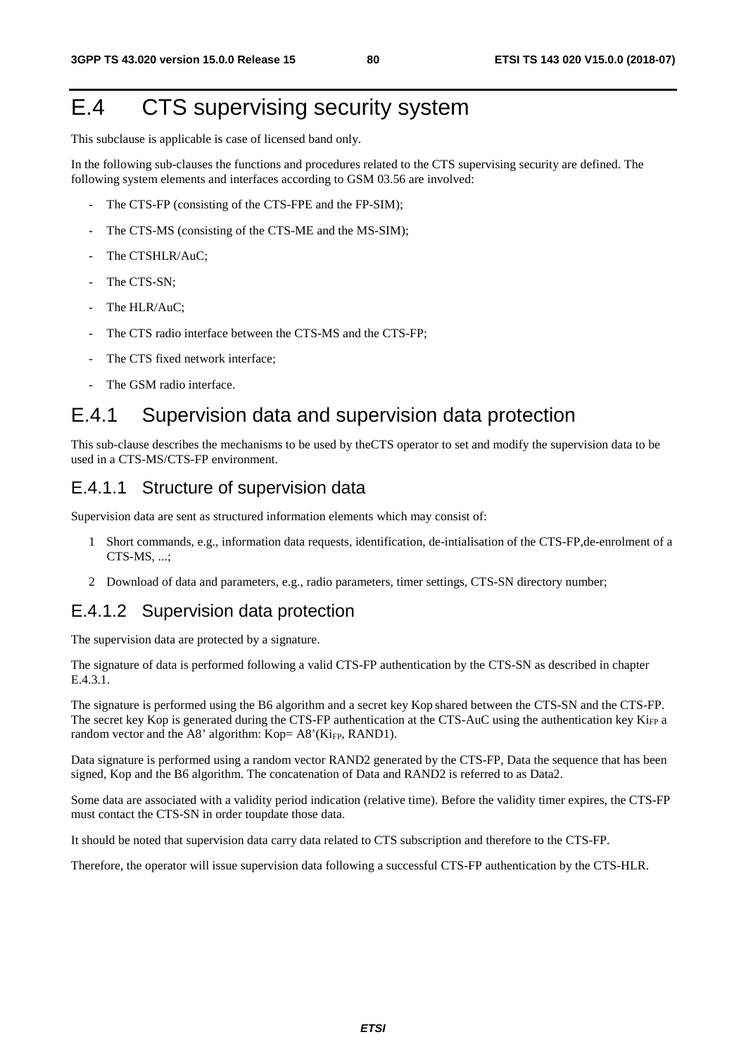# E.4 CTS supervising security system

This subclause is applicable is case of licensed band only.

In the following sub-clauses the functions and procedures related to the CTS supervising security are defined. The following system elements and interfaces according to GSM 03.56 are involved:

- The CTS-FP (consisting of the CTS-FPE and the FP-SIM);
- The CTS-MS (consisting of the CTS-ME and the MS-SIM);
- The CTSHLR/AuC;
- The CTS-SN;
- The HLR/AuC:
- The CTS radio interface between the CTS-MS and the CTS-FP;
- The CTS fixed network interface;
- The GSM radio interface.

## E.4.1 Supervision data and supervision data protection

This sub-clause describes the mechanisms to be used by theCTS operator to set and modify the supervision data to be used in a CTS-MS/CTS-FP environment.

### E.4.1.1 Structure of supervision data

Supervision data are sent as structured information elements which may consist of:

- 1 Short commands, e.g., information data requests, identification, de-intialisation of the CTS-FP,de-enrolment of a CTS-MS, ...;
- 2 Download of data and parameters, e.g., radio parameters, timer settings, CTS-SN directory number;

## E.4.1.2 Supervision data protection

The supervision data are protected by a signature.

The signature of data is performed following a valid CTS-FP authentication by the CTS-SN as described in chapter E.4.3.1.

The signature is performed using the B6 algorithm and a secret key Kop shared between the CTS-SN and the CTS-FP. The secret key Kop is generated during the CTS-FP authentication at the CTS-AuC using the authentication key Ki<sub>FP</sub> a random vector and the A8' algorithm: Kop= A8'(Ki<sub>FP</sub>, RAND1).

Data signature is performed using a random vector RAND2 generated by the CTS-FP, Data the sequence that has been signed, Kop and the B6 algorithm. The concatenation of Data and RAND2 is referred to as Data2.

Some data are associated with a validity period indication (relative time). Before the validity timer expires, the CTS-FP must contact the CTS-SN in order toupdate those data.

It should be noted that supervision data carry data related to CTS subscription and therefore to the CTS-FP.

Therefore, the operator will issue supervision data following a successful CTS-FP authentication by the CTS-HLR.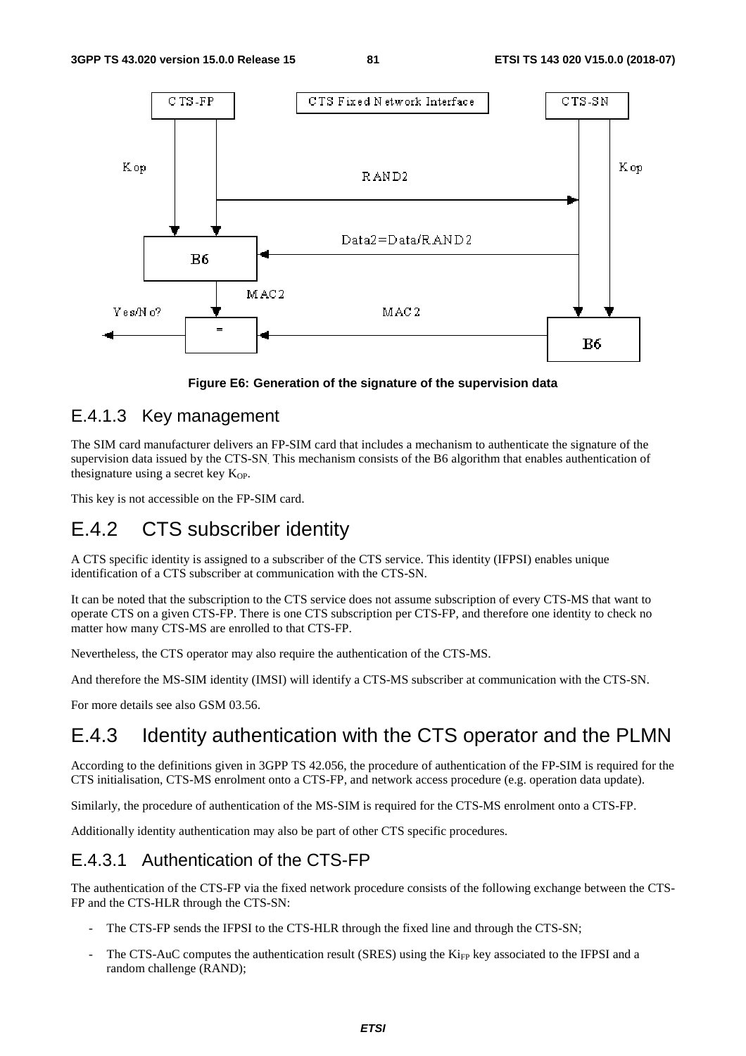

**Figure E6: Generation of the signature of the supervision data** 

### E.4.1.3 Key management

The SIM card manufacturer delivers an FP-SIM card that includes a mechanism to authenticate the signature of the supervision data issued by the CTS-SN. This mechanism consists of the B6 algorithm that enables authentication of thesignature using a secret key K<sub>OP</sub>.

This key is not accessible on the FP-SIM card.

# E.4.2 CTS subscriber identity

A CTS specific identity is assigned to a subscriber of the CTS service. This identity (IFPSI) enables unique identification of a CTS subscriber at communication with the CTS-SN.

It can be noted that the subscription to the CTS service does not assume subscription of every CTS-MS that want to operate CTS on a given CTS-FP. There is one CTS subscription per CTS-FP, and therefore one identity to check no matter how many CTS-MS are enrolled to that CTS-FP.

Nevertheless, the CTS operator may also require the authentication of the CTS-MS.

And therefore the MS-SIM identity (IMSI) will identify a CTS-MS subscriber at communication with the CTS-SN.

For more details see also GSM 03.56.

## E.4.3 Identity authentication with the CTS operator and the PLMN

According to the definitions given in 3GPP TS 42.056, the procedure of authentication of the FP-SIM is required for the CTS initialisation, CTS-MS enrolment onto a CTS-FP, and network access procedure (e.g. operation data update).

Similarly, the procedure of authentication of the MS-SIM is required for the CTS-MS enrolment onto a CTS-FP.

Additionally identity authentication may also be part of other CTS specific procedures.

## E.4.3.1 Authentication of the CTS-FP

The authentication of the CTS-FP via the fixed network procedure consists of the following exchange between the CTS-FP and the CTS-HLR through the CTS-SN:

- The CTS-FP sends the IFPSI to the CTS-HLR through the fixed line and through the CTS-SN;
- The CTS-AuC computes the authentication result (SRES) using the Ki<sub>FP</sub> key associated to the IFPSI and a random challenge (RAND);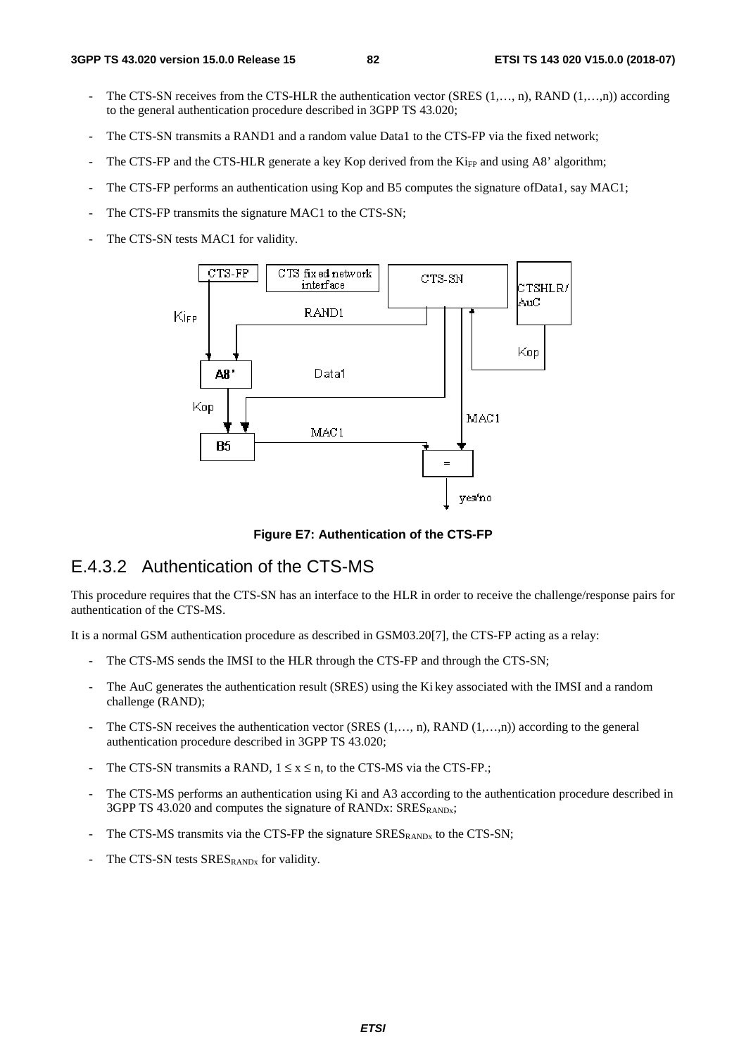- The CTS-SN receives from the CTS-HLR the authentication vector (SRES (1,…, n), RAND (1,…,n)) according to the general authentication procedure described in 3GPP TS 43.020;
- The CTS-SN transmits a RAND1 and a random value Data1 to the CTS-FP via the fixed network;
- The CTS-FP and the CTS-HLR generate a key Kop derived from the  $Ki<sub>FP</sub>$  and using A8' algorithm;
- The CTS-FP performs an authentication using Kop and B5 computes the signature of Data1, say MAC1;
- The CTS-FP transmits the signature MAC1 to the CTS-SN;
- The CTS-SN tests MAC1 for validity.



**Figure E7: Authentication of the CTS-FP** 

### E.4.3.2 Authentication of the CTS-MS

This procedure requires that the CTS-SN has an interface to the HLR in order to receive the challenge/response pairs for authentication of the CTS-MS.

It is a normal GSM authentication procedure as described in GSM03.20[7], the CTS-FP acting as a relay:

- The CTS-MS sends the IMSI to the HLR through the CTS-FP and through the CTS-SN;
- The AuC generates the authentication result (SRES) using the Ki key associated with the IMSI and a random challenge (RAND);
- The CTS-SN receives the authentication vector (SRES (1,..., n), RAND (1,...,n)) according to the general authentication procedure described in 3GPP TS 43.020;
- The CTS-SN transmits a RAND,  $1 \le x \le n$ , to the CTS-MS via the CTS-FP.;
- The CTS-MS performs an authentication using Ki and A3 according to the authentication procedure described in 3GPP TS 43.020 and computes the signature of RANDx: SRESRANDx;
- The CTS-MS transmits via the CTS-FP the signature  $SRES_{RANDx}$  to the CTS-SN;
- The CTS-SN tests SRES<sub>RANDx</sub> for validity.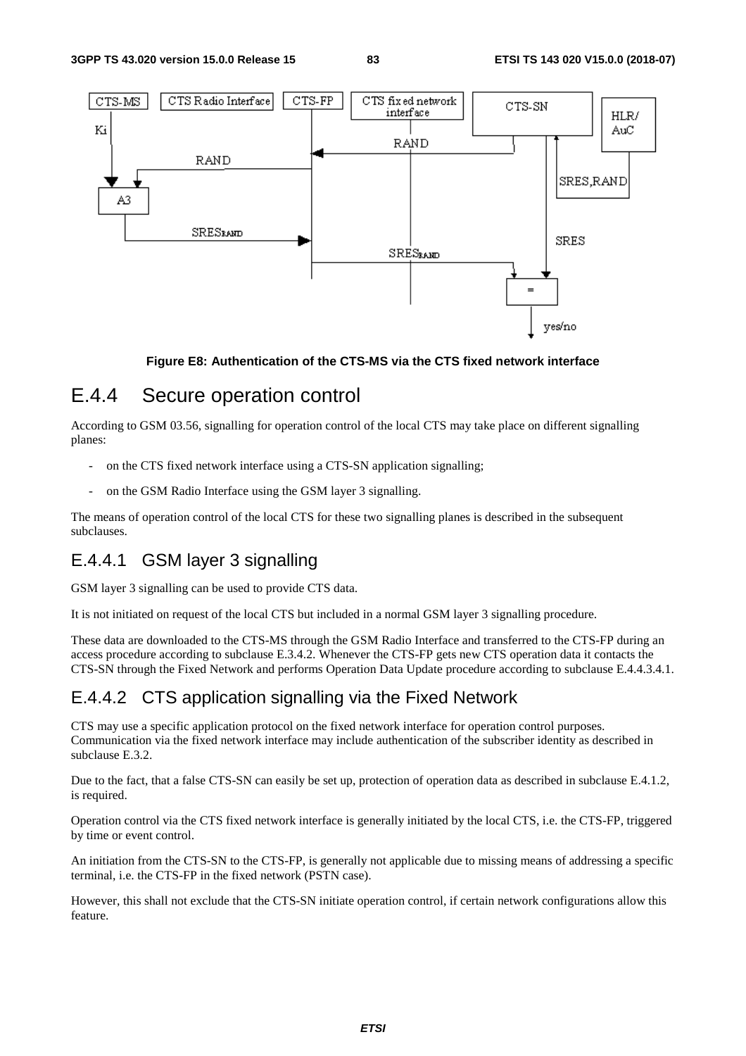

### **Figure E8: Authentication of the CTS-MS via the CTS fixed network interface**

# E.4.4 Secure operation control

According to GSM 03.56, signalling for operation control of the local CTS may take place on different signalling planes:

- on the CTS fixed network interface using a CTS-SN application signalling;
- on the GSM Radio Interface using the GSM layer 3 signalling.

The means of operation control of the local CTS for these two signalling planes is described in the subsequent subclauses.

## E.4.4.1 GSM layer 3 signalling

GSM layer 3 signalling can be used to provide CTS data.

It is not initiated on request of the local CTS but included in a normal GSM layer 3 signalling procedure.

These data are downloaded to the CTS-MS through the GSM Radio Interface and transferred to the CTS-FP during an access procedure according to subclause E.3.4.2. Whenever the CTS-FP gets new CTS operation data it contacts the CTS-SN through the Fixed Network and performs Operation Data Update procedure according to subclause E.4.4.3.4.1.

## E.4.4.2 CTS application signalling via the Fixed Network

CTS may use a specific application protocol on the fixed network interface for operation control purposes. Communication via the fixed network interface may include authentication of the subscriber identity as described in subclause E.3.2.

Due to the fact, that a false CTS-SN can easily be set up, protection of operation data as described in subclause E.4.1.2, is required.

Operation control via the CTS fixed network interface is generally initiated by the local CTS, i.e. the CTS-FP, triggered by time or event control.

An initiation from the CTS-SN to the CTS-FP, is generally not applicable due to missing means of addressing a specific terminal, i.e. the CTS-FP in the fixed network (PSTN case).

However, this shall not exclude that the CTS-SN initiate operation control, if certain network configurations allow this feature.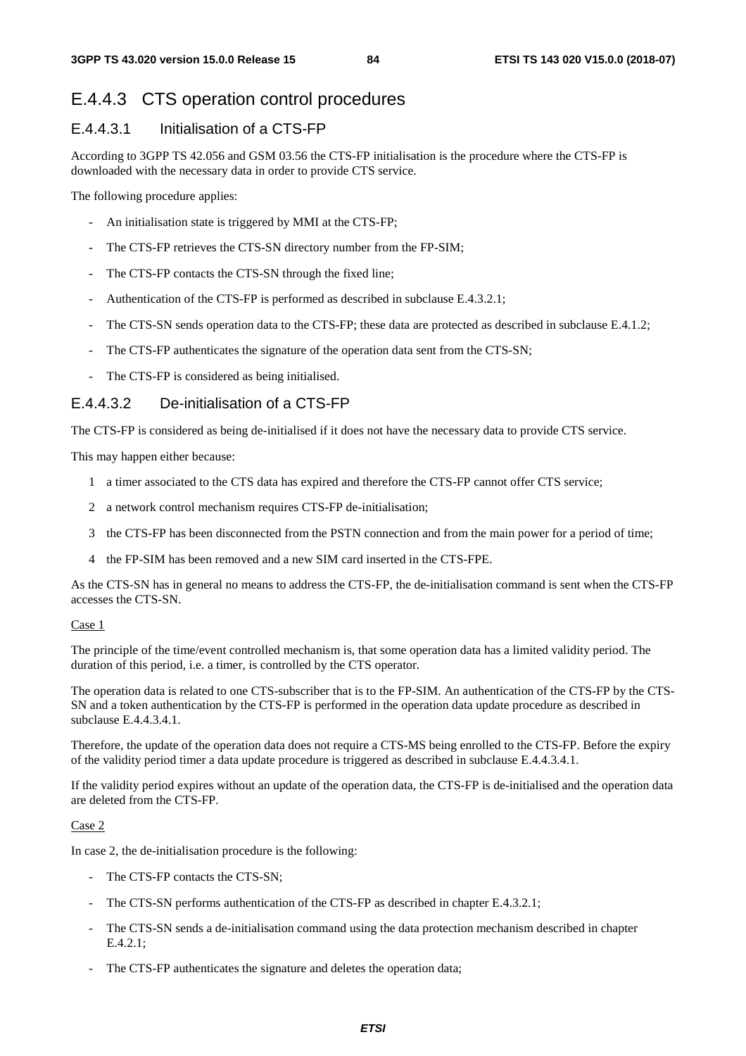## E.4.4.3 CTS operation control procedures

### E.4.4.3.1 Initialisation of a CTS-FP

According to 3GPP TS 42.056 and GSM 03.56 the CTS-FP initialisation is the procedure where the CTS-FP is downloaded with the necessary data in order to provide CTS service.

The following procedure applies:

- An initialisation state is triggered by MMI at the CTS-FP;
- The CTS-FP retrieves the CTS-SN directory number from the FP-SIM;
- The CTS-FP contacts the CTS-SN through the fixed line;
- Authentication of the CTS-FP is performed as described in subclause E.4.3.2.1;
- The CTS-SN sends operation data to the CTS-FP; these data are protected as described in subclause E.4.1.2;
- The CTS-FP authenticates the signature of the operation data sent from the CTS-SN;
- The CTS-FP is considered as being initialised.

### E.4.4.3.2 De-initialisation of a CTS-FP

The CTS-FP is considered as being de-initialised if it does not have the necessary data to provide CTS service.

This may happen either because:

- 1 a timer associated to the CTS data has expired and therefore the CTS-FP cannot offer CTS service;
- 2 a network control mechanism requires CTS-FP de-initialisation;
- 3 the CTS-FP has been disconnected from the PSTN connection and from the main power for a period of time;
- 4 the FP-SIM has been removed and a new SIM card inserted in the CTS-FPE.

As the CTS-SN has in general no means to address the CTS-FP, the de-initialisation command is sent when the CTS-FP accesses the CTS-SN.

#### Case 1

The principle of the time/event controlled mechanism is, that some operation data has a limited validity period. The duration of this period, i.e. a timer, is controlled by the CTS operator.

The operation data is related to one CTS-subscriber that is to the FP-SIM. An authentication of the CTS-FP by the CTS-SN and a token authentication by the CTS-FP is performed in the operation data update procedure as described in subclause E.4.4.3.4.1.

Therefore, the update of the operation data does not require a CTS-MS being enrolled to the CTS-FP. Before the expiry of the validity period timer a data update procedure is triggered as described in subclause E.4.4.3.4.1.

If the validity period expires without an update of the operation data, the CTS-FP is de-initialised and the operation data are deleted from the CTS-FP.

#### Case 2

In case 2, the de-initialisation procedure is the following:

- The CTS-FP contacts the CTS-SN;
- The CTS-SN performs authentication of the CTS-FP as described in chapter E.4.3.2.1;
- The CTS-SN sends a de-initialisation command using the data protection mechanism described in chapter E.4.2.1;
- The CTS-FP authenticates the signature and deletes the operation data;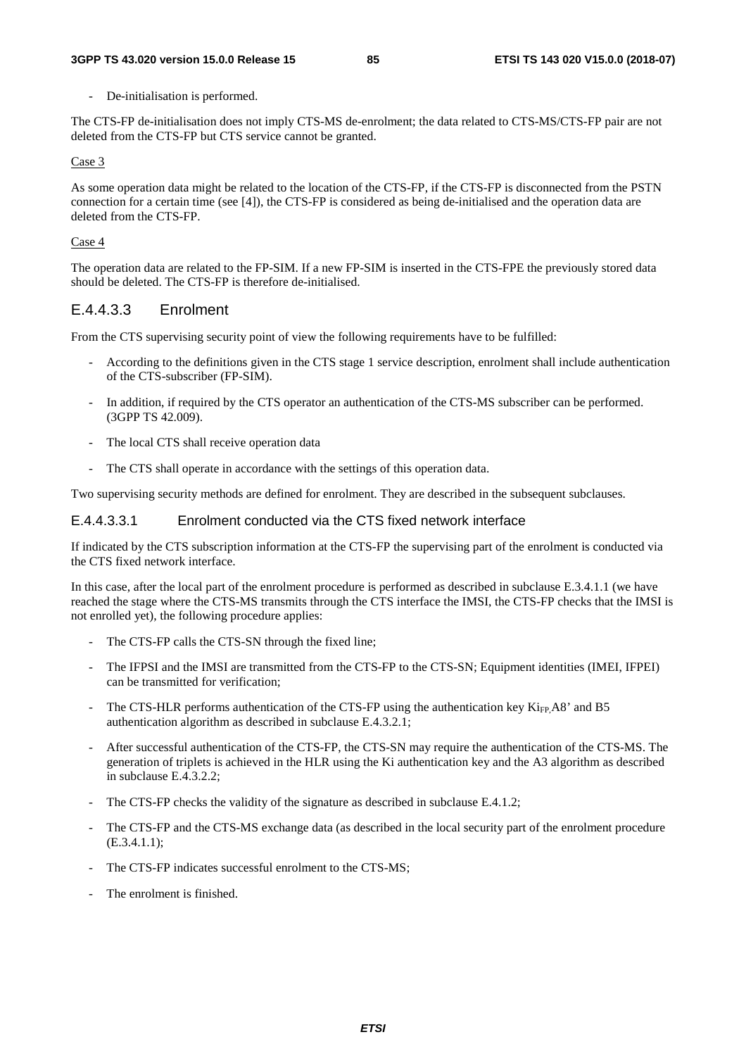De-initialisation is performed.

The CTS-FP de-initialisation does not imply CTS-MS de-enrolment; the data related to CTS-MS/CTS-FP pair are not deleted from the CTS-FP but CTS service cannot be granted.

#### Case 3

As some operation data might be related to the location of the CTS-FP, if the CTS-FP is disconnected from the PSTN connection for a certain time (see [4]), the CTS-FP is considered as being de-initialised and the operation data are deleted from the CTS-FP.

#### Case 4

The operation data are related to the FP-SIM. If a new FP-SIM is inserted in the CTS-FPE the previously stored data should be deleted. The CTS-FP is therefore de-initialised.

### E.4.4.3.3 Enrolment

From the CTS supervising security point of view the following requirements have to be fulfilled:

- According to the definitions given in the CTS stage 1 service description, enrolment shall include authentication of the CTS-subscriber (FP-SIM).
- In addition, if required by the CTS operator an authentication of the CTS-MS subscriber can be performed. (3GPP TS 42.009).
- The local CTS shall receive operation data
- The CTS shall operate in accordance with the settings of this operation data.

Two supervising security methods are defined for enrolment. They are described in the subsequent subclauses.

#### E.4.4.3.3.1 Enrolment conducted via the CTS fixed network interface

If indicated by the CTS subscription information at the CTS-FP the supervising part of the enrolment is conducted via the CTS fixed network interface.

In this case, after the local part of the enrolment procedure is performed as described in subclause E.3.4.1.1 (we have reached the stage where the CTS-MS transmits through the CTS interface the IMSI, the CTS-FP checks that the IMSI is not enrolled yet), the following procedure applies:

- The CTS-FP calls the CTS-SN through the fixed line;
- The IFPSI and the IMSI are transmitted from the CTS-FP to the CTS-SN; Equipment identities (IMEI, IFPEI) can be transmitted for verification;
- The CTS-HLR performs authentication of the CTS-FP using the authentication key  $\rm{K_{IF}}$ A8' and B5 authentication algorithm as described in subclause E.4.3.2.1;
- After successful authentication of the CTS-FP, the CTS-SN may require the authentication of the CTS-MS. The generation of triplets is achieved in the HLR using the Ki authentication key and the A3 algorithm as described in subclause E.4.3.2.2;
- The CTS-FP checks the validity of the signature as described in subclause E.4.1.2;
- The CTS-FP and the CTS-MS exchange data (as described in the local security part of the enrolment procedure (E.3.4.1.1);
- The CTS-FP indicates successful enrolment to the CTS-MS;
- The enrolment is finished.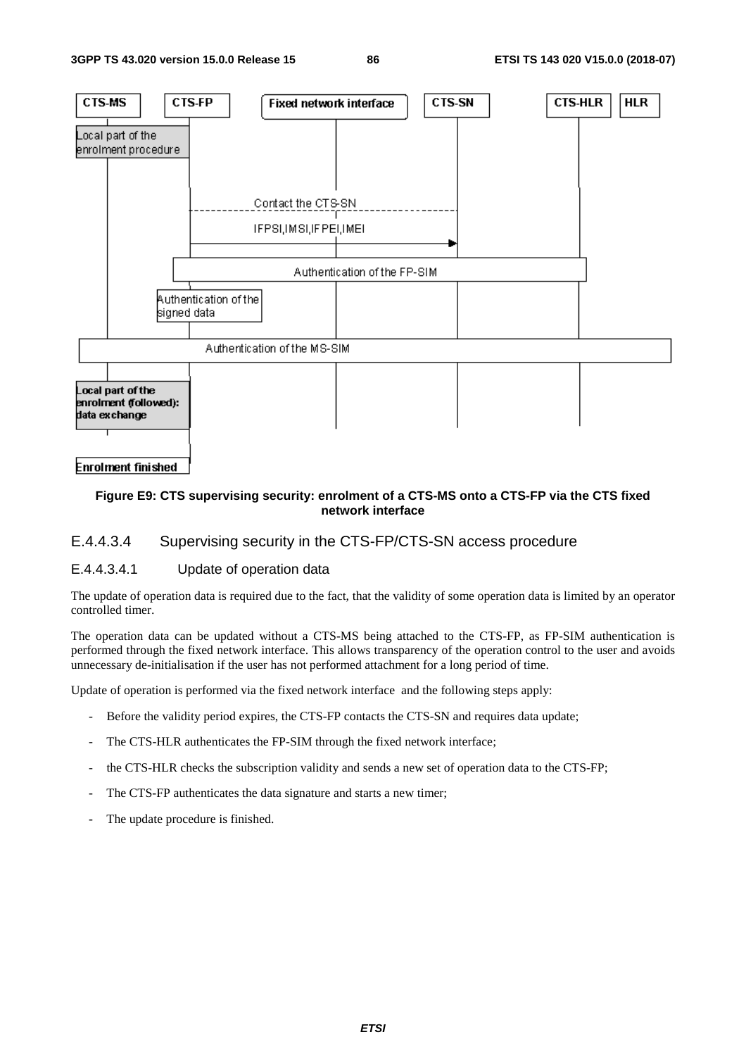

### **Figure E9: CTS supervising security: enrolment of a CTS-MS onto a CTS-FP via the CTS fixed network interface**

### E.4.4.3.4 Supervising security in the CTS-FP/CTS-SN access procedure

### E.4.4.3.4.1 Update of operation data

The update of operation data is required due to the fact, that the validity of some operation data is limited by an operator controlled timer.

The operation data can be updated without a CTS-MS being attached to the CTS-FP, as FP-SIM authentication is performed through the fixed network interface. This allows transparency of the operation control to the user and avoids unnecessary de-initialisation if the user has not performed attachment for a long period of time.

Update of operation is performed via the fixed network interface and the following steps apply:

- Before the validity period expires, the CTS-FP contacts the CTS-SN and requires data update;
- The CTS-HLR authenticates the FP-SIM through the fixed network interface;
- the CTS-HLR checks the subscription validity and sends a new set of operation data to the CTS-FP;
- The CTS-FP authenticates the data signature and starts a new timer;
- The update procedure is finished.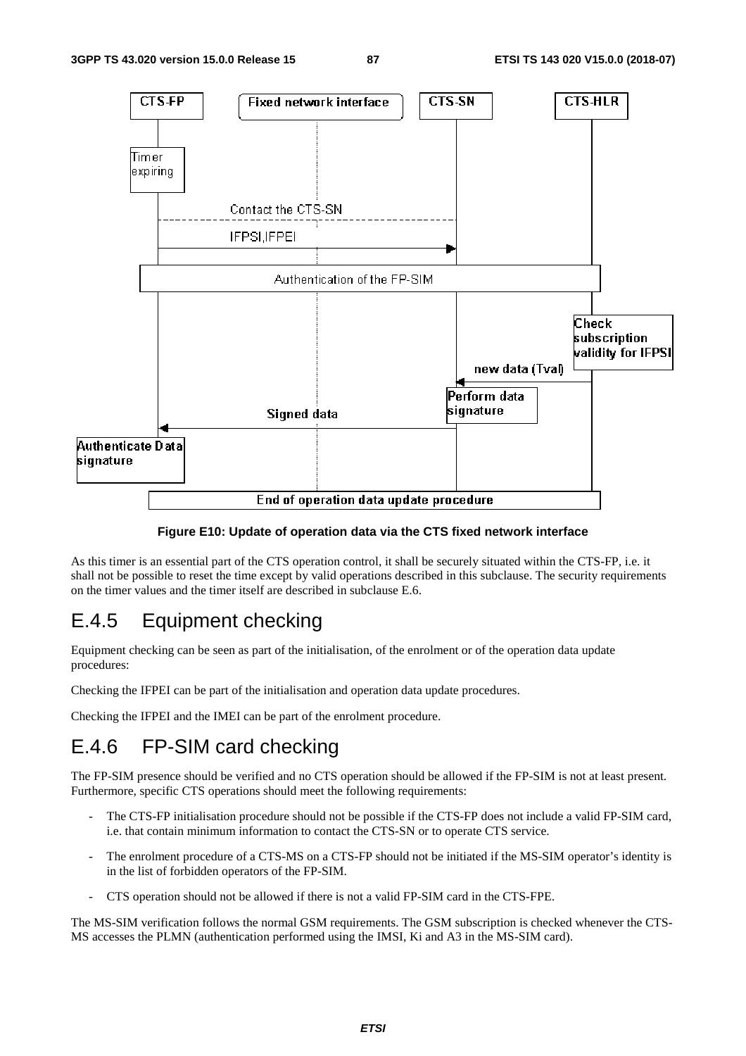

**Figure E10: Update of operation data via the CTS fixed network interface** 

As this timer is an essential part of the CTS operation control, it shall be securely situated within the CTS-FP, i.e. it shall not be possible to reset the time except by valid operations described in this subclause. The security requirements on the timer values and the timer itself are described in subclause E.6.

## E.4.5 Equipment checking

Equipment checking can be seen as part of the initialisation, of the enrolment or of the operation data update procedures:

Checking the IFPEI can be part of the initialisation and operation data update procedures.

Checking the IFPEI and the IMEI can be part of the enrolment procedure.

# E.4.6 FP-SIM card checking

The FP-SIM presence should be verified and no CTS operation should be allowed if the FP-SIM is not at least present. Furthermore, specific CTS operations should meet the following requirements:

- The CTS-FP initialisation procedure should not be possible if the CTS-FP does not include a valid FP-SIM card, i.e. that contain minimum information to contact the CTS-SN or to operate CTS service.
- The enrolment procedure of a CTS-MS on a CTS-FP should not be initiated if the MS-SIM operator's identity is in the list of forbidden operators of the FP-SIM.
- CTS operation should not be allowed if there is not a valid FP-SIM card in the CTS-FPE.

The MS-SIM verification follows the normal GSM requirements. The GSM subscription is checked whenever the CTS-MS accesses the PLMN (authentication performed using the IMSI, Ki and A3 in the MS-SIM card).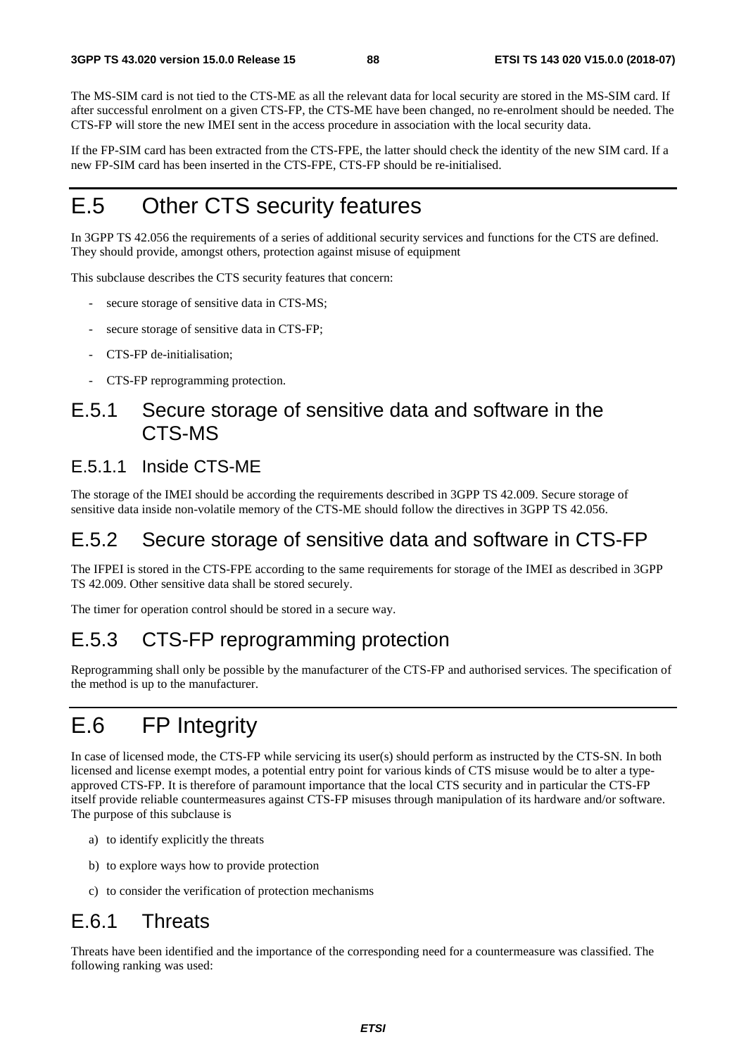The MS-SIM card is not tied to the CTS-ME as all the relevant data for local security are stored in the MS-SIM card. If after successful enrolment on a given CTS-FP, the CTS-ME have been changed, no re-enrolment should be needed. The CTS-FP will store the new IMEI sent in the access procedure in association with the local security data.

If the FP-SIM card has been extracted from the CTS-FPE, the latter should check the identity of the new SIM card. If a new FP-SIM card has been inserted in the CTS-FPE, CTS-FP should be re-initialised.

# E.5 Other CTS security features

In 3GPP TS 42.056 the requirements of a series of additional security services and functions for the CTS are defined. They should provide, amongst others, protection against misuse of equipment

This subclause describes the CTS security features that concern:

- secure storage of sensitive data in CTS-MS;
- secure storage of sensitive data in CTS-FP;
- CTS-FP de-initialisation;
- CTS-FP reprogramming protection.

## E.5.1 Secure storage of sensitive data and software in the CTS-MS

### E.5.1.1 Inside CTS-ME

The storage of the IMEI should be according the requirements described in 3GPP TS 42.009. Secure storage of sensitive data inside non-volatile memory of the CTS-ME should follow the directives in 3GPP TS 42.056.

## E.5.2 Secure storage of sensitive data and software in CTS-FP

The IFPEI is stored in the CTS-FPE according to the same requirements for storage of the IMEI as described in 3GPP TS 42.009. Other sensitive data shall be stored securely.

The timer for operation control should be stored in a secure way.

# E.5.3 CTS-FP reprogramming protection

Reprogramming shall only be possible by the manufacturer of the CTS-FP and authorised services. The specification of the method is up to the manufacturer.

# E.6 FP Integrity

In case of licensed mode, the CTS-FP while servicing its user(s) should perform as instructed by the CTS-SN. In both licensed and license exempt modes, a potential entry point for various kinds of CTS misuse would be to alter a typeapproved CTS-FP. It is therefore of paramount importance that the local CTS security and in particular the CTS-FP itself provide reliable countermeasures against CTS-FP misuses through manipulation of its hardware and/or software. The purpose of this subclause is

- a) to identify explicitly the threats
- b) to explore ways how to provide protection
- c) to consider the verification of protection mechanisms

## E.6.1 Threats

Threats have been identified and the importance of the corresponding need for a countermeasure was classified. The following ranking was used: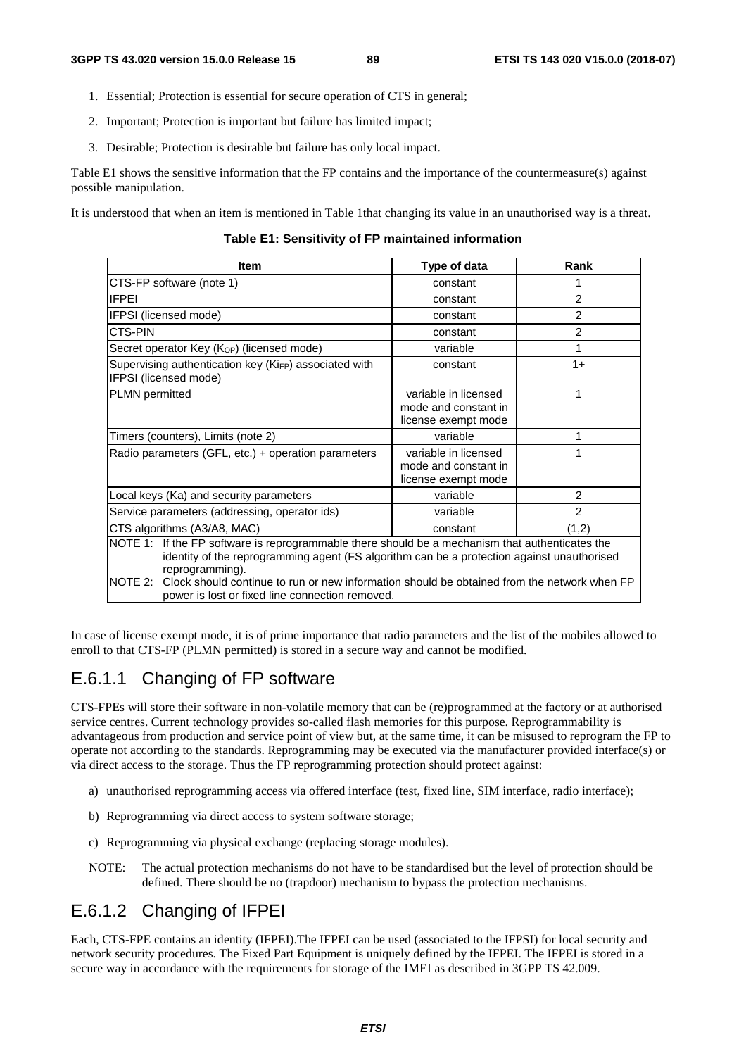- 1. Essential; Protection is essential for secure operation of CTS in general;
- 2. Important; Protection is important but failure has limited impact;
- 3. Desirable; Protection is desirable but failure has only local impact.

Table E1 shows the sensitive information that the FP contains and the importance of the countermeasure(s) against possible manipulation.

It is understood that when an item is mentioned in Table 1that changing its value in an unauthorised way is a threat.

**Table E1: Sensitivity of FP maintained information** 

| <b>Item</b>                                                                                                                                                                                                                                                                                                                                                                   | Type of data                                                        | Rank           |  |
|-------------------------------------------------------------------------------------------------------------------------------------------------------------------------------------------------------------------------------------------------------------------------------------------------------------------------------------------------------------------------------|---------------------------------------------------------------------|----------------|--|
| CTS-FP software (note 1)                                                                                                                                                                                                                                                                                                                                                      | constant                                                            | 1              |  |
| <b>IFPEI</b>                                                                                                                                                                                                                                                                                                                                                                  | constant                                                            | 2              |  |
| IFPSI (licensed mode)                                                                                                                                                                                                                                                                                                                                                         | constant                                                            | 2              |  |
| CTS-PIN                                                                                                                                                                                                                                                                                                                                                                       | constant                                                            | 2              |  |
| Secret operator Key (K <sub>OP</sub> ) (licensed mode)                                                                                                                                                                                                                                                                                                                        | variable                                                            | 1              |  |
| Supervising authentication key (KiFP) associated with<br>IFPSI (licensed mode)                                                                                                                                                                                                                                                                                                | constant                                                            | $1+$           |  |
| <b>PLMN</b> permitted                                                                                                                                                                                                                                                                                                                                                         | variable in licensed<br>mode and constant in<br>license exempt mode | 1              |  |
| Timers (counters), Limits (note 2)                                                                                                                                                                                                                                                                                                                                            | variable                                                            | 1              |  |
| Radio parameters (GFL, etc.) + operation parameters                                                                                                                                                                                                                                                                                                                           | variable in licensed<br>mode and constant in<br>license exempt mode | 1              |  |
| Local keys (Ka) and security parameters                                                                                                                                                                                                                                                                                                                                       | variable                                                            | 2              |  |
| Service parameters (addressing, operator ids)                                                                                                                                                                                                                                                                                                                                 | variable                                                            | $\mathfrak{p}$ |  |
| CTS algorithms (A3/A8, MAC)                                                                                                                                                                                                                                                                                                                                                   | (1,2)<br>constant                                                   |                |  |
| NOTE 1: If the FP software is reprogrammable there should be a mechanism that authenticates the<br>identity of the reprogramming agent (FS algorithm can be a protection against unauthorised<br>reprogramming).<br>Clock should continue to run or new information should be obtained from the network when FP<br>NOTE 2:<br>power is lost or fixed line connection removed. |                                                                     |                |  |

In case of license exempt mode, it is of prime importance that radio parameters and the list of the mobiles allowed to enroll to that CTS-FP (PLMN permitted) is stored in a secure way and cannot be modified.

## E.6.1.1 Changing of FP software

CTS-FPEs will store their software in non-volatile memory that can be (re)programmed at the factory or at authorised service centres. Current technology provides so-called flash memories for this purpose. Reprogrammability is advantageous from production and service point of view but, at the same time, it can be misused to reprogram the FP to operate not according to the standards. Reprogramming may be executed via the manufacturer provided interface(s) or via direct access to the storage. Thus the FP reprogramming protection should protect against:

- a) unauthorised reprogramming access via offered interface (test, fixed line, SIM interface, radio interface);
- b) Reprogramming via direct access to system software storage;
- c) Reprogramming via physical exchange (replacing storage modules).
- NOTE: The actual protection mechanisms do not have to be standardised but the level of protection should be defined. There should be no (trapdoor) mechanism to bypass the protection mechanisms.

## E.6.1.2 Changing of IFPEI

Each, CTS-FPE contains an identity (IFPEI).The IFPEI can be used (associated to the IFPSI) for local security and network security procedures. The Fixed Part Equipment is uniquely defined by the IFPEI. The IFPEI is stored in a secure way in accordance with the requirements for storage of the IMEI as described in 3GPP TS 42.009.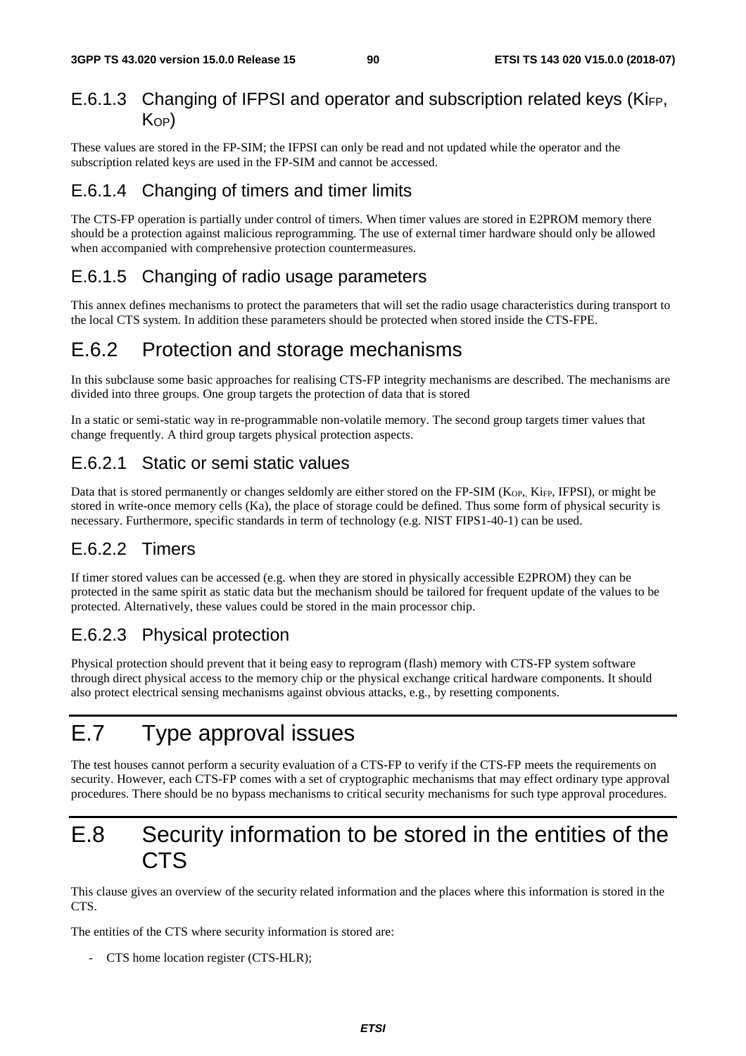## E.6.1.3 Changing of IFPSI and operator and subscription related keys (KiFP,  $K_{OP}$

These values are stored in the FP-SIM; the IFPSI can only be read and not updated while the operator and the subscription related keys are used in the FP-SIM and cannot be accessed.

## E.6.1.4 Changing of timers and timer limits

The CTS-FP operation is partially under control of timers. When timer values are stored in E2PROM memory there should be a protection against malicious reprogramming. The use of external timer hardware should only be allowed when accompanied with comprehensive protection countermeasures.

## E.6.1.5 Changing of radio usage parameters

This annex defines mechanisms to protect the parameters that will set the radio usage characteristics during transport to the local CTS system. In addition these parameters should be protected when stored inside the CTS-FPE.

# E.6.2 Protection and storage mechanisms

In this subclause some basic approaches for realising CTS-FP integrity mechanisms are described. The mechanisms are divided into three groups. One group targets the protection of data that is stored

In a static or semi-static way in re-programmable non-volatile memory. The second group targets timer values that change frequently. A third group targets physical protection aspects.

## E.6.2.1 Static or semi static values

Data that is stored permanently or changes seldomly are either stored on the FP-SIM ( $K_{OP}$ ,  $Ki_{FP}$ , IFPSI), or might be stored in write-once memory cells (Ka), the place of storage could be defined. Thus some form of physical security is necessary. Furthermore, specific standards in term of technology (e.g. NIST FIPS1-40-1) can be used.

## E.6.2.2 Timers

If timer stored values can be accessed (e.g. when they are stored in physically accessible E2PROM) they can be protected in the same spirit as static data but the mechanism should be tailored for frequent update of the values to be protected. Alternatively, these values could be stored in the main processor chip.

## E.6.2.3 Physical protection

Physical protection should prevent that it being easy to reprogram (flash) memory with CTS-FP system software through direct physical access to the memory chip or the physical exchange critical hardware components. It should also protect electrical sensing mechanisms against obvious attacks, e.g., by resetting components.

# E.7 Type approval issues

The test houses cannot perform a security evaluation of a CTS-FP to verify if the CTS-FP meets the requirements on security. However, each CTS-FP comes with a set of cryptographic mechanisms that may effect ordinary type approval procedures. There should be no bypass mechanisms to critical security mechanisms for such type approval procedures.

# E.8 Security information to be stored in the entities of the CTS

This clause gives an overview of the security related information and the places where this information is stored in the C<sub>TS</sub>

The entities of the CTS where security information is stored are:

- CTS home location register (CTS-HLR);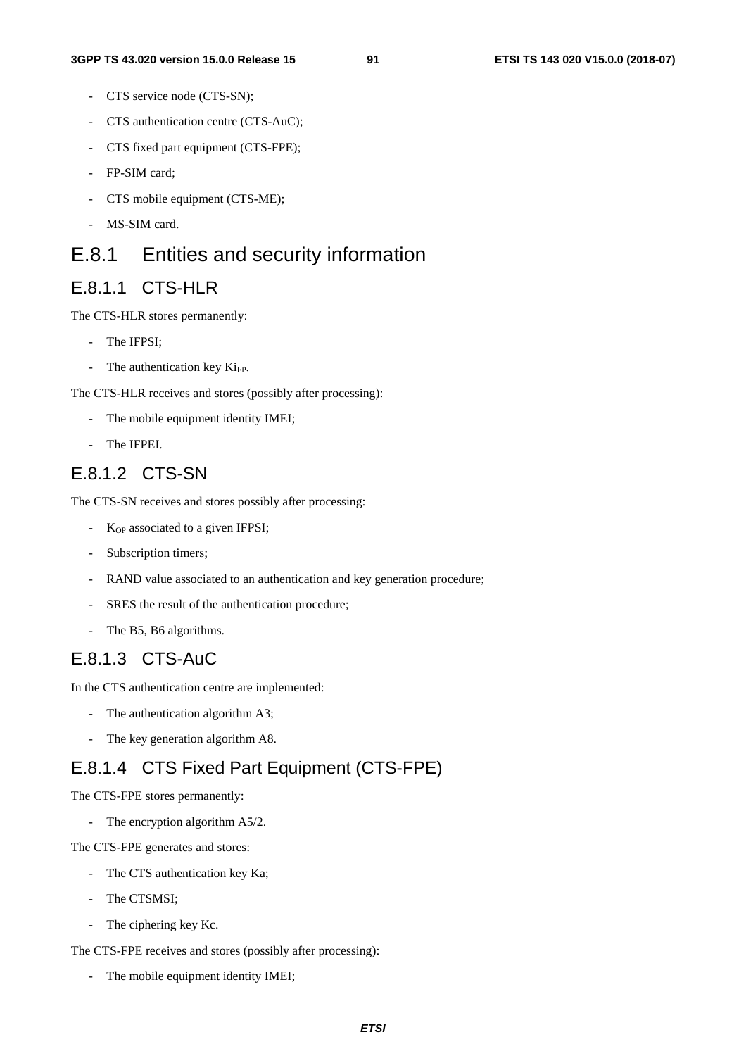- CTS service node (CTS-SN);
- CTS authentication centre (CTS-AuC);
- CTS fixed part equipment (CTS-FPE);
- FP-SIM card;
- CTS mobile equipment (CTS-ME);
- MS-SIM card.

# E.8.1 Entities and security information

### E.8.1.1 CTS-HLR

The CTS-HLR stores permanently:

- The IFPSI:
- The authentication key  $Ki<sub>FP</sub>$ .

The CTS-HLR receives and stores (possibly after processing):

- The mobile equipment identity IMEI;
- The IFPEI.

### E.8.1.2 CTS-SN

The CTS-SN receives and stores possibly after processing:

- K<sub>OP</sub> associated to a given IFPSI;
- Subscription timers;
- RAND value associated to an authentication and key generation procedure;
- SRES the result of the authentication procedure;
- The B5, B6 algorithms.

## E.8.1.3 CTS-AuC

In the CTS authentication centre are implemented:

- The authentication algorithm A3;
- The key generation algorithm A8.

## E.8.1.4 CTS Fixed Part Equipment (CTS-FPE)

The CTS-FPE stores permanently:

The encryption algorithm A5/2.

The CTS-FPE generates and stores:

- The CTS authentication key Ka;
- The CTSMSI;
- The ciphering key Kc.

The CTS-FPE receives and stores (possibly after processing):

- The mobile equipment identity IMEI;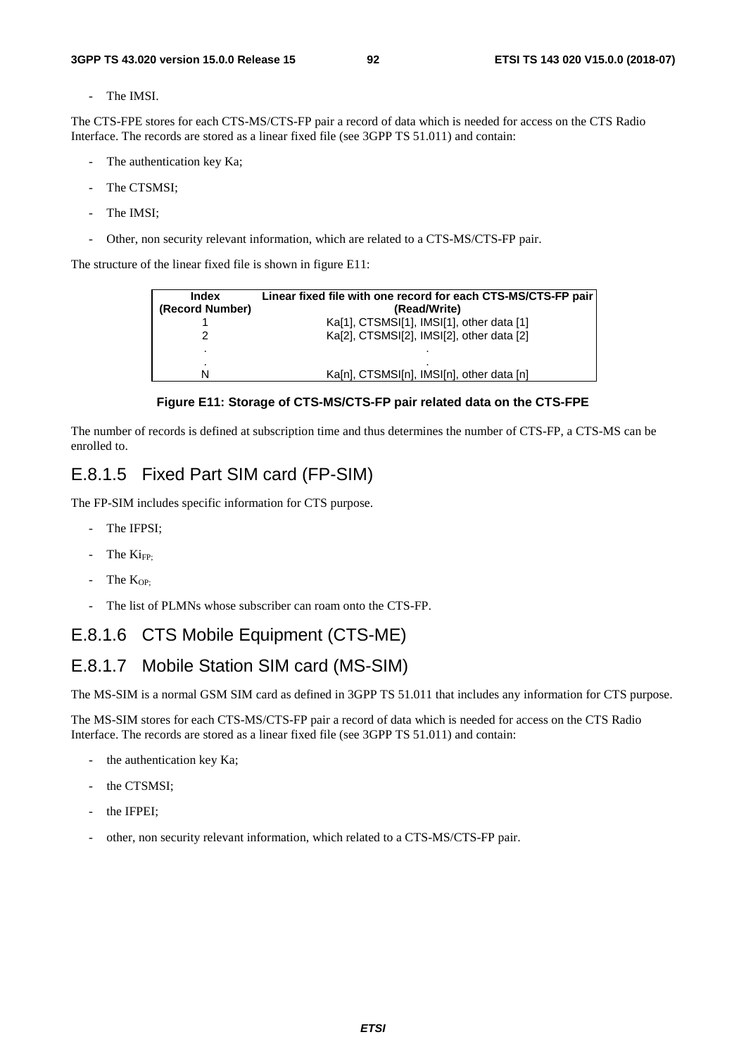The IMSI.

The CTS-FPE stores for each CTS-MS/CTS-FP pair a record of data which is needed for access on the CTS Radio Interface. The records are stored as a linear fixed file (see 3GPP TS 51.011) and contain:

- The authentication key Ka;
- The CTSMSI;
- The IMSI;
- Other, non security relevant information, which are related to a CTS-MS/CTS-FP pair.

The structure of the linear fixed file is shown in figure E11:

| <b>Index</b>    | Linear fixed file with one record for each CTS-MS/CTS-FP pair |
|-----------------|---------------------------------------------------------------|
| (Record Number) | (Read/Write)                                                  |
|                 | Ka[1], CTSMSI[1], IMSI[1], other data [1]                     |
|                 | Ka[2], CTSMSI[2], IMSI[2], other data [2]                     |
|                 |                                                               |
| N               | Ka[n], CTSMSI[n], IMSI[n], other data [n]                     |



The number of records is defined at subscription time and thus determines the number of CTS-FP, a CTS-MS can be enrolled to.

### E.8.1.5 Fixed Part SIM card (FP-SIM)

The FP-SIM includes specific information for CTS purpose.

- The IFPSI;
- The  $Ki_{FP}$
- $-$  The K<sub>OP:</sub>
- The list of PLMNs whose subscriber can roam onto the CTS-FP.

### E.8.1.6 CTS Mobile Equipment (CTS-ME)

## E.8.1.7 Mobile Station SIM card (MS-SIM)

The MS-SIM is a normal GSM SIM card as defined in 3GPP TS 51.011 that includes any information for CTS purpose.

The MS-SIM stores for each CTS-MS/CTS-FP pair a record of data which is needed for access on the CTS Radio Interface. The records are stored as a linear fixed file (see 3GPP TS 51.011) and contain:

- the authentication key Ka;
- the CTSMSI:
- the IFPEI;
- other, non security relevant information, which related to a CTS-MS/CTS-FP pair.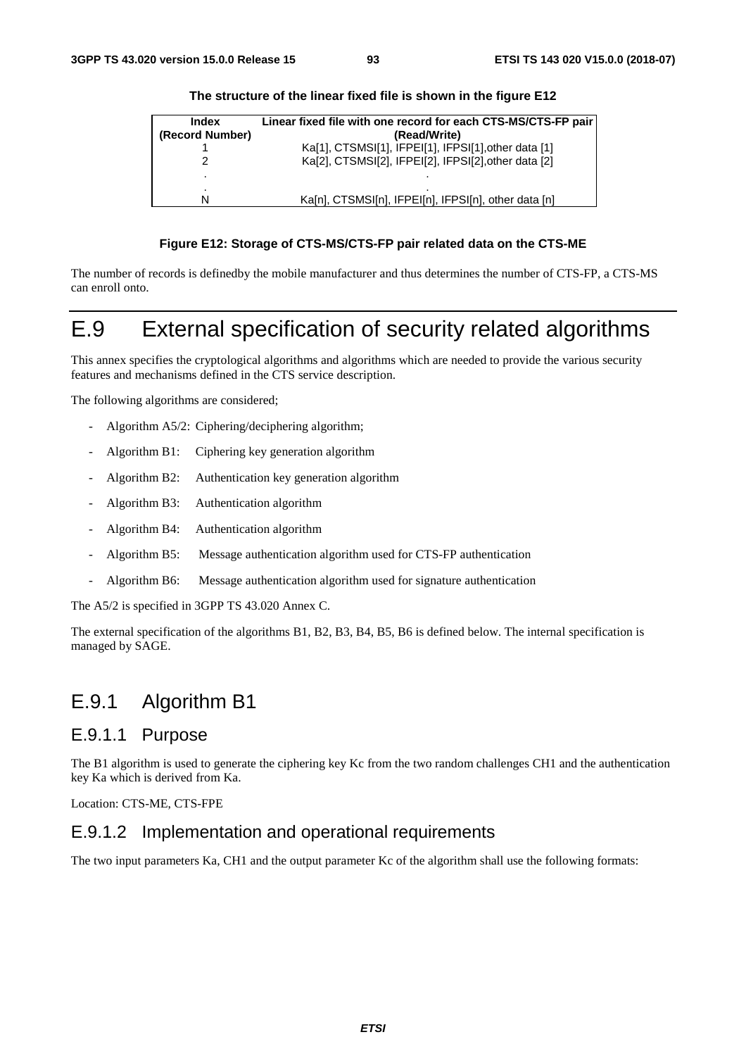| Index           | Linear fixed file with one record for each CTS-MS/CTS-FP pair |
|-----------------|---------------------------------------------------------------|
| (Record Number) | (Read/Write)                                                  |
|                 | Ka[1], CTSMSI[1], IFPEI[1], IFPSI[1], other data [1]          |
|                 | Ka[2], CTSMSI[2], IFPEI[2], IFPSI[2], other data [2]          |
| ۰               |                                                               |
|                 |                                                               |
|                 | Ka[n], CTSMSI[n], IFPEI[n], IFPSI[n], other data [n]          |

#### **The structure of the linear fixed file is shown in the figure E12**

#### **Figure E12: Storage of CTS-MS/CTS-FP pair related data on the CTS-ME**

The number of records is definedby the mobile manufacturer and thus determines the number of CTS-FP, a CTS-MS can enroll onto.

# E.9 External specification of security related algorithms

This annex specifies the cryptological algorithms and algorithms which are needed to provide the various security features and mechanisms defined in the CTS service description.

The following algorithms are considered;

- Algorithm A5/2: Ciphering/deciphering algorithm;
- Algorithm B1: Ciphering key generation algorithm
- Algorithm B2: Authentication key generation algorithm
- Algorithm B3: Authentication algorithm
- Algorithm B4: Authentication algorithm
- Algorithm B5: Message authentication algorithm used for CTS-FP authentication
- Algorithm B6: Message authentication algorithm used for signature authentication

The A5/2 is specified in 3GPP TS 43.020 Annex C.

The external specification of the algorithms B1, B2, B3, B4, B5, B6 is defined below. The internal specification is managed by SAGE.

## E.9.1 Algorithm B1

### E.9.1.1 Purpose

The B1 algorithm is used to generate the ciphering key Kc from the two random challenges CH1 and the authentication key Ka which is derived from Ka.

Location: CTS-ME, CTS-FPE

### E.9.1.2 Implementation and operational requirements

The two input parameters Ka, CH1 and the output parameter Kc of the algorithm shall use the following formats: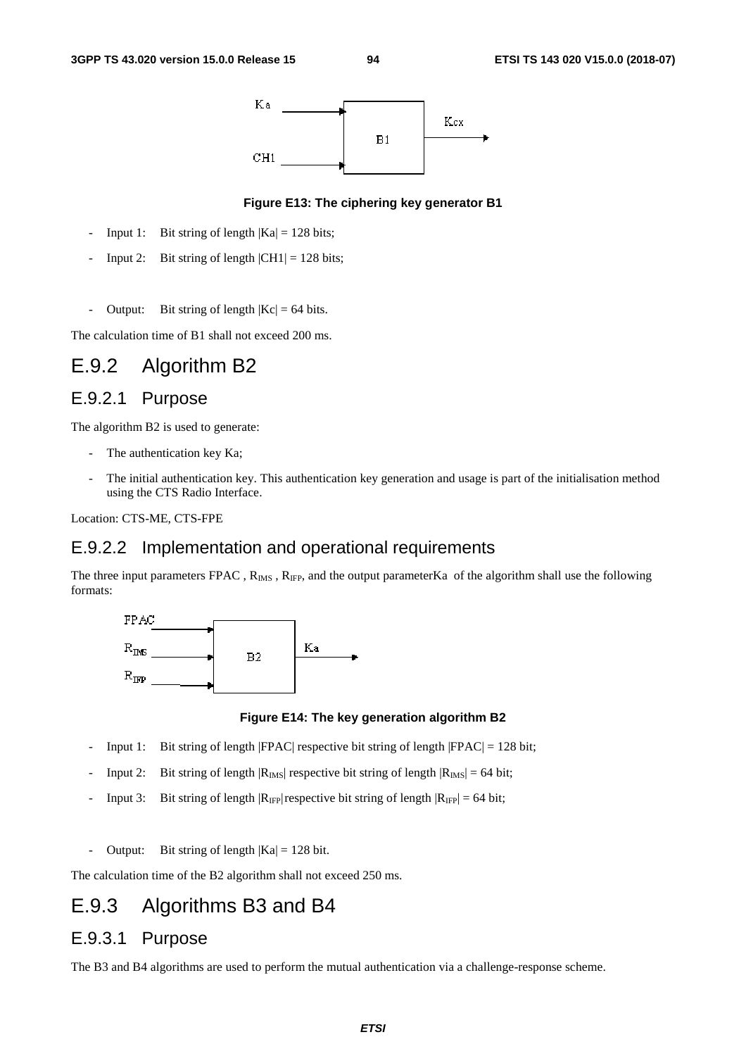

### **Figure E13: The ciphering key generator B1**

- Input 1: Bit string of length  $|Ka| = 128$  bits;
- Input 2: Bit string of length  $|CH1| = 128$  bits;
- Output: Bit string of length  $|Kc| = 64$  bits.

The calculation time of B1 shall not exceed 200 ms.

# E.9.2 Algorithm B2

### E.9.2.1 Purpose

The algorithm B2 is used to generate:

- The authentication key Ka;
- The initial authentication key. This authentication key generation and usage is part of the initialisation method using the CTS Radio Interface.

Location: CTS-ME, CTS-FPE

### E.9.2.2 Implementation and operational requirements

The three input parameters FPAC,  $R_{\text{IMS}}$ ,  $R_{\text{IFP}}$ , and the output parameterKa of the algorithm shall use the following formats:



#### **Figure E14: The key generation algorithm B2**

- Input 1: Bit string of length  $|FPAC|$  respective bit string of length  $|FPAC| = 128$  bit;
- Input 2: Bit string of length  $|R_{\text{IMS}}|$  respective bit string of length  $|R_{\text{IMS}}| = 64$  bit;
- Input 3: Bit string of length  $|R_{IF}$  respective bit string of length  $|R_{IF}$  = 64 bit;
- Output: Bit string of length  $|Ka| = 128$  bit.

The calculation time of the B2 algorithm shall not exceed 250 ms.

# E.9.3 Algorithms B3 and B4

### E.9.3.1 Purpose

The B3 and B4 algorithms are used to perform the mutual authentication via a challenge-response scheme.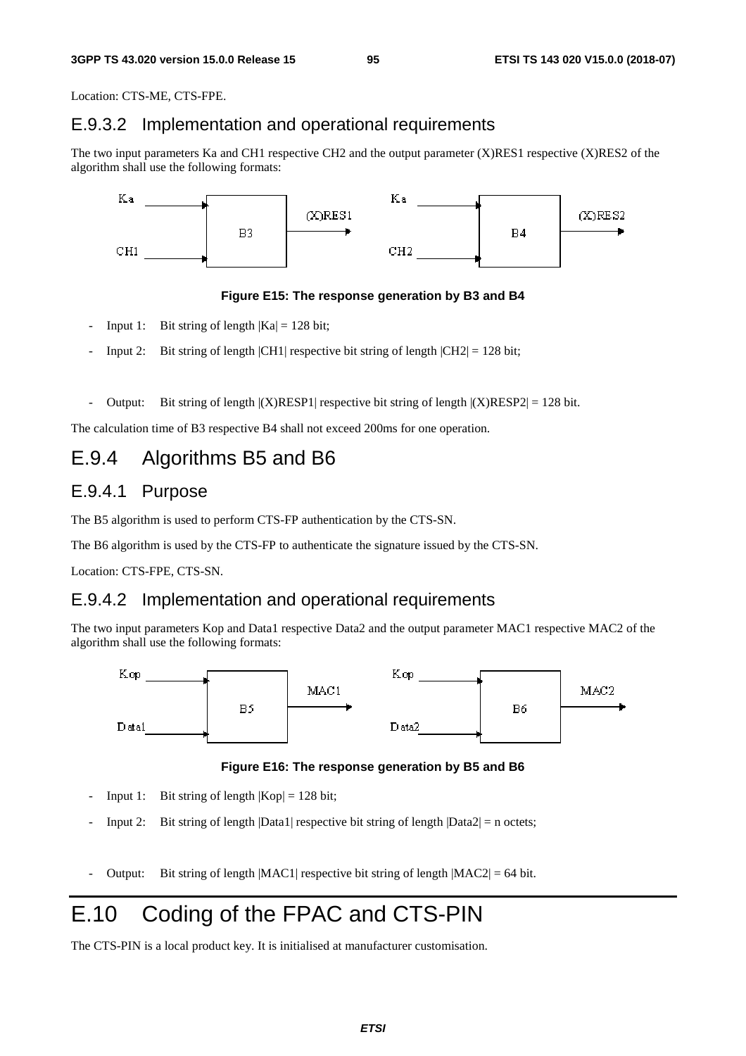Location: CTS-ME, CTS-FPE.

### E.9.3.2 Implementation and operational requirements

The two input parameters Ka and CH1 respective CH2 and the output parameter (X)RES1 respective (X)RES2 of the algorithm shall use the following formats:



#### **Figure E15: The response generation by B3 and B4**

- Input 1: Bit string of length  $|Ka| = 128$  bit;
- Input 2: Bit string of length  $|CH1|$  respective bit string of length  $|CH2| = 128$  bit;
- Output: Bit string of length  $|X\rangle$ RESP1| respective bit string of length  $|X\rangle$ RESP2| = 128 bit.

The calculation time of B3 respective B4 shall not exceed 200ms for one operation.

## E.9.4 Algorithms B5 and B6

## E.9.4.1 Purpose

The B5 algorithm is used to perform CTS-FP authentication by the CTS-SN.

The B6 algorithm is used by the CTS-FP to authenticate the signature issued by the CTS-SN.

Location: CTS-FPE, CTS-SN.

### E.9.4.2 Implementation and operational requirements

The two input parameters Kop and Data1 respective Data2 and the output parameter MAC1 respective MAC2 of the algorithm shall use the following formats:



**Figure E16: The response generation by B5 and B6** 

- Input 1: Bit string of length  $|Kop| = 128$  bit;
- Input 2: Bit string of length  $|Data1|$  respective bit string of length  $|Data2| = n$  octets;
- Output: Bit string of length  $|MAC1|$  respective bit string of length  $|MAC2| = 64$  bit.

# E.10 Coding of the FPAC and CTS-PIN

The CTS-PIN is a local product key. It is initialised at manufacturer customisation.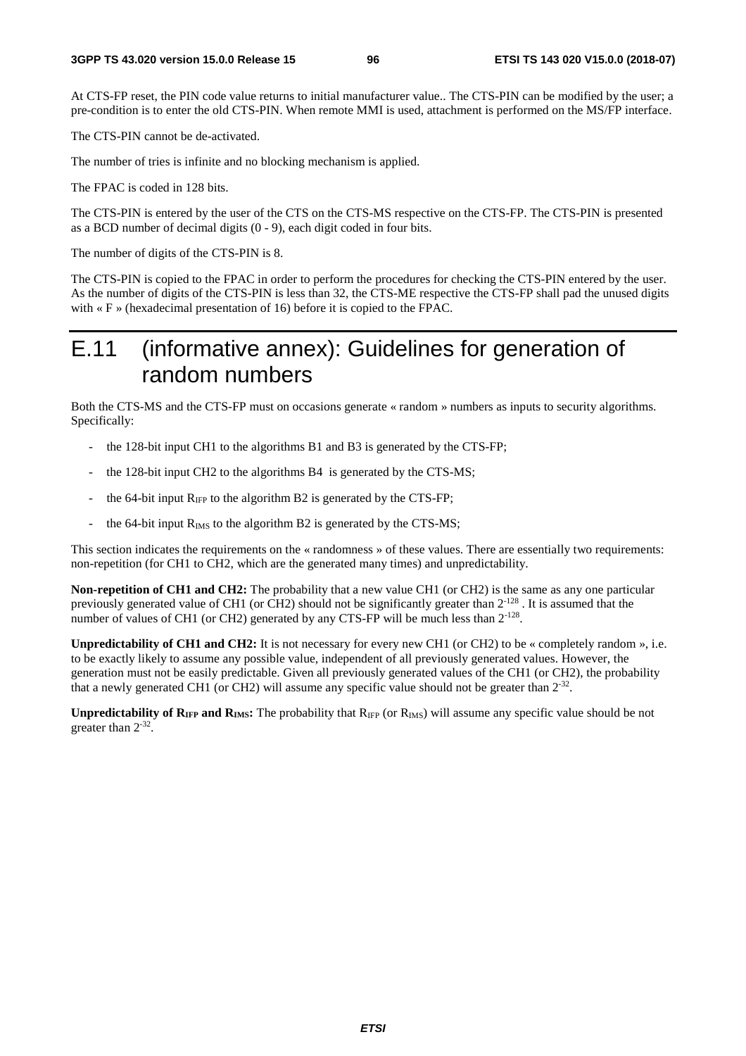At CTS-FP reset, the PIN code value returns to initial manufacturer value.. The CTS-PIN can be modified by the user; a pre-condition is to enter the old CTS-PIN. When remote MMI is used, attachment is performed on the MS/FP interface.

The CTS-PIN cannot be de-activated.

The number of tries is infinite and no blocking mechanism is applied.

The FPAC is coded in 128 bits.

The CTS-PIN is entered by the user of the CTS on the CTS-MS respective on the CTS-FP. The CTS-PIN is presented as a BCD number of decimal digits (0 - 9), each digit coded in four bits.

The number of digits of the CTS-PIN is 8.

The CTS-PIN is copied to the FPAC in order to perform the procedures for checking the CTS-PIN entered by the user. As the number of digits of the CTS-PIN is less than 32, the CTS-ME respective the CTS-FP shall pad the unused digits with « F » (hexadecimal presentation of 16) before it is copied to the FPAC.

# E.11 (informative annex): Guidelines for generation of random numbers

Both the CTS-MS and the CTS-FP must on occasions generate « random » numbers as inputs to security algorithms. Specifically:

- the 128-bit input CH1 to the algorithms B1 and B3 is generated by the CTS-FP;
- the 128-bit input CH2 to the algorithms B4 is generated by the CTS-MS;
- the 64-bit input  $R_{IFP}$  to the algorithm B2 is generated by the CTS-FP;
- the 64-bit input  $R_{IMS}$  to the algorithm B2 is generated by the CTS-MS;

This section indicates the requirements on the « randomness » of these values. There are essentially two requirements: non-repetition (for CH1 to CH2, which are the generated many times) and unpredictability.

**Non-repetition of CH1 and CH2:** The probability that a new value CH1 (or CH2) is the same as any one particular previously generated value of CH1 (or CH2) should not be significantly greater than 2-128 . It is assumed that the number of values of CH1 (or CH2) generated by any CTS-FP will be much less than  $2^{-128}$ .

**Unpredictability of CH1 and CH2:** It is not necessary for every new CH1 (or CH2) to be « completely random », i.e. to be exactly likely to assume any possible value, independent of all previously generated values. However, the generation must not be easily predictable. Given all previously generated values of the CH1 (or CH2), the probability that a newly generated CH1 (or CH2) will assume any specific value should not be greater than  $2^{-32}$ .

**Unpredictability of RIFP and RIMS:** The probability that R<sub>IFP</sub> (or R<sub>IMS</sub>) will assume any specific value should be not greater than  $2^{-32}$ .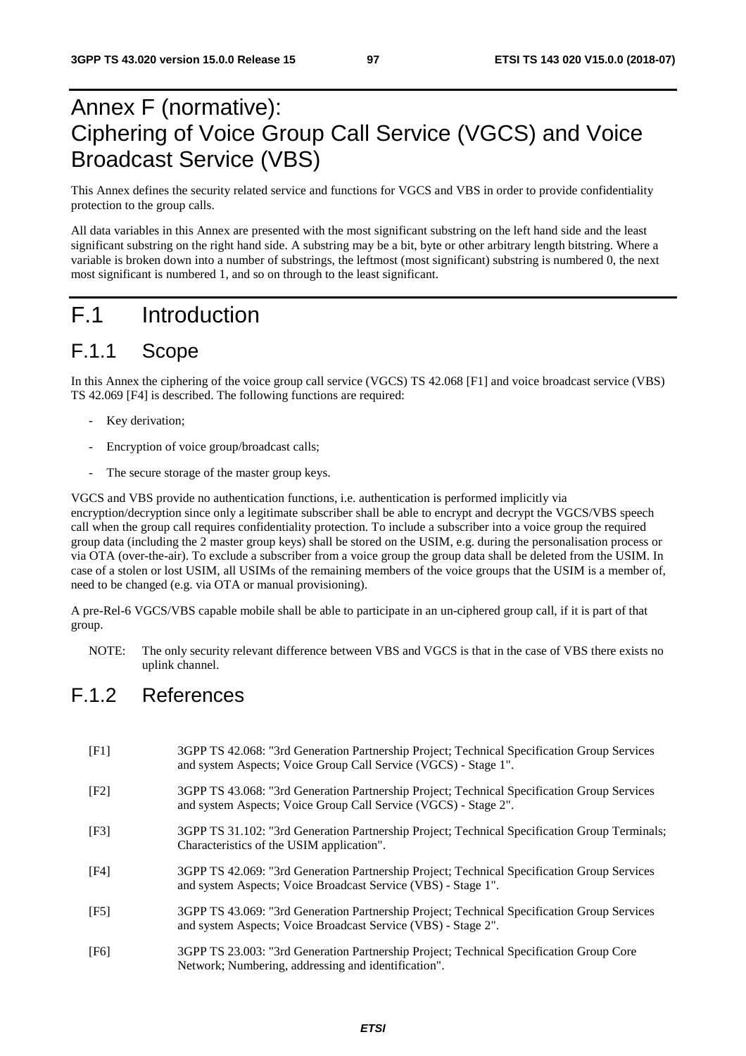# Annex F (normative): Ciphering of Voice Group Call Service (VGCS) and Voice Broadcast Service (VBS)

This Annex defines the security related service and functions for VGCS and VBS in order to provide confidentiality protection to the group calls.

All data variables in this Annex are presented with the most significant substring on the left hand side and the least significant substring on the right hand side. A substring may be a bit, byte or other arbitrary length bitstring. Where a variable is broken down into a number of substrings, the leftmost (most significant) substring is numbered 0, the next most significant is numbered 1, and so on through to the least significant.

# F.1 Introduction

## F.1.1 Scope

In this Annex the ciphering of the voice group call service (VGCS) TS 42.068 [F1] and voice broadcast service (VBS) TS 42.069 [F4] is described. The following functions are required:

- Key derivation;
- Encryption of voice group/broadcast calls;
- The secure storage of the master group keys.

VGCS and VBS provide no authentication functions, i.e. authentication is performed implicitly via encryption/decryption since only a legitimate subscriber shall be able to encrypt and decrypt the VGCS/VBS speech call when the group call requires confidentiality protection. To include a subscriber into a voice group the required group data (including the 2 master group keys) shall be stored on the USIM, e.g. during the personalisation process or via OTA (over-the-air). To exclude a subscriber from a voice group the group data shall be deleted from the USIM. In case of a stolen or lost USIM, all USIMs of the remaining members of the voice groups that the USIM is a member of, need to be changed (e.g. via OTA or manual provisioning).

A pre-Rel-6 VGCS/VBS capable mobile shall be able to participate in an un-ciphered group call, if it is part of that group.

NOTE: The only security relevant difference between VBS and VGCS is that in the case of VBS there exists no uplink channel.

## F.1.2 References

- [F1] 3GPP TS 42.068: "3rd Generation Partnership Project; Technical Specification Group Services and system Aspects; Voice Group Call Service (VGCS) - Stage 1".
- [F2] 3GPP TS 43.068: "3rd Generation Partnership Project; Technical Specification Group Services and system Aspects; Voice Group Call Service (VGCS) - Stage 2".
- [F3] 3GPP TS 31.102: "3rd Generation Partnership Project; Technical Specification Group Terminals; Characteristics of the USIM application".
- [F4] 3GPP TS 42.069: "3rd Generation Partnership Project; Technical Specification Group Services and system Aspects; Voice Broadcast Service (VBS) - Stage 1".
- [F5] 3GPP TS 43.069: "3rd Generation Partnership Project; Technical Specification Group Services and system Aspects; Voice Broadcast Service (VBS) - Stage 2".
- [F6] 3GPP TS 23.003: "3rd Generation Partnership Project; Technical Specification Group Core Network; Numbering, addressing and identification".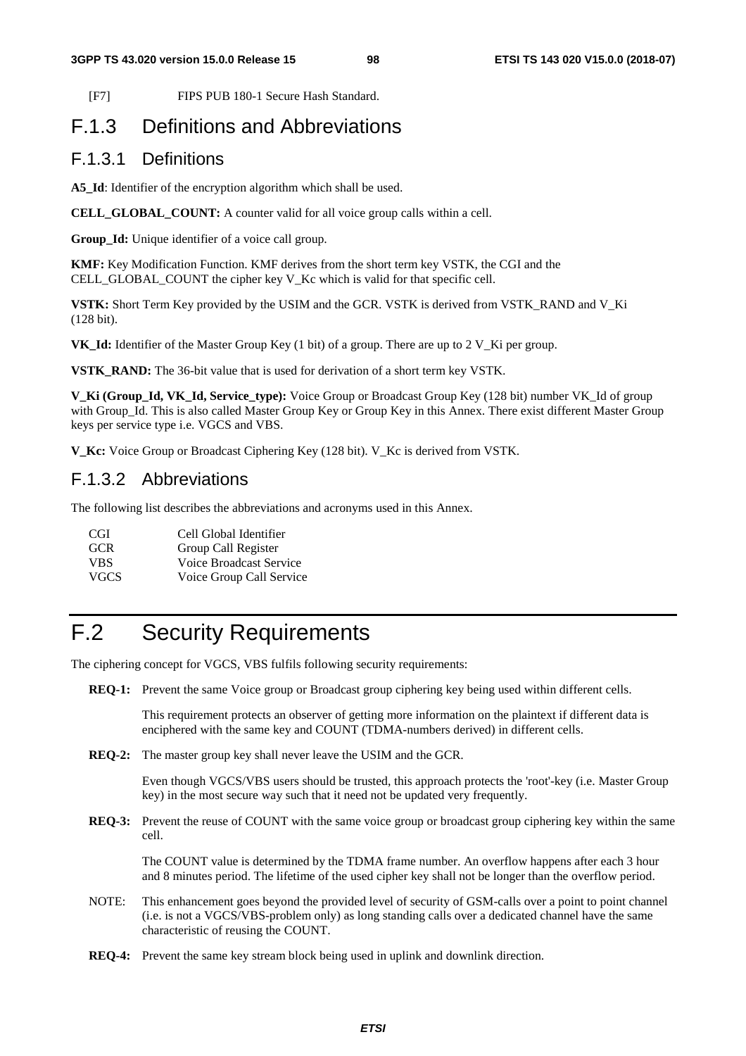[F7] FIPS PUB 180-1 Secure Hash Standard.

# F.1.3 Definitions and Abbreviations

## F.1.3.1 Definitions

**A5\_Id**: Identifier of the encryption algorithm which shall be used.

**CELL\_GLOBAL\_COUNT:** A counter valid for all voice group calls within a cell.

**Group\_Id:** Unique identifier of a voice call group.

**KMF:** Key Modification Function. KMF derives from the short term key VSTK, the CGI and the CELL GLOBAL COUNT the cipher key V\_Kc which is valid for that specific cell.

**VSTK:** Short Term Key provided by the USIM and the GCR. VSTK is derived from VSTK\_RAND and V\_Ki (128 bit).

**VK** Id: Identifier of the Master Group Key (1 bit) of a group. There are up to 2 V Ki per group.

**VSTK\_RAND:** The 36-bit value that is used for derivation of a short term key VSTK.

**V\_Ki (Group\_Id, VK\_Id, Service\_type):** Voice Group or Broadcast Group Key (128 bit) number VK\_Id of group with Group Id. This is also called Master Group Key or Group Key in this Annex. There exist different Master Group keys per service type i.e. VGCS and VBS.

**V\_Kc:** Voice Group or Broadcast Ciphering Key (128 bit). V\_Kc is derived from VSTK.

## F.1.3.2 Abbreviations

The following list describes the abbreviations and acronyms used in this Annex.

CGI Cell Global Identifier GCR Group Call Register VBS Voice Broadcast Service VGCS Voice Group Call Service

# F.2 Security Requirements

The ciphering concept for VGCS, VBS fulfils following security requirements:

**REQ-1:** Prevent the same Voice group or Broadcast group ciphering key being used within different cells.

 This requirement protects an observer of getting more information on the plaintext if different data is enciphered with the same key and COUNT (TDMA-numbers derived) in different cells.

**REQ-2:** The master group key shall never leave the USIM and the GCR.

 Even though VGCS/VBS users should be trusted, this approach protects the 'root'-key (i.e. Master Group key) in the most secure way such that it need not be updated very frequently.

**REQ-3:** Prevent the reuse of COUNT with the same voice group or broadcast group ciphering key within the same cell.

 The COUNT value is determined by the TDMA frame number. An overflow happens after each 3 hour and 8 minutes period. The lifetime of the used cipher key shall not be longer than the overflow period.

- NOTE: This enhancement goes beyond the provided level of security of GSM-calls over a point to point channel (i.e. is not a VGCS/VBS-problem only) as long standing calls over a dedicated channel have the same characteristic of reusing the COUNT.
- **REQ-4:** Prevent the same key stream block being used in uplink and downlink direction.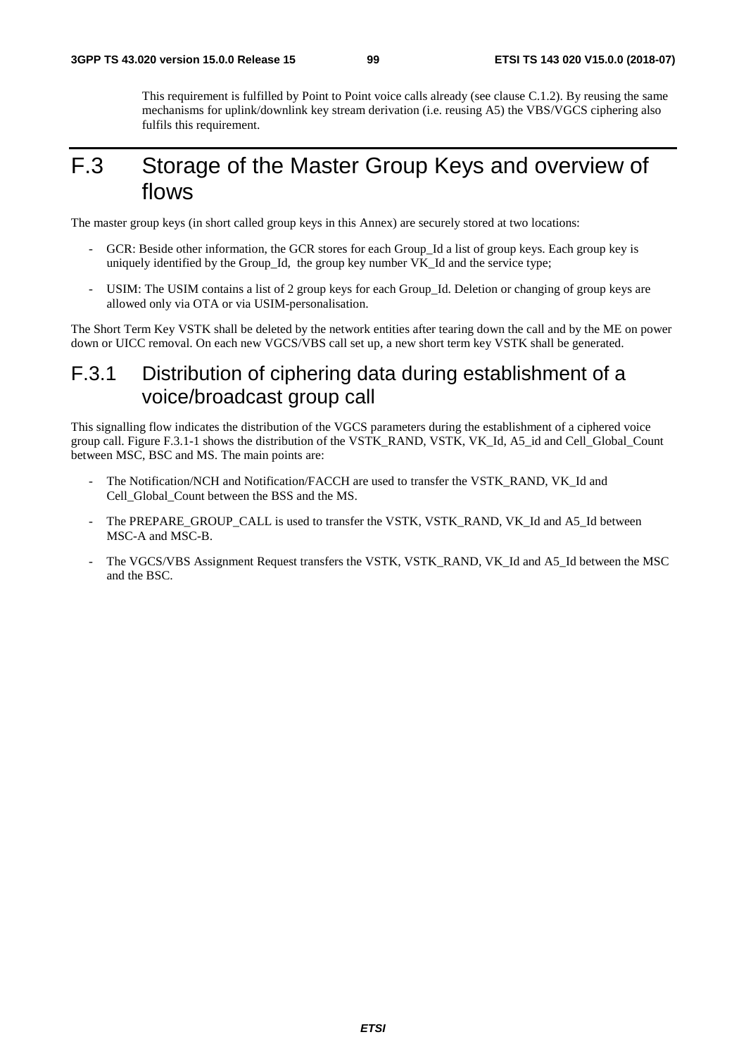This requirement is fulfilled by Point to Point voice calls already (see clause C.1.2). By reusing the same mechanisms for uplink/downlink key stream derivation (i.e. reusing A5) the VBS/VGCS ciphering also fulfils this requirement.

# F.3 Storage of the Master Group Keys and overview of flows

The master group keys (in short called group keys in this Annex) are securely stored at two locations:

- GCR: Beside other information, the GCR stores for each Group\_Id a list of group keys. Each group key is uniquely identified by the Group\_Id, the group key number VK\_Id and the service type;
- USIM: The USIM contains a list of 2 group keys for each Group\_Id. Deletion or changing of group keys are allowed only via OTA or via USIM-personalisation.

The Short Term Key VSTK shall be deleted by the network entities after tearing down the call and by the ME on power down or UICC removal. On each new VGCS/VBS call set up, a new short term key VSTK shall be generated.

## F.3.1 Distribution of ciphering data during establishment of a voice/broadcast group call

This signalling flow indicates the distribution of the VGCS parameters during the establishment of a ciphered voice group call. Figure F.3.1-1 shows the distribution of the VSTK\_RAND, VSTK, VK\_Id, A5\_id and Cell\_Global\_Count between MSC, BSC and MS. The main points are:

- The Notification/NCH and Notification/FACCH are used to transfer the VSTK\_RAND, VK\_Id and Cell\_Global\_Count between the BSS and the MS.
- The PREPARE\_GROUP\_CALL is used to transfer the VSTK, VSTK\_RAND, VK\_Id and A5\_Id between MSC-A and MSC-B.
- The VGCS/VBS Assignment Request transfers the VSTK, VSTK\_RAND, VK\_Id and A5\_Id between the MSC and the BSC.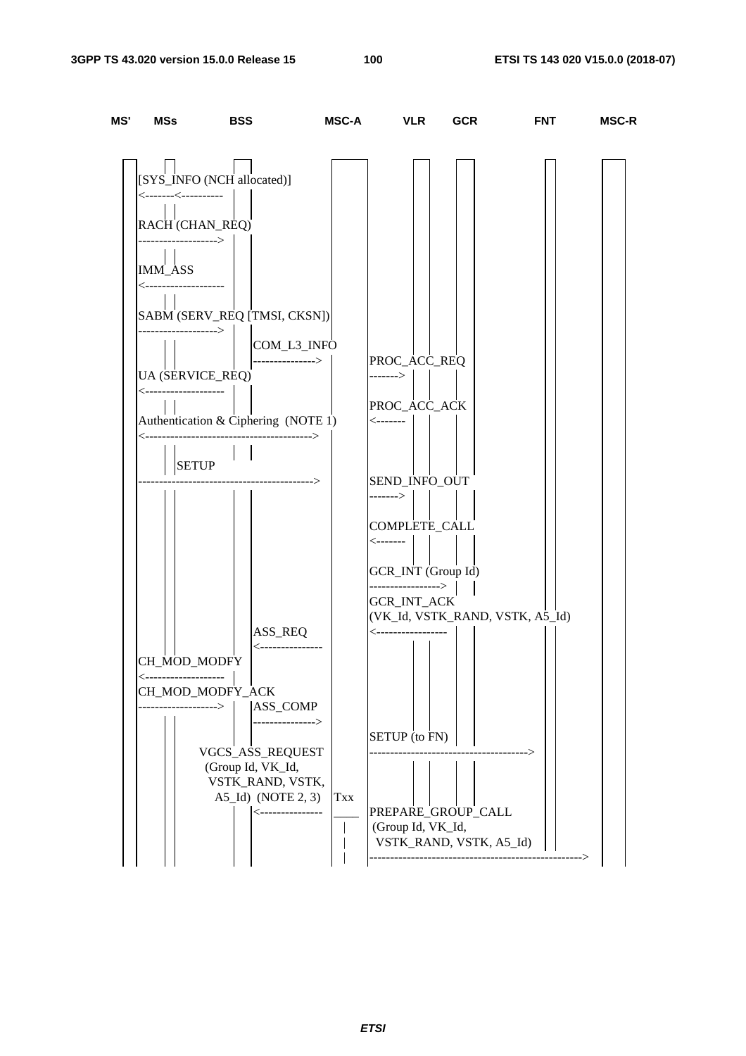| MS' | MSs                                       | <b>BSS</b>                                 | MSC-A       | <b>VLR</b>                               | <b>GCR</b> | <b>FNT</b>                      | <b>MSC-R</b> |
|-----|-------------------------------------------|--------------------------------------------|-------------|------------------------------------------|------------|---------------------------------|--------------|
|     |                                           |                                            |             |                                          |            |                                 |              |
|     | <--------<-----------                     | [SYS_INFO (NCH allocated)]                 |             |                                          |            |                                 |              |
|     | RACH (CHAN_REQ)<br>------------------->   |                                            |             |                                          |            |                                 |              |
|     | <b>IMM_ASS</b><br><---------------------  |                                            |             |                                          |            |                                 |              |
|     |                                           | SABM (SERV_REQ [TMSI, CKSN])               |             |                                          |            |                                 |              |
|     | -------------------->                     | ---------------->                          | COM_L3_INFO | PROC_ACC_REQ                             |            |                                 |              |
|     | UA (SERVICE_REQ)<br><-------------------- |                                            |             | $-----$                                  |            |                                 |              |
|     |                                           | Authentication & Ciphering (NOTE 1)        |             | PROC_ACC_ACK<br>$\leftarrow$ -------     |            |                                 |              |
|     | <b>SETUP</b>                              | ------------------------------------->     |             |                                          |            |                                 |              |
|     |                                           | -------------------------------->          |             | SEND_INFO_OUT<br>------->                |            |                                 |              |
|     |                                           |                                            |             | COMPLETE_CALL<br><-------                |            |                                 |              |
|     |                                           |                                            |             | GCR_INT (Group Id)<br>-----------------> |            |                                 |              |
|     |                                           |                                            |             | <b>GCR_INT_ACK</b>                       |            | (VK_Id, VSTK_RAND, VSTK, A5_Id) |              |
|     |                                           | ASS_REQ                                    |             | <-------------------                     |            |                                 |              |
|     | CH_MOD_MODFY                              | <----------------                          |             |                                          |            |                                 |              |
|     | <--------------------<br>CH_MOD_MODFY_ACK |                                            |             |                                          |            |                                 |              |
|     | ---------->                               | ASS_COMP                                   |             |                                          |            |                                 |              |
|     |                                           | ---------------->                          |             | <b>SETUP</b> (to FN)                     |            |                                 |              |
|     |                                           | VGCS_ASS_REQUEST<br>(Group Id, VK_Id,      |             |                                          |            |                                 |              |
|     |                                           | VSTK_RAND, VSTK,                           |             |                                          |            |                                 |              |
|     |                                           | $A5$ _Id) (NOTE 2, 3)<br><---------------- | Txx         | PREPARE_GROUP_CALL                       |            |                                 |              |
|     |                                           |                                            |             | (Group Id, VK_Id,                        |            |                                 |              |
|     |                                           |                                            |             | VSTK_RAND, VSTK, A5_Id)                  |            | ----------->                    |              |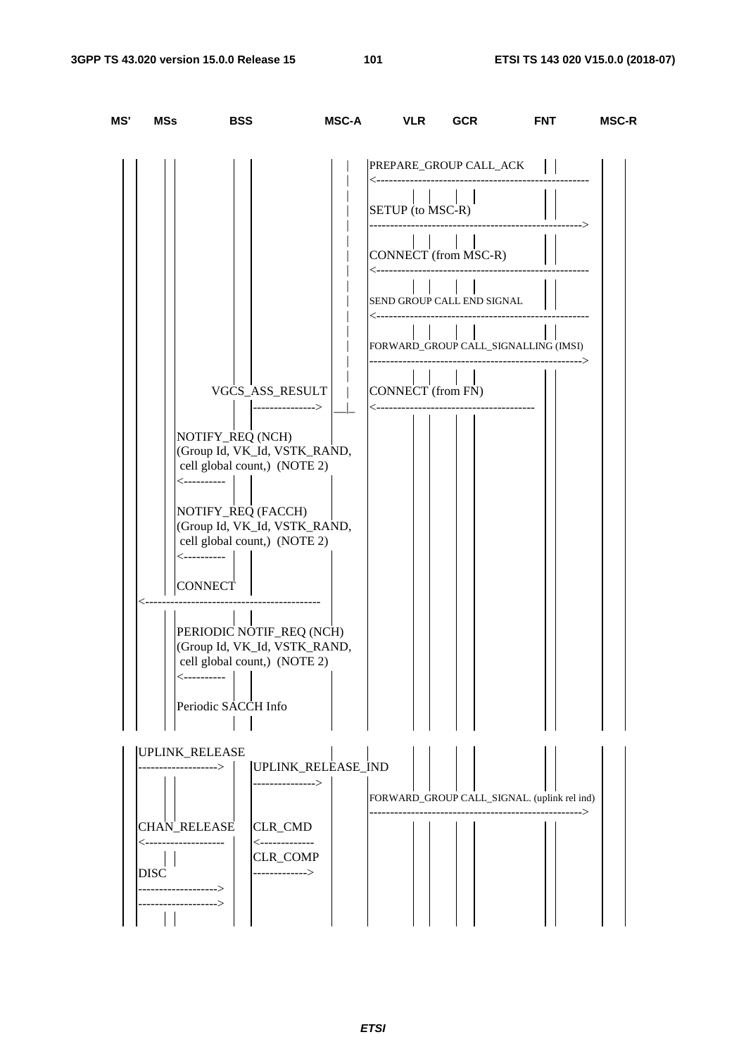| MS' | MSs                                                                                                   | <b>BSS</b>                                                                                                                                                                                                                                                                                                                                   | MSC-A VLR                                                                          | <b>GCR</b>                                                                                                                                                                                    | <b>FNT</b>                                       | <b>MSC-R</b> |
|-----|-------------------------------------------------------------------------------------------------------|----------------------------------------------------------------------------------------------------------------------------------------------------------------------------------------------------------------------------------------------------------------------------------------------------------------------------------------------|------------------------------------------------------------------------------------|-----------------------------------------------------------------------------------------------------------------------------------------------------------------------------------------------|--------------------------------------------------|--------------|
|     | <-----------<br><----------<br><-----------                                                           | VGCS_ASS_RESULT<br>NOTIFY_REQ (NCH)<br>(Group Id, VK_Id, VSTK_RAND,<br>cell global count,) (NOTE 2)<br>NOTIFY_REQ (FACCH)<br>(Group Id, VK_Id, VSTK_RAND,<br>cell global count,) (NOTE 2)<br>CONNECT  <br>---------------<br>PERIODIC NOTIF_REQ (NCH)<br>(Group Id, VK_Id, VSTK_RAND,<br>cell global count,) (NOTE 2)<br>Periodic SACCH Info | PREPARE_GROUP CALL_ACK    <br>$\frac{1}{2}$<br>CONNECT (from FN)<br><------------- | SETUP (to MSC-R)<br>$\pm 1$<br>CONNECT (from MSC-R)<br>SEND GROUP CALL END SIGNAL<br>---------------------<br>$\begin{bmatrix} 1 & 1 & 1 \end{bmatrix}$ $\begin{bmatrix} 1 & 1 \end{bmatrix}$ | FORWARD_GROUP CALL_SIGNALLING (IMSI)             |              |
|     | UPLINK_RELEASE<br><b>CHAN_RELEASE</b><br><--------------------<br><b>DISC</b><br>><br>--------------> | UPLINK_RELEASE_IND<br>---------------><br><b>CLR_CMD</b><br><--------------<br>CLR_COMP<br>-------------->                                                                                                                                                                                                                                   |                                                                                    |                                                                                                                                                                                               | FORWARD_GROUP CALL_SIGNAL. (uplink rel ind)<br>> |              |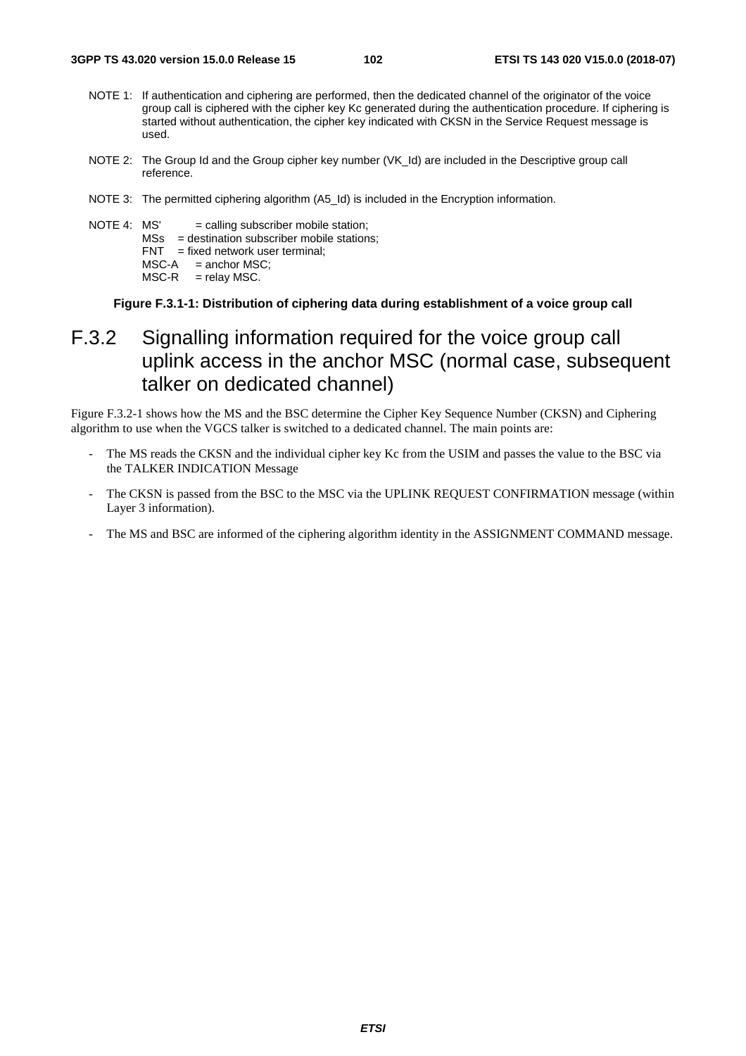- NOTE 1: If authentication and ciphering are performed, then the dedicated channel of the originator of the voice group call is ciphered with the cipher key Kc generated during the authentication procedure. If ciphering is started without authentication, the cipher key indicated with CKSN in the Service Request message is used.
- NOTE 2: The Group Id and the Group cipher key number (VK\_Id) are included in the Descriptive group call reference.
- NOTE 3: The permitted ciphering algorithm (A5\_Id) is included in the Encryption information.

NOTE 4:  $MS' = calling subscripted method$  subscriber mobile station; MSs = destination subscriber mobile stations;

- $FNT = fixed$  network user terminal;
- $MSC-A$  = anchor  $MSC$ ;
- $MSC-R$  = relay MSC.

**Figure F.3.1-1: Distribution of ciphering data during establishment of a voice group call** 

# F.3.2 Signalling information required for the voice group call uplink access in the anchor MSC (normal case, subsequent talker on dedicated channel)

Figure F.3.2-1 shows how the MS and the BSC determine the Cipher Key Sequence Number (CKSN) and Ciphering algorithm to use when the VGCS talker is switched to a dedicated channel. The main points are:

- The MS reads the CKSN and the individual cipher key Kc from the USIM and passes the value to the BSC via the TALKER INDICATION Message
- The CKSN is passed from the BSC to the MSC via the UPLINK REQUEST CONFIRMATION message (within Layer 3 information).
- The MS and BSC are informed of the ciphering algorithm identity in the ASSIGNMENT COMMAND message.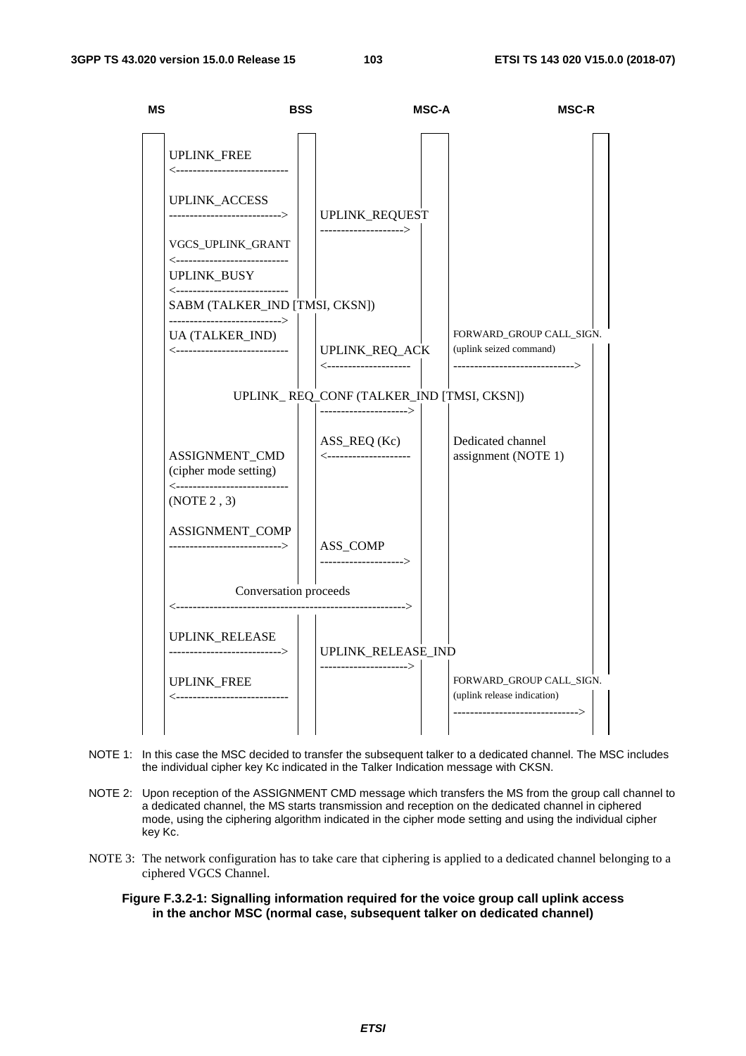

- NOTE 1: In this case the MSC decided to transfer the subsequent talker to a dedicated channel. The MSC includes the individual cipher key Kc indicated in the Talker Indication message with CKSN.
- NOTE 2: Upon reception of the ASSIGNMENT CMD message which transfers the MS from the group call channel to a dedicated channel, the MS starts transmission and reception on the dedicated channel in ciphered mode, using the ciphering algorithm indicated in the cipher mode setting and using the individual cipher key Kc.
- NOTE 3: The network configuration has to take care that ciphering is applied to a dedicated channel belonging to a ciphered VGCS Channel.
	- **Figure F.3.2-1: Signalling information required for the voice group call uplink access in the anchor MSC (normal case, subsequent talker on dedicated channel)**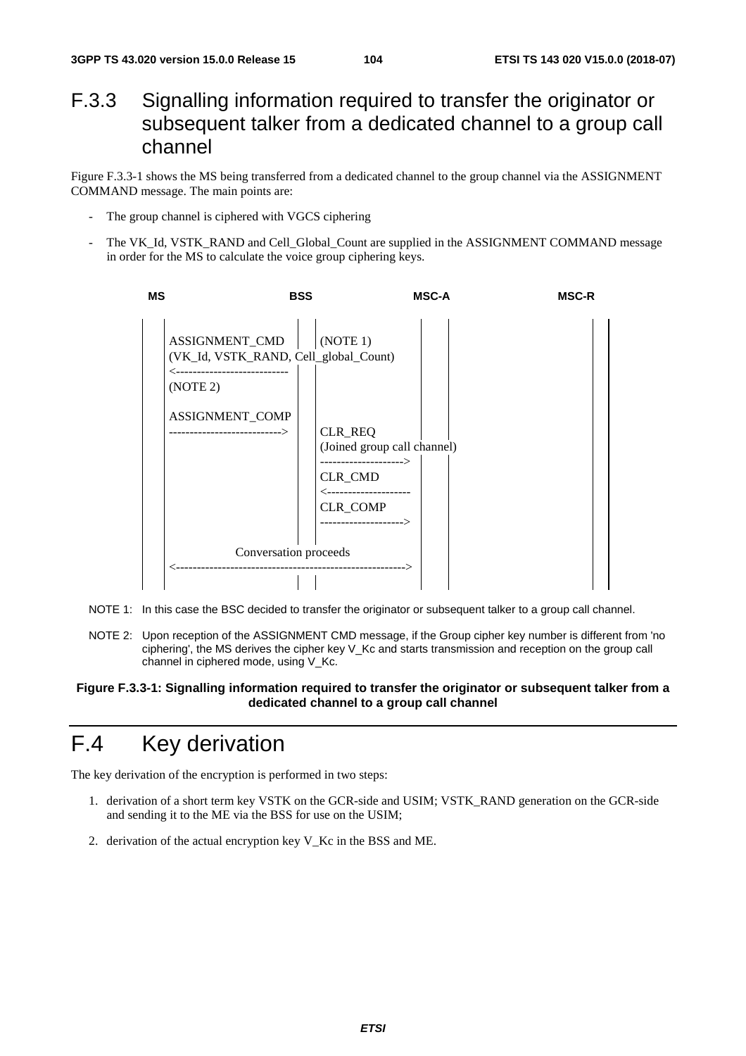## F.3.3 Signalling information required to transfer the originator or subsequent talker from a dedicated channel to a group call channel

Figure F.3.3-1 shows the MS being transferred from a dedicated channel to the group channel via the ASSIGNMENT COMMAND message. The main points are:

- The group channel is ciphered with VGCS ciphering
- The VK\_Id, VSTK\_RAND and Cell\_Global\_Count are supplied in the ASSIGNMENT COMMAND message in order for the MS to calculate the voice group ciphering keys.



- NOTE 1: In this case the BSC decided to transfer the originator or subsequent talker to a group call channel.
- NOTE 2: Upon reception of the ASSIGNMENT CMD message, if the Group cipher key number is different from 'no ciphering', the MS derives the cipher key V\_Kc and starts transmission and reception on the group call channel in ciphered mode, using V\_Kc.

#### **Figure F.3.3-1: Signalling information required to transfer the originator or subsequent talker from a dedicated channel to a group call channel**

# F.4 Key derivation

The key derivation of the encryption is performed in two steps:

- 1. derivation of a short term key VSTK on the GCR-side and USIM; VSTK\_RAND generation on the GCR-side and sending it to the ME via the BSS for use on the USIM;
- 2. derivation of the actual encryption key V\_Kc in the BSS and ME.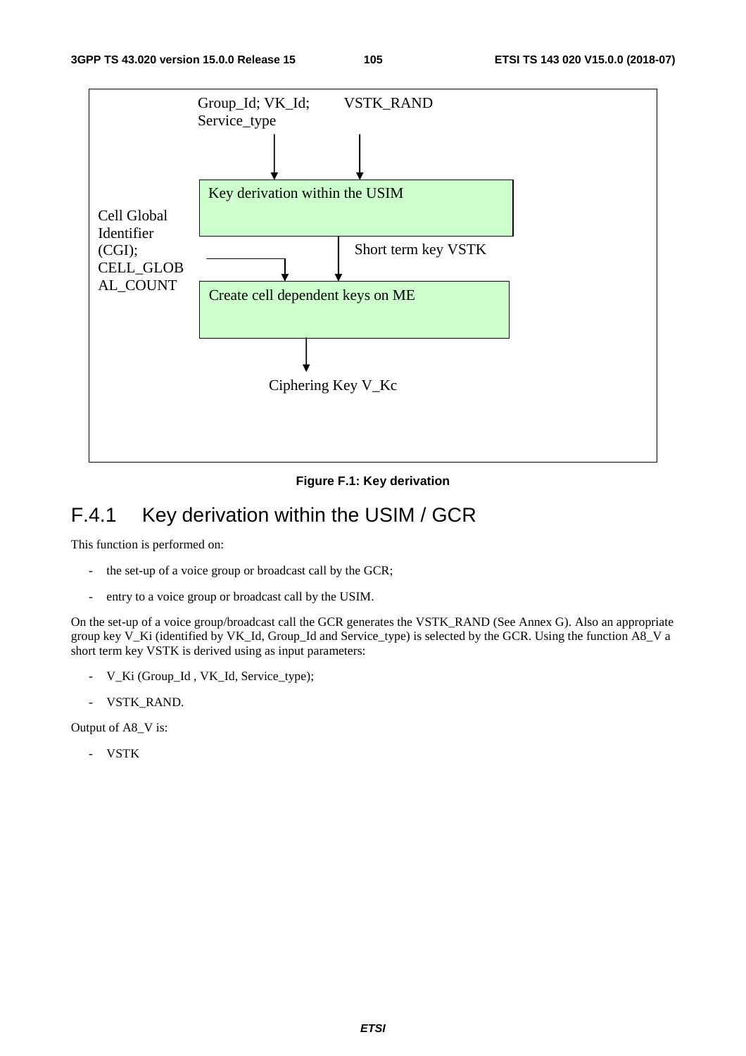

**Figure F.1: Key derivation** 

# F.4.1 Key derivation within the USIM / GCR

This function is performed on:

- the set-up of a voice group or broadcast call by the GCR;
- entry to a voice group or broadcast call by the USIM.

On the set-up of a voice group/broadcast call the GCR generates the VSTK\_RAND (See Annex G). Also an appropriate group key V\_Ki (identified by VK\_Id, Group\_Id and Service\_type) is selected by the GCR. Using the function A8\_V a short term key VSTK is derived using as input parameters:

- V\_Ki (Group\_Id , VK\_Id, Service\_type);
- VSTK\_RAND.

Output of A8\_V is:

- VSTK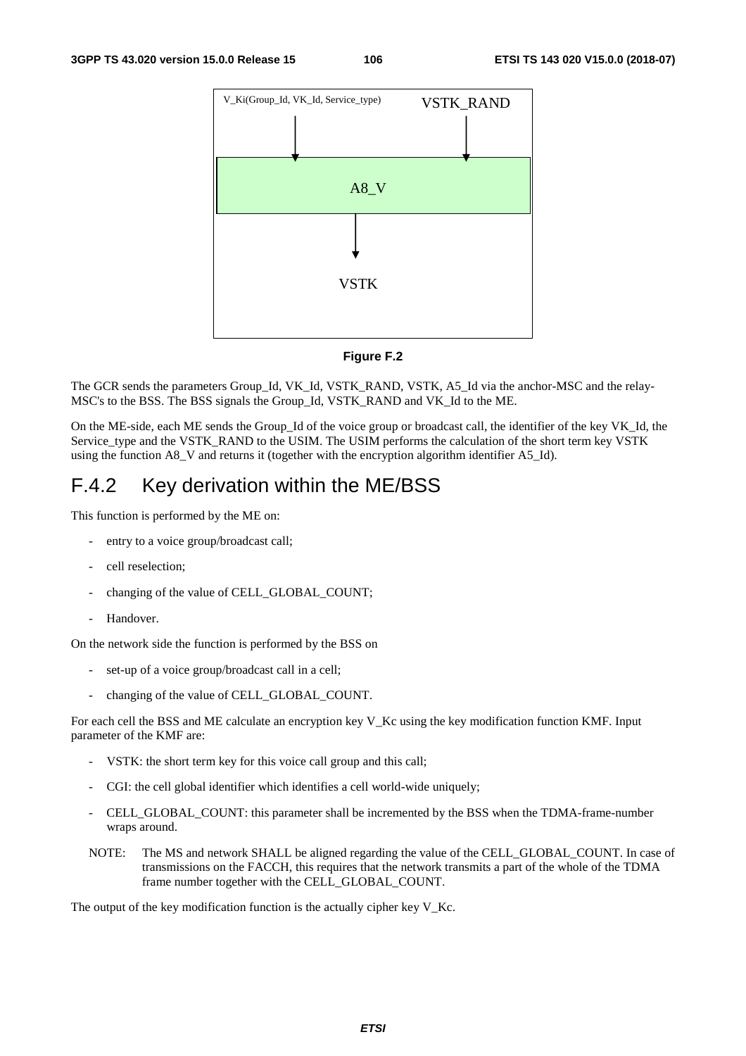

#### **Figure F.2**

The GCR sends the parameters Group\_Id, VK\_Id, VSTK\_RAND, VSTK, A5\_Id via the anchor-MSC and the relay-MSC's to the BSS. The BSS signals the Group\_Id, VSTK\_RAND and VK\_Id to the ME.

On the ME-side, each ME sends the Group\_Id of the voice group or broadcast call, the identifier of the key VK\_Id, the Service type and the VSTK\_RAND to the USIM. The USIM performs the calculation of the short term key VSTK using the function A8\_V and returns it (together with the encryption algorithm identifier A5\_Id).

## F.4.2 Key derivation within the ME/BSS

This function is performed by the ME on:

- entry to a voice group/broadcast call;
- cell reselection;
- changing of the value of CELL\_GLOBAL\_COUNT;
- Handover.

On the network side the function is performed by the BSS on

- set-up of a voice group/broadcast call in a cell;
- changing of the value of CELL\_GLOBAL\_COUNT.

For each cell the BSS and ME calculate an encryption key V\_Kc using the key modification function KMF. Input parameter of the KMF are:

- VSTK: the short term key for this voice call group and this call;
- CGI: the cell global identifier which identifies a cell world-wide uniquely;
- CELL\_GLOBAL\_COUNT: this parameter shall be incremented by the BSS when the TDMA-frame-number wraps around.
- NOTE: The MS and network SHALL be aligned regarding the value of the CELL\_GLOBAL\_COUNT. In case of transmissions on the FACCH, this requires that the network transmits a part of the whole of the TDMA frame number together with the CELL\_GLOBAL\_COUNT.

The output of the key modification function is the actually cipher key V\_Kc.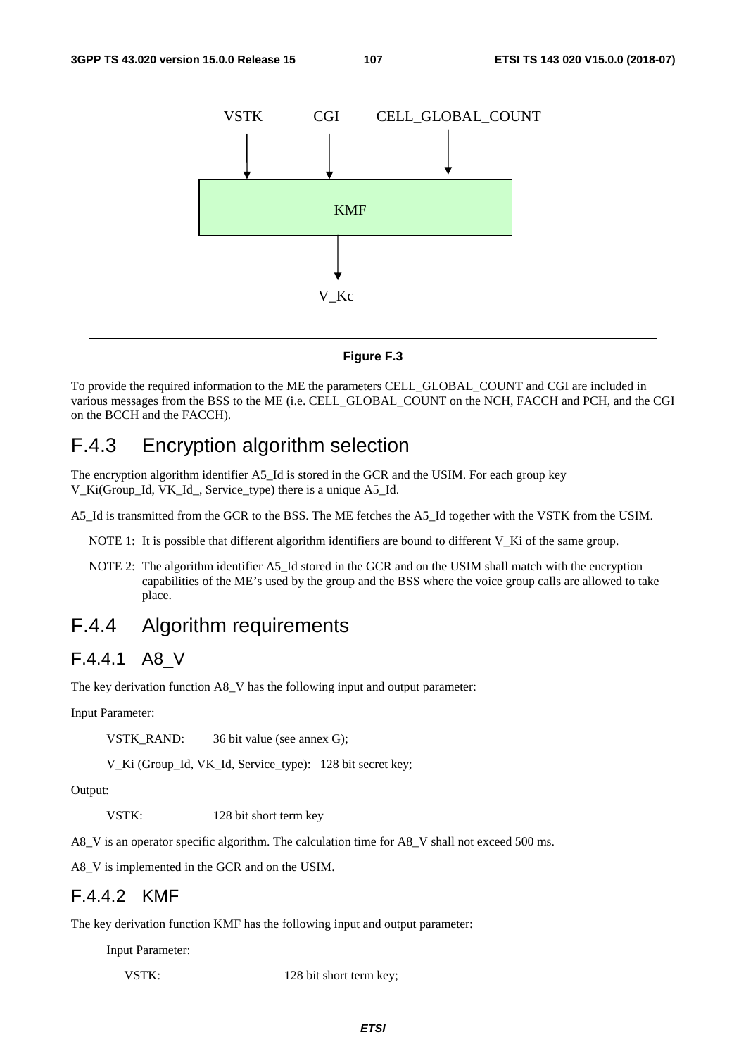

**Figure F.3** 

To provide the required information to the ME the parameters CELL\_GLOBAL\_COUNT and CGI are included in various messages from the BSS to the ME (i.e. CELL\_GLOBAL\_COUNT on the NCH, FACCH and PCH, and the CGI on the BCCH and the FACCH).

## F.4.3 Encryption algorithm selection

The encryption algorithm identifier A5\_Id is stored in the GCR and the USIM. For each group key V\_Ki(Group\_Id, VK\_Id\_, Service\_type) there is a unique A5\_Id.

A5\_Id is transmitted from the GCR to the BSS. The ME fetches the A5\_Id together with the VSTK from the USIM.

- NOTE 1: It is possible that different algorithm identifiers are bound to different V\_Ki of the same group.
- NOTE 2: The algorithm identifier A5. Id stored in the GCR and on the USIM shall match with the encryption capabilities of the ME's used by the group and the BSS where the voice group calls are allowed to take place.

## F.4.4 Algorithm requirements

## F.4.4.1 A8\_V

The key derivation function A8\_V has the following input and output parameter:

Input Parameter:

VSTK\_RAND: 36 bit value (see annex G);

V\_Ki (Group\_Id, VK\_Id, Service\_type): 128 bit secret key;

Output:

VSTK: 128 bit short term key

A8\_V is an operator specific algorithm. The calculation time for A8\_V shall not exceed 500 ms.

A8\_V is implemented in the GCR and on the USIM.

### F.4.4.2 KMF

The key derivation function KMF has the following input and output parameter:

Input Parameter:

VSTK: 128 bit short term key;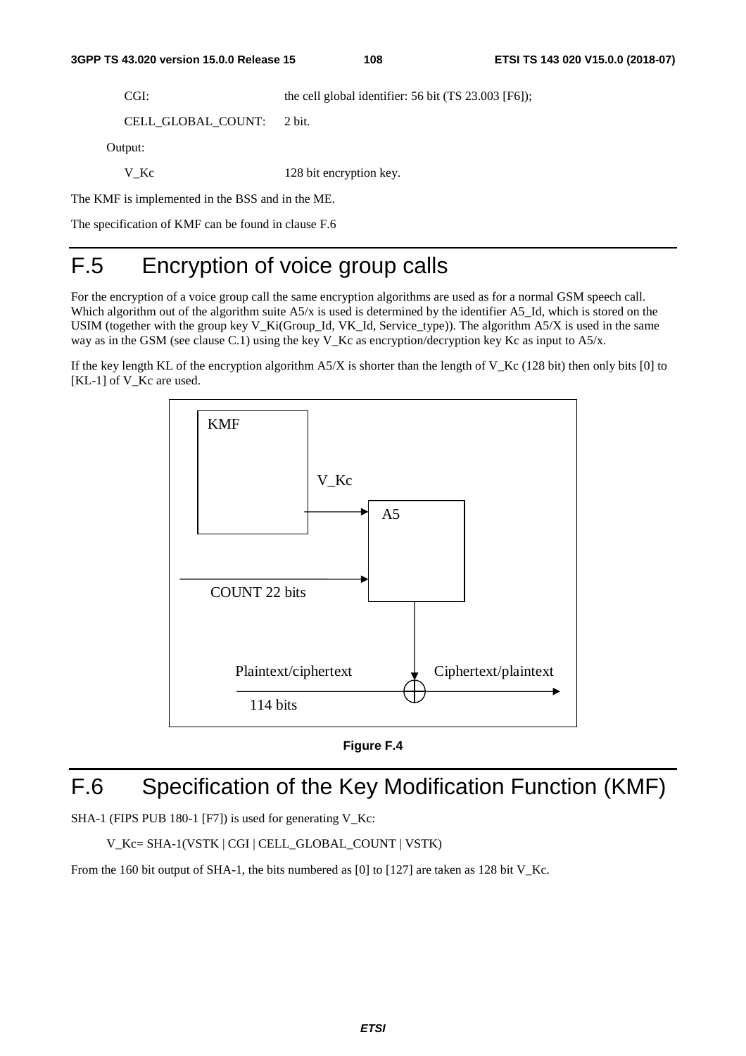CGI: the cell global identifier: 56 bit (TS 23.003 [F6]);

```
 CELL_GLOBAL_COUNT: 2 bit.
```
Output:

V\_Kc 128 bit encryption key.

The KMF is implemented in the BSS and in the ME.

The specification of KMF can be found in clause F.6

# F.5 Encryption of voice group calls

For the encryption of a voice group call the same encryption algorithms are used as for a normal GSM speech call. Which algorithm out of the algorithm suite A5/x is used is determined by the identifier A5\_Id, which is stored on the USIM (together with the group key V\_Ki(Group\_Id, VK\_Id, Service\_type)). The algorithm A5/X is used in the same way as in the GSM (see clause C.1) using the key V\_Kc as encryption/decryption key Kc as input to  $A_5/x$ .

If the key length KL of the encryption algorithm  $A5/X$  is shorter than the length of V\_Kc (128 bit) then only bits [0] to [KL-1] of V<sub>Kc</sub> are used.





## F.6 Specification of the Key Modification Function (KMF)

SHA-1 (FIPS PUB 180-1 [F7]) is used for generating V\_Kc:

V\_Kc= SHA-1(VSTK | CGI | CELL\_GLOBAL\_COUNT | VSTK)

From the 160 bit output of SHA-1, the bits numbered as [0] to [127] are taken as 128 bit V Kc.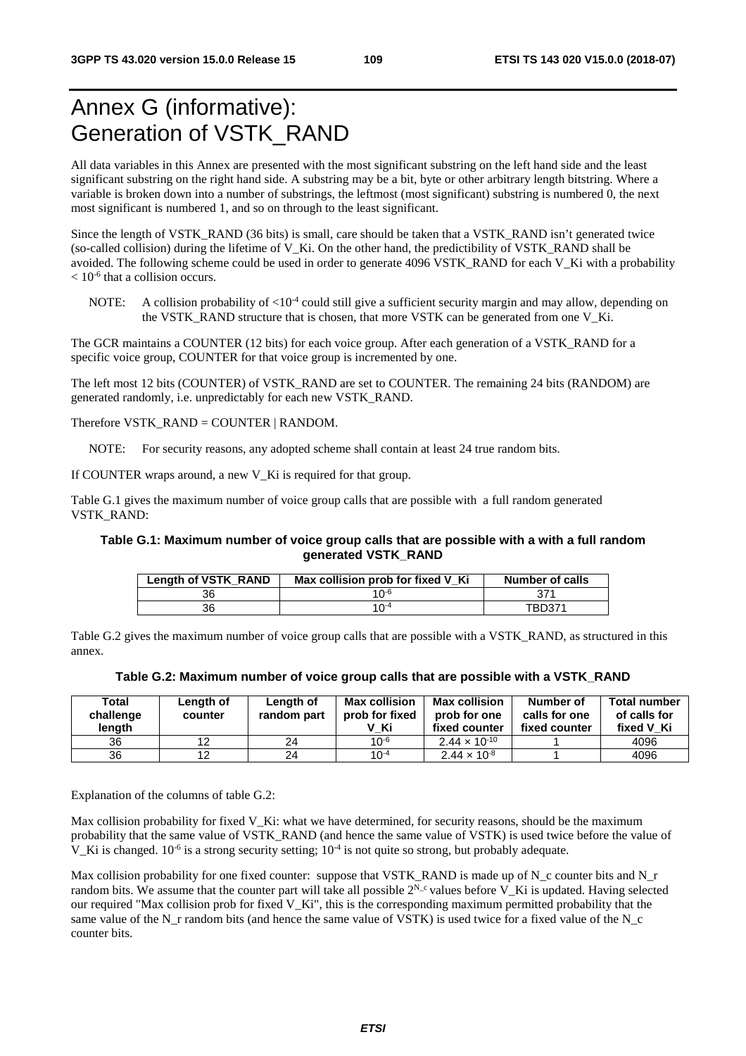# Annex G (informative): Generation of VSTK\_RAND

All data variables in this Annex are presented with the most significant substring on the left hand side and the least significant substring on the right hand side. A substring may be a bit, byte or other arbitrary length bitstring. Where a variable is broken down into a number of substrings, the leftmost (most significant) substring is numbered 0, the next most significant is numbered 1, and so on through to the least significant.

Since the length of VSTK\_RAND (36 bits) is small, care should be taken that a VSTK\_RAND isn't generated twice (so-called collision) during the lifetime of V\_Ki. On the other hand, the predictibility of VSTK\_RAND shall be avoided. The following scheme could be used in order to generate 4096 VSTK\_RAND for each V\_Ki with a probability  $< 10^{-6}$  that a collision occurs.

NOTE: A collision probability of  $\langle 10^{-4} \text{ could still give a sufficient security margin and may allow, depending on }$ the VSTK\_RAND structure that is chosen, that more VSTK can be generated from one V\_Ki.

The GCR maintains a COUNTER (12 bits) for each voice group. After each generation of a VSTK\_RAND for a specific voice group, COUNTER for that voice group is incremented by one.

The left most 12 bits (COUNTER) of VSTK\_RAND are set to COUNTER. The remaining 24 bits (RANDOM) are generated randomly, i.e. unpredictably for each new VSTK\_RAND.

Therefore VSTK\_RAND = COUNTER  $|$  RANDOM.

NOTE: For security reasons, any adopted scheme shall contain at least 24 true random bits.

If COUNTER wraps around, a new  $V$  Ki is required for that group.

Table G.1 gives the maximum number of voice group calls that are possible with a full random generated VSTK\_RAND:

#### **Table G.1: Maximum number of voice group calls that are possible with a with a full random generated VSTK\_RAND**

| Length of VSTK_RAND | Max collision prob for fixed V Ki | Number of calls |
|---------------------|-----------------------------------|-----------------|
| 36                  | 1∩-6                              |                 |
| 36                  | 1 $\Omega$ <sup>-4</sup>          | TBD371          |

Table G.2 gives the maximum number of voice group calls that are possible with a VSTK\_RAND, as structured in this annex.

| Total<br>challenge<br>length | Length of<br>counter | Length of<br>random part | <b>Max collision</b><br>prob for fixed<br>V Ki | <b>Max collision</b><br>prob for one<br>fixed counter | Number of<br>calls for one<br>fixed counter | <b>Total number</b><br>of calls for<br>fixed V Ki |
|------------------------------|----------------------|--------------------------|------------------------------------------------|-------------------------------------------------------|---------------------------------------------|---------------------------------------------------|
| 36                           | 12                   | 24                       | $10^{-6}$                                      | $2.44 \times 10^{-10}$                                |                                             | 4096                                              |
| 36                           | 12                   | 24                       | $10^{-4}$                                      | $2.44 \times 10^{-8}$                                 |                                             | 4096                                              |

Explanation of the columns of table G.2:

Max collision probability for fixed V\_Ki: what we have determined, for security reasons, should be the maximum probability that the same value of VSTK\_RAND (and hence the same value of VSTK) is used twice before the value of V. Ki is changed.  $10^{-6}$  is a strong security setting;  $10^{-4}$  is not quite so strong, but probably adequate.

Max collision probability for one fixed counter: suppose that VSTK\_RAND is made up of N\_c counter bits and N\_r random bits. We assume that the counter part will take all possible  $2^{N_c}$  values before V. Ki is updated. Having selected our required "Max collision prob for fixed V\_Ki", this is the corresponding maximum permitted probability that the same value of the N\_r random bits (and hence the same value of VSTK) is used twice for a fixed value of the N\_c counter bits.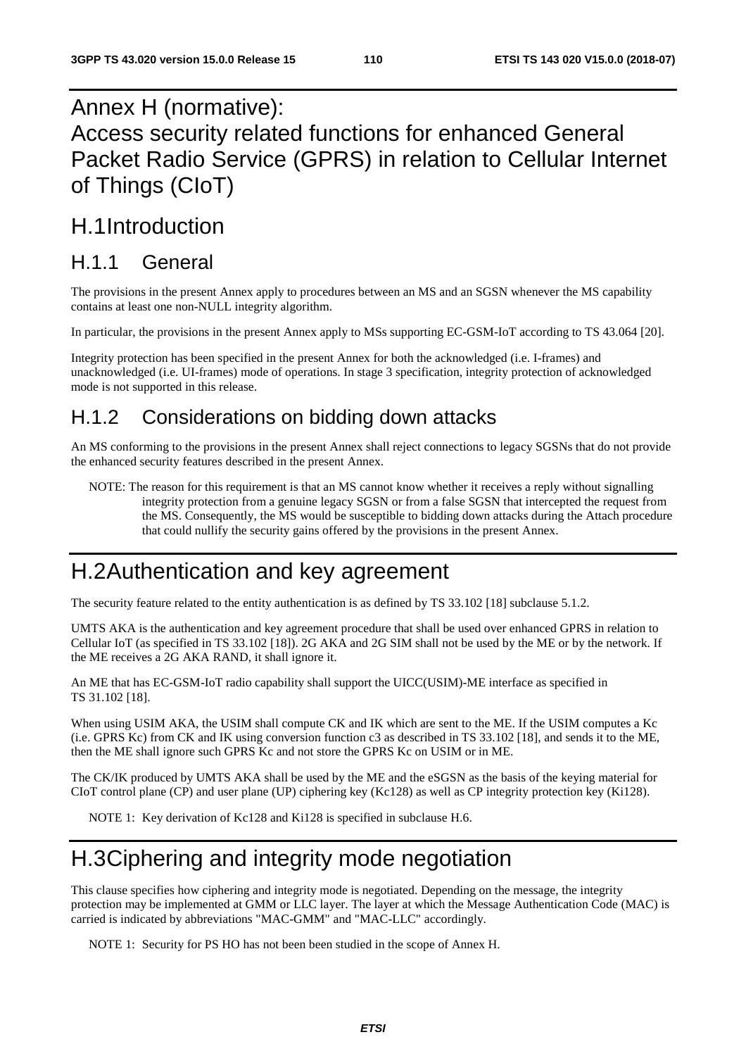# Annex H (normative): Access security related functions for enhanced General Packet Radio Service (GPRS) in relation to Cellular Internet of Things (CIoT)

## H.1 Introduction

## H.1.1 General

The provisions in the present Annex apply to procedures between an MS and an SGSN whenever the MS capability contains at least one non-NULL integrity algorithm.

In particular, the provisions in the present Annex apply to MSs supporting EC-GSM-IoT according to TS 43.064 [20].

Integrity protection has been specified in the present Annex for both the acknowledged (i.e. I-frames) and unacknowledged (i.e. UI-frames) mode of operations. In stage 3 specification, integrity protection of acknowledged mode is not supported in this release.

## H.1.2 Considerations on bidding down attacks

An MS conforming to the provisions in the present Annex shall reject connections to legacy SGSNs that do not provide the enhanced security features described in the present Annex.

NOTE: The reason for this requirement is that an MS cannot know whether it receives a reply without signalling integrity protection from a genuine legacy SGSN or from a false SGSN that intercepted the request from the MS. Consequently, the MS would be susceptible to bidding down attacks during the Attach procedure that could nullify the security gains offered by the provisions in the present Annex.

## H.2 Authentication and key agreement

The security feature related to the entity authentication is as defined by TS 33.102 [18] subclause 5.1.2.

UMTS AKA is the authentication and key agreement procedure that shall be used over enhanced GPRS in relation to Cellular IoT (as specified in TS 33.102 [18]). 2G AKA and 2G SIM shall not be used by the ME or by the network. If the ME receives a 2G AKA RAND, it shall ignore it.

An ME that has EC-GSM-IoT radio capability shall support the UICC(USIM)-ME interface as specified in TS 31.102 [18].

When using USIM AKA, the USIM shall compute CK and IK which are sent to the ME. If the USIM computes a Kc (i.e. GPRS Kc) from CK and IK using conversion function c3 as described in TS 33.102 [18], and sends it to the ME, then the ME shall ignore such GPRS Kc and not store the GPRS Kc on USIM or in ME.

The CK/IK produced by UMTS AKA shall be used by the ME and the eSGSN as the basis of the keying material for CIoT control plane (CP) and user plane (UP) ciphering key (Kc128) as well as CP integrity protection key (Ki128).

NOTE 1: Key derivation of Kc128 and Ki128 is specified in subclause H.6.

# H.3 Ciphering and integrity mode negotiation

This clause specifies how ciphering and integrity mode is negotiated. Depending on the message, the integrity protection may be implemented at GMM or LLC layer. The layer at which the Message Authentication Code (MAC) is carried is indicated by abbreviations "MAC-GMM" and "MAC-LLC" accordingly.

NOTE 1: Security for PS HO has not been been studied in the scope of Annex H.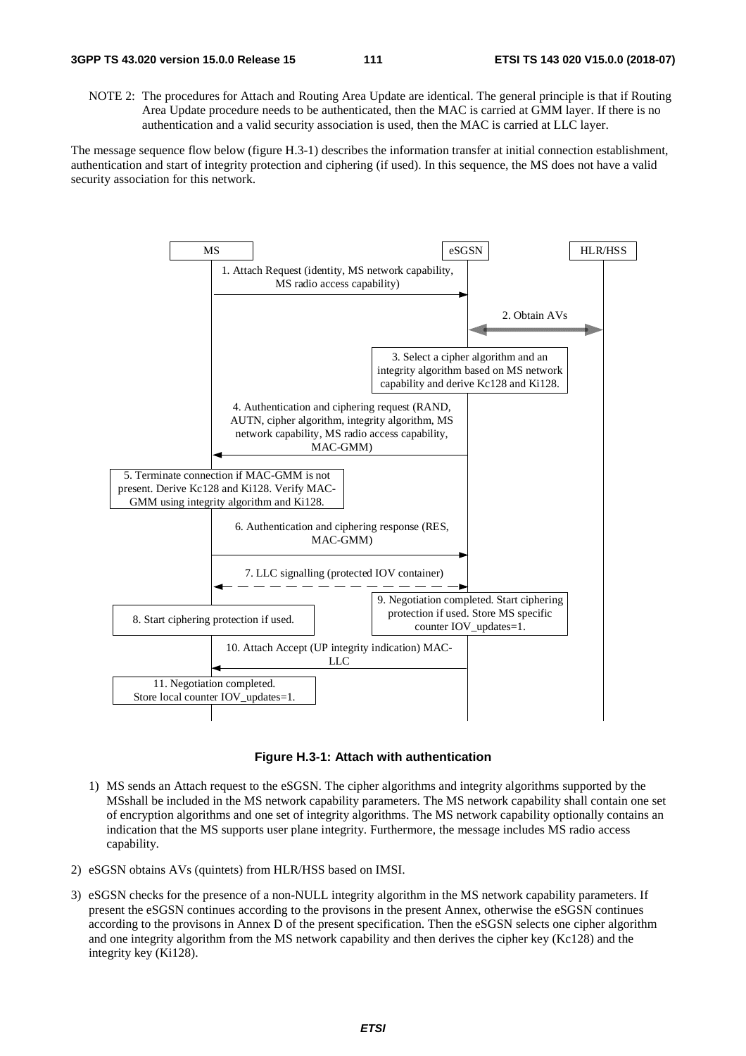NOTE 2: The procedures for Attach and Routing Area Update are identical. The general principle is that if Routing Area Update procedure needs to be authenticated, then the MAC is carried at GMM layer. If there is no authentication and a valid security association is used, then the MAC is carried at LLC layer.

The message sequence flow below (figure H.3-1) describes the information transfer at initial connection establishment, authentication and start of integrity protection and ciphering (if used). In this sequence, the MS does not have a valid security association for this network.





- 1) MS sends an Attach request to the eSGSN. The cipher algorithms and integrity algorithms supported by the MSshall be included in the MS network capability parameters. The MS network capability shall contain one set of encryption algorithms and one set of integrity algorithms. The MS network capability optionally contains an indication that the MS supports user plane integrity. Furthermore, the message includes MS radio access capability.
- 2) eSGSN obtains AVs (quintets) from HLR/HSS based on IMSI.
- 3) eSGSN checks for the presence of a non-NULL integrity algorithm in the MS network capability parameters. If present the eSGSN continues according to the provisons in the present Annex, otherwise the eSGSN continues according to the provisons in Annex D of the present specification. Then the eSGSN selects one cipher algorithm and one integrity algorithm from the MS network capability and then derives the cipher key (Kc128) and the integrity key (Ki128).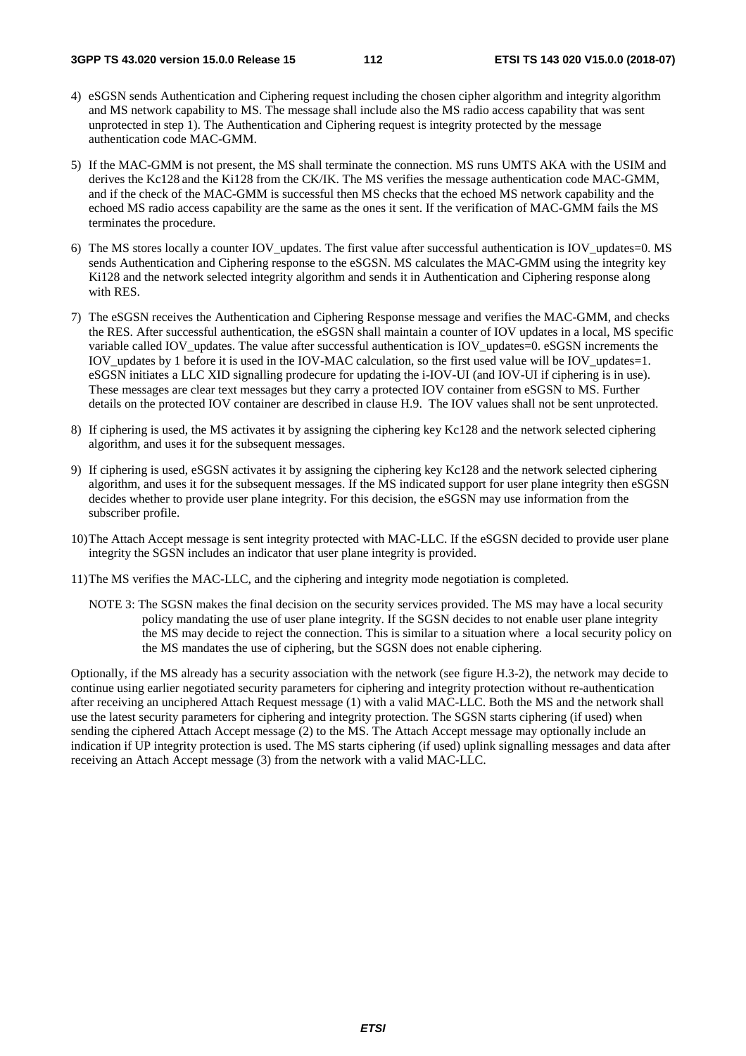- 4) eSGSN sends Authentication and Ciphering request including the chosen cipher algorithm and integrity algorithm and MS network capability to MS. The message shall include also the MS radio access capability that was sent unprotected in step 1). The Authentication and Ciphering request is integrity protected by the message authentication code MAC-GMM.
- 5) If the MAC-GMM is not present, the MS shall terminate the connection. MS runs UMTS AKA with the USIM and derives the Kc128 and the Ki128 from the CK/IK. The MS verifies the message authentication code MAC-GMM, and if the check of the MAC-GMM is successful then MS checks that the echoed MS network capability and the echoed MS radio access capability are the same as the ones it sent. If the verification of MAC-GMM fails the MS terminates the procedure.
- 6) The MS stores locally a counter IOV\_updates. The first value after successful authentication is IOV\_updates=0. MS sends Authentication and Ciphering response to the eSGSN. MS calculates the MAC-GMM using the integrity key Ki128 and the network selected integrity algorithm and sends it in Authentication and Ciphering response along with RES.
- 7) The eSGSN receives the Authentication and Ciphering Response message and verifies the MAC-GMM, and checks the RES. After successful authentication, the eSGSN shall maintain a counter of IOV updates in a local, MS specific variable called IOV\_updates. The value after successful authentication is IOV\_updates=0. eSGSN increments the IOV\_updates by 1 before it is used in the IOV-MAC calculation, so the first used value will be IOV\_updates=1. eSGSN initiates a LLC XID signalling prodecure for updating the i-IOV-UI (and IOV-UI if ciphering is in use). These messages are clear text messages but they carry a protected IOV container from eSGSN to MS. Further details on the protected IOV container are described in clause H.9. The IOV values shall not be sent unprotected.
- 8) If ciphering is used, the MS activates it by assigning the ciphering key Kc128 and the network selected ciphering algorithm, and uses it for the subsequent messages.
- 9) If ciphering is used, eSGSN activates it by assigning the ciphering key Kc128 and the network selected ciphering algorithm, and uses it for the subsequent messages. If the MS indicated support for user plane integrity then eSGSN decides whether to provide user plane integrity. For this decision, the eSGSN may use information from the subscriber profile.
- 10) The Attach Accept message is sent integrity protected with MAC-LLC. If the eSGSN decided to provide user plane integrity the SGSN includes an indicator that user plane integrity is provided.
- 11) The MS verifies the MAC-LLC, and the ciphering and integrity mode negotiation is completed.
	- NOTE 3: The SGSN makes the final decision on the security services provided. The MS may have a local security policy mandating the use of user plane integrity. If the SGSN decides to not enable user plane integrity the MS may decide to reject the connection. This is similar to a situation where a local security policy on the MS mandates the use of ciphering, but the SGSN does not enable ciphering.

Optionally, if the MS already has a security association with the network (see figure H.3-2), the network may decide to continue using earlier negotiated security parameters for ciphering and integrity protection without re-authentication after receiving an unciphered Attach Request message (1) with a valid MAC-LLC. Both the MS and the network shall use the latest security parameters for ciphering and integrity protection. The SGSN starts ciphering (if used) when sending the ciphered Attach Accept message (2) to the MS. The Attach Accept message may optionally include an indication if UP integrity protection is used. The MS starts ciphering (if used) uplink signalling messages and data after receiving an Attach Accept message (3) from the network with a valid MAC-LLC.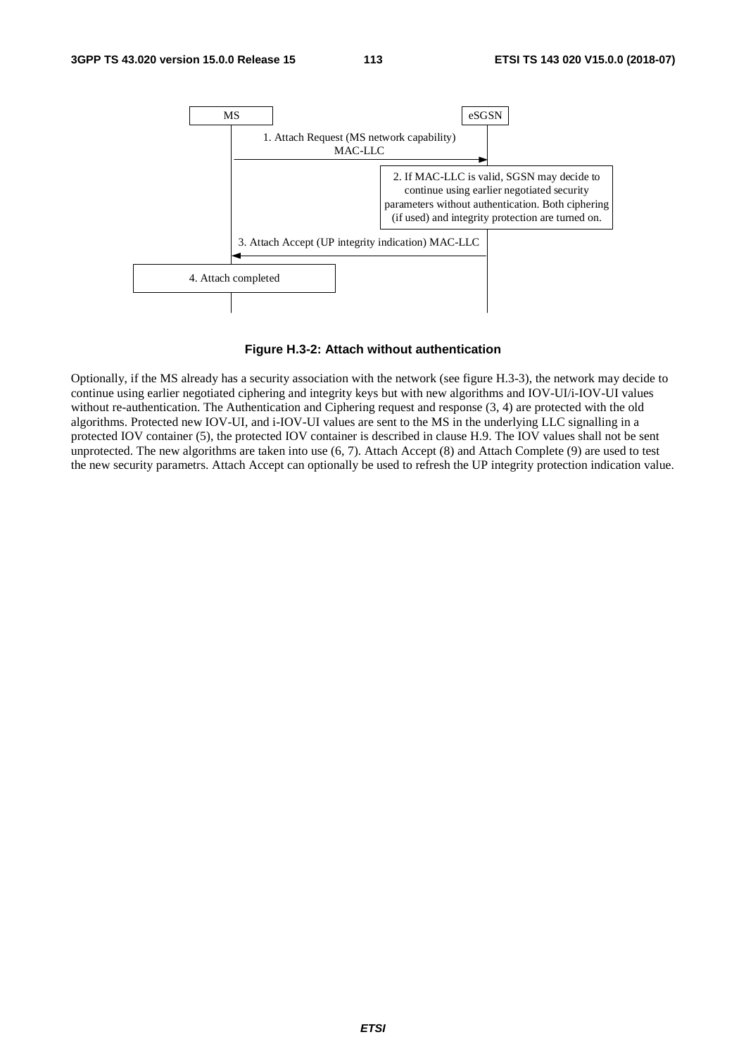

**Figure H.3-2: Attach without authentication** 

Optionally, if the MS already has a security association with the network (see figure H.3-3), the network may decide to continue using earlier negotiated ciphering and integrity keys but with new algorithms and IOV-UI/i-IOV-UI values without re-authentication. The Authentication and Ciphering request and response (3, 4) are protected with the old algorithms. Protected new IOV-UI, and i-IOV-UI values are sent to the MS in the underlying LLC signalling in a protected IOV container (5), the protected IOV container is described in clause H.9. The IOV values shall not be sent unprotected. The new algorithms are taken into use (6, 7). Attach Accept (8) and Attach Complete (9) are used to test the new security parametrs. Attach Accept can optionally be used to refresh the UP integrity protection indication value.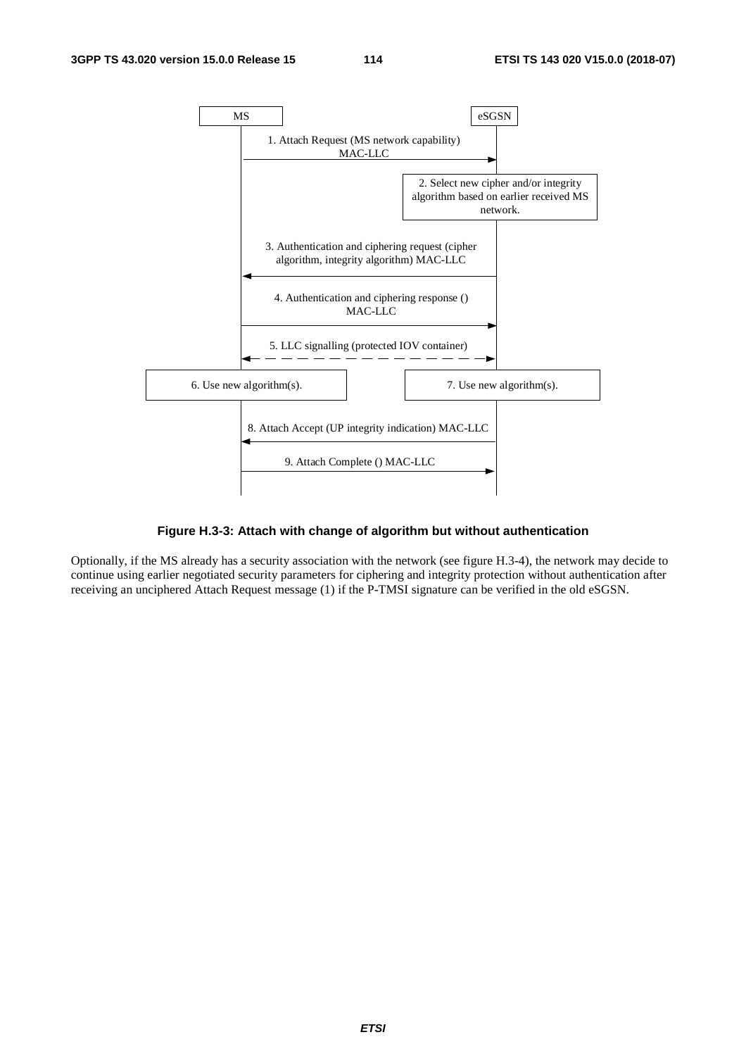

#### **Figure H.3-3: Attach with change of algorithm but without authentication**

Optionally, if the MS already has a security association with the network (see figure H.3-4), the network may decide to continue using earlier negotiated security parameters for ciphering and integrity protection without authentication after receiving an unciphered Attach Request message (1) if the P-TMSI signature can be verified in the old eSGSN.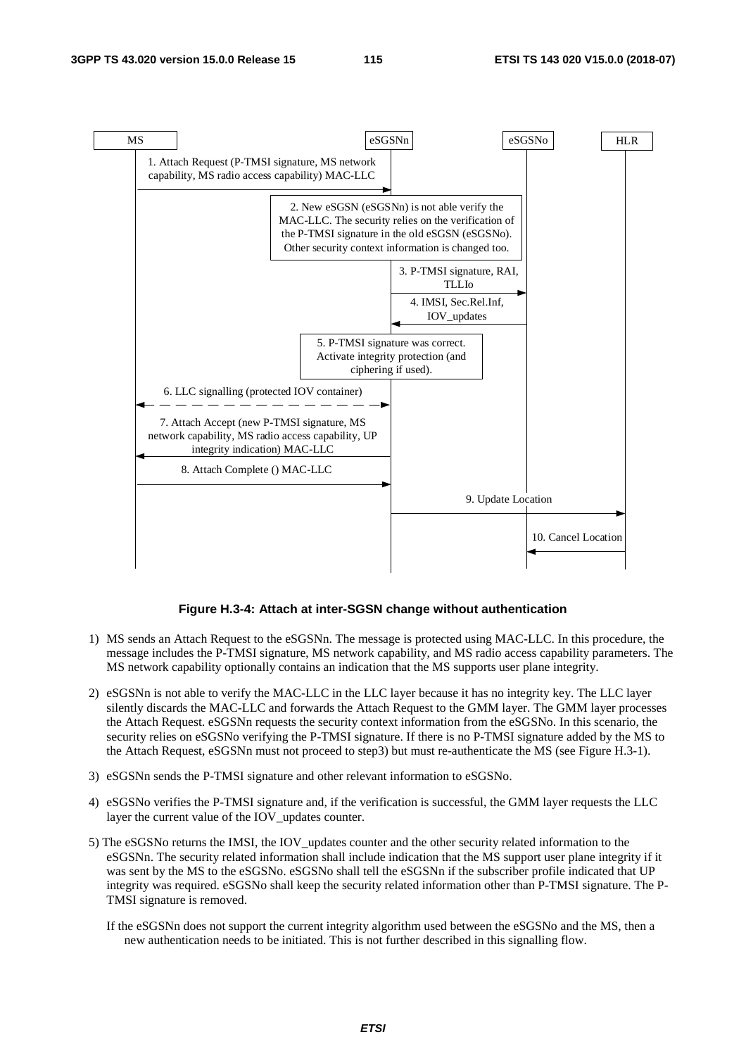

#### **Figure H.3-4: Attach at inter-SGSN change without authentication**

- 1) MS sends an Attach Request to the eSGSNn. The message is protected using MAC-LLC. In this procedure, the message includes the P-TMSI signature, MS network capability, and MS radio access capability parameters. The MS network capability optionally contains an indication that the MS supports user plane integrity.
- 2) eSGSNn is not able to verify the MAC-LLC in the LLC layer because it has no integrity key. The LLC layer silently discards the MAC-LLC and forwards the Attach Request to the GMM layer. The GMM layer processes the Attach Request. eSGSNn requests the security context information from the eSGSNo. In this scenario, the security relies on eSGSNo verifying the P-TMSI signature. If there is no P-TMSI signature added by the MS to the Attach Request, eSGSNn must not proceed to step3) but must re-authenticate the MS (see Figure H.3-1).
- 3) eSGSNn sends the P-TMSI signature and other relevant information to eSGSNo.
- 4) eSGSNo verifies the P-TMSI signature and, if the verification is successful, the GMM layer requests the LLC layer the current value of the IOV\_updates counter.
- 5) The eSGSNo returns the IMSI, the IOV\_updates counter and the other security related information to the eSGSNn. The security related information shall include indication that the MS support user plane integrity if it was sent by the MS to the eSGSNo. eSGSNo shall tell the eSGSNn if the subscriber profile indicated that UP integrity was required. eSGSNo shall keep the security related information other than P-TMSI signature. The P-TMSI signature is removed.
	- If the eSGSNn does not support the current integrity algorithm used between the eSGSNo and the MS, then a new authentication needs to be initiated. This is not further described in this signalling flow.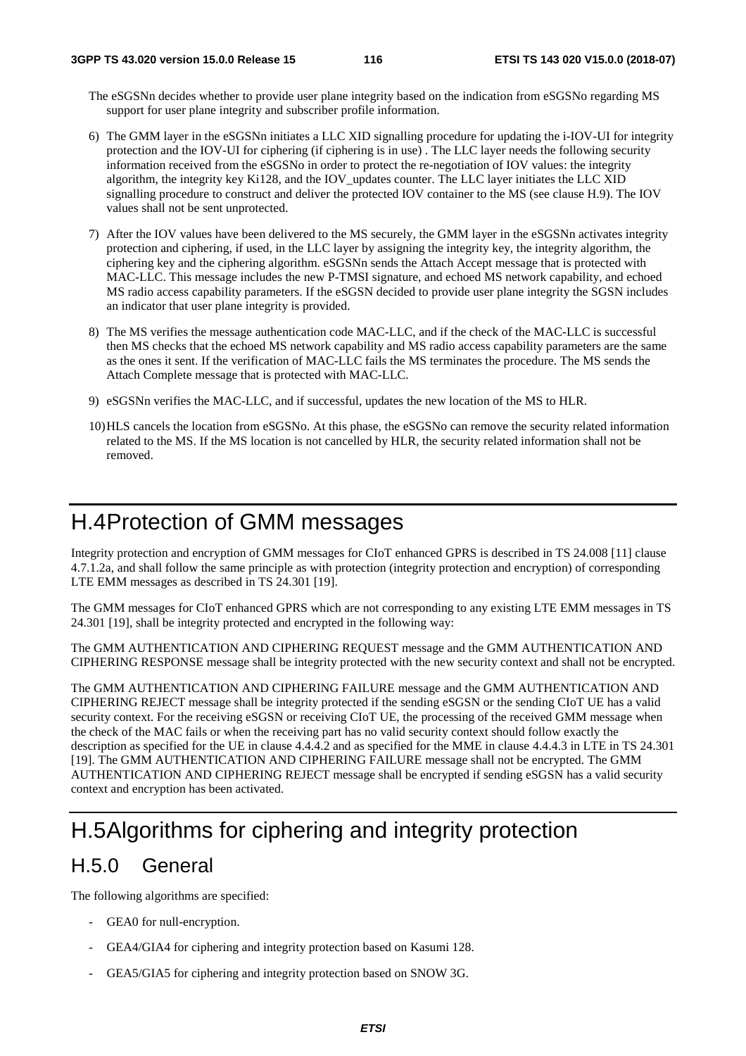The eSGSNn decides whether to provide user plane integrity based on the indication from eSGSNo regarding MS support for user plane integrity and subscriber profile information.

- 6) The GMM layer in the eSGSNn initiates a LLC XID signalling procedure for updating the i-IOV-UI for integrity protection and the IOV-UI for ciphering (if ciphering is in use) . The LLC layer needs the following security information received from the eSGSNo in order to protect the re-negotiation of IOV values: the integrity algorithm, the integrity key Ki128, and the IOV\_updates counter. The LLC layer initiates the LLC XID signalling procedure to construct and deliver the protected IOV container to the MS (see clause H.9). The IOV values shall not be sent unprotected.
- 7) After the IOV values have been delivered to the MS securely, the GMM layer in the eSGSNn activates integrity protection and ciphering, if used, in the LLC layer by assigning the integrity key, the integrity algorithm, the ciphering key and the ciphering algorithm. eSGSNn sends the Attach Accept message that is protected with MAC-LLC. This message includes the new P-TMSI signature, and echoed MS network capability, and echoed MS radio access capability parameters. If the eSGSN decided to provide user plane integrity the SGSN includes an indicator that user plane integrity is provided.
- 8) The MS verifies the message authentication code MAC-LLC, and if the check of the MAC-LLC is successful then MS checks that the echoed MS network capability and MS radio access capability parameters are the same as the ones it sent. If the verification of MAC-LLC fails the MS terminates the procedure. The MS sends the Attach Complete message that is protected with MAC-LLC.
- 9) eSGSNn verifies the MAC-LLC, and if successful, updates the new location of the MS to HLR.
- 10) HLS cancels the location from eSGSNo. At this phase, the eSGSNo can remove the security related information related to the MS. If the MS location is not cancelled by HLR, the security related information shall not be removed.

## H.4 Protection of GMM messages

Integrity protection and encryption of GMM messages for CIoT enhanced GPRS is described in TS 24.008 [11] clause 4.7.1.2a, and shall follow the same principle as with protection (integrity protection and encryption) of corresponding LTE EMM messages as described in TS 24.301 [19].

The GMM messages for CIoT enhanced GPRS which are not corresponding to any existing LTE EMM messages in TS 24.301 [19], shall be integrity protected and encrypted in the following way:

The GMM AUTHENTICATION AND CIPHERING REQUEST message and the GMM AUTHENTICATION AND CIPHERING RESPONSE message shall be integrity protected with the new security context and shall not be encrypted.

The GMM AUTHENTICATION AND CIPHERING FAILURE message and the GMM AUTHENTICATION AND CIPHERING REJECT message shall be integrity protected if the sending eSGSN or the sending CIoT UE has a valid security context. For the receiving eSGSN or receiving CIoT UE, the processing of the received GMM message when the check of the MAC fails or when the receiving part has no valid security context should follow exactly the description as specified for the UE in clause 4.4.4.2 and as specified for the MME in clause 4.4.4.3 in LTE in TS 24.301 [19]. The GMM AUTHENTICATION AND CIPHERING FAILURE message shall not be encrypted. The GMM AUTHENTICATION AND CIPHERING REJECT message shall be encrypted if sending eSGSN has a valid security context and encryption has been activated.

# H.5 Algorithms for ciphering and integrity protection

### H.5.0 General

The following algorithms are specified:

- GEA0 for null-encryption.
- GEA4/GIA4 for ciphering and integrity protection based on Kasumi 128.
- GEA5/GIA5 for ciphering and integrity protection based on SNOW 3G.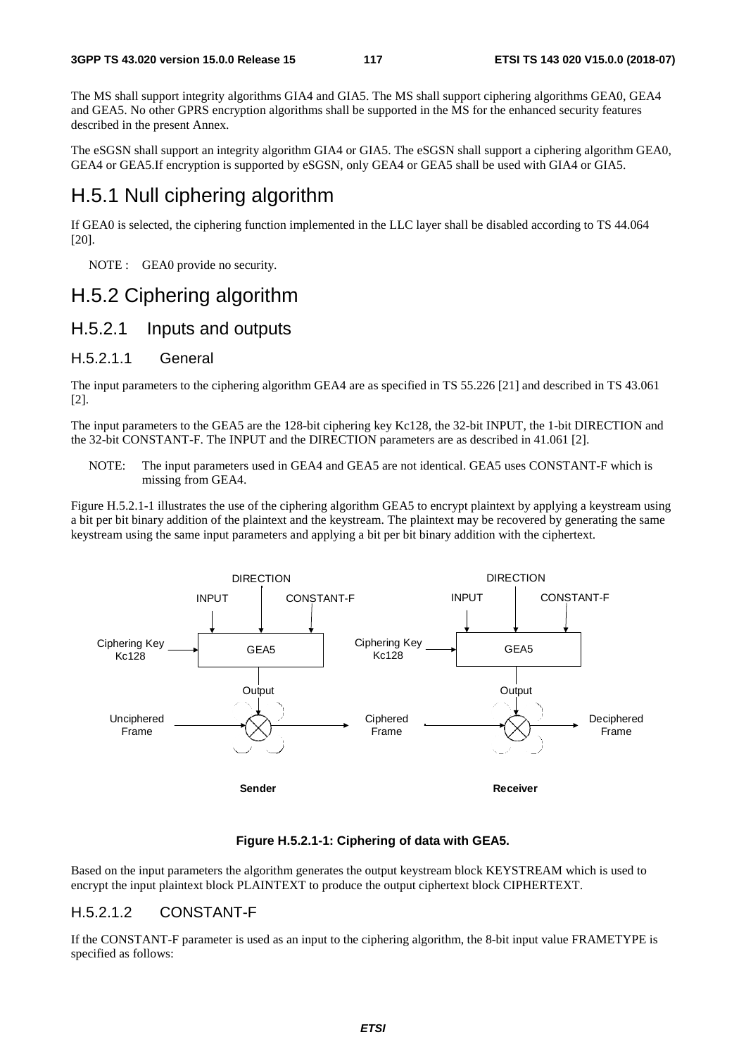The MS shall support integrity algorithms GIA4 and GIA5. The MS shall support ciphering algorithms GEA0, GEA4 and GEA5. No other GPRS encryption algorithms shall be supported in the MS for the enhanced security features described in the present Annex.

The eSGSN shall support an integrity algorithm GIA4 or GIA5. The eSGSN shall support a ciphering algorithm GEA0, GEA4 or GEA5.If encryption is supported by eSGSN, only GEA4 or GEA5 shall be used with GIA4 or GIA5.

### H.5.1 Null ciphering algorithm

If GEA0 is selected, the ciphering function implemented in the LLC layer shall be disabled according to TS 44.064 [20].

NOTE : GEA0 provide no security.

### H.5.2 Ciphering algorithm

### H.5.2.1 Inputs and outputs

#### H.5.2.1.1 General

The input parameters to the ciphering algorithm GEA4 are as specified in TS 55.226 [21] and described in TS 43.061 [2].

The input parameters to the GEA5 are the 128-bit ciphering key Kc128, the 32-bit INPUT, the 1-bit DIRECTION and the 32-bit CONSTANT-F. The INPUT and the DIRECTION parameters are as described in 41.061 [2].

NOTE: The input parameters used in GEA4 and GEA5 are not identical. GEA5 uses CONSTANT-F which is missing from GEA4.

Figure H.5.2.1-1 illustrates the use of the ciphering algorithm GEA5 to encrypt plaintext by applying a keystream using a bit per bit binary addition of the plaintext and the keystream. The plaintext may be recovered by generating the same keystream using the same input parameters and applying a bit per bit binary addition with the ciphertext.



#### **Figure H.5.2.1-1: Ciphering of data with GEA5.**

Based on the input parameters the algorithm generates the output keystream block KEYSTREAM which is used to encrypt the input plaintext block PLAINTEXT to produce the output ciphertext block CIPHERTEXT.

### H.5.2.1.2 CONSTANT-F

If the CONSTANT-F parameter is used as an input to the ciphering algorithm, the 8-bit input value FRAMETYPE is specified as follows: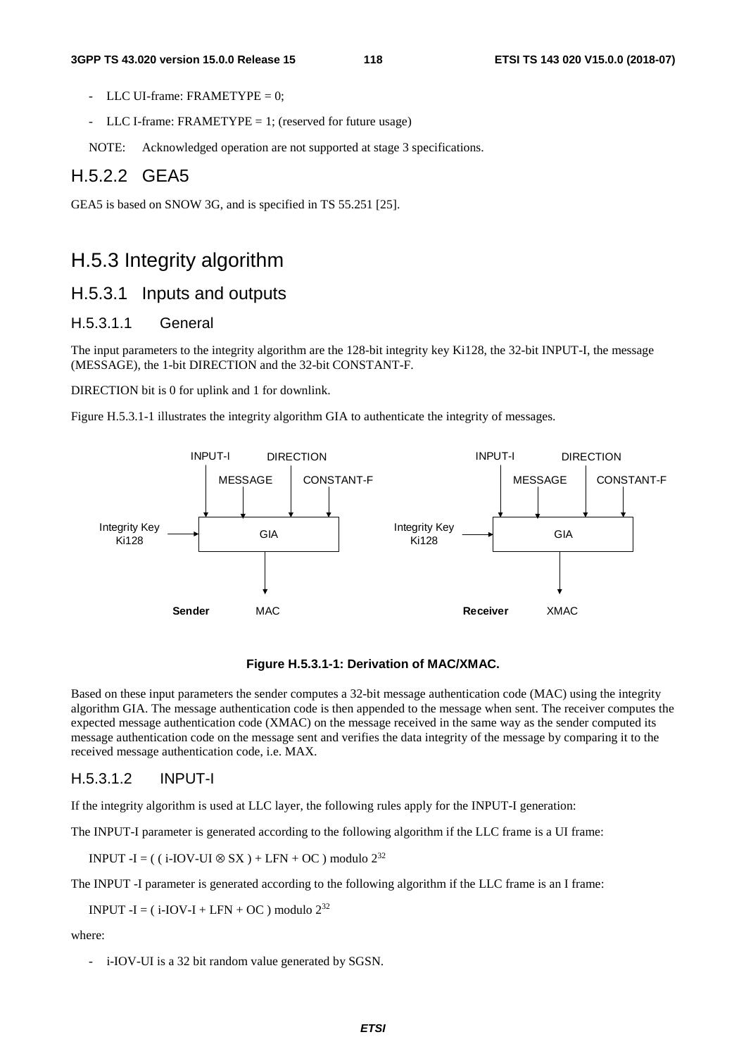- LLC UI-frame:  $FR AMETYPE = 0$ :
- LLC I-frame: FRAMETYPE = 1; (reserved for future usage)
- NOTE: Acknowledged operation are not supported at stage 3 specifications.

### H.5.2.2 GEA5

GEA5 is based on SNOW 3G, and is specified in TS 55.251 [25].

### H.5.3 Integrity algorithm

### H.5.3.1 Inputs and outputs

### H.5.3.1.1 General

The input parameters to the integrity algorithm are the 128-bit integrity key Ki128, the 32-bit INPUT-I, the message (MESSAGE), the 1-bit DIRECTION and the 32-bit CONSTANT-F.

DIRECTION bit is 0 for uplink and 1 for downlink.

Figure H.5.3.1-1 illustrates the integrity algorithm GIA to authenticate the integrity of messages.



#### **Figure H.5.3.1-1: Derivation of MAC/XMAC.**

Based on these input parameters the sender computes a 32-bit message authentication code (MAC) using the integrity algorithm GIA. The message authentication code is then appended to the message when sent. The receiver computes the expected message authentication code (XMAC) on the message received in the same way as the sender computed its message authentication code on the message sent and verifies the data integrity of the message by comparing it to the received message authentication code, i.e. MAX.

#### H.5.3.1.2 INPUT-I

If the integrity algorithm is used at LLC layer, the following rules apply for the INPUT-I generation:

The INPUT-I parameter is generated according to the following algorithm if the LLC frame is a UI frame:

INPUT -I = (  $(i$ -IOV-UI ⊗ SX ) + LFN + OC ) modulo 2<sup>32</sup>

The INPUT -I parameter is generated according to the following algorithm if the LLC frame is an I frame:

INPUT  $-I = (i-IOV-I + LFN + OC)$  modulo  $2^{32}$ 

where:

- i-IOV-UI is a 32 bit random value generated by SGSN.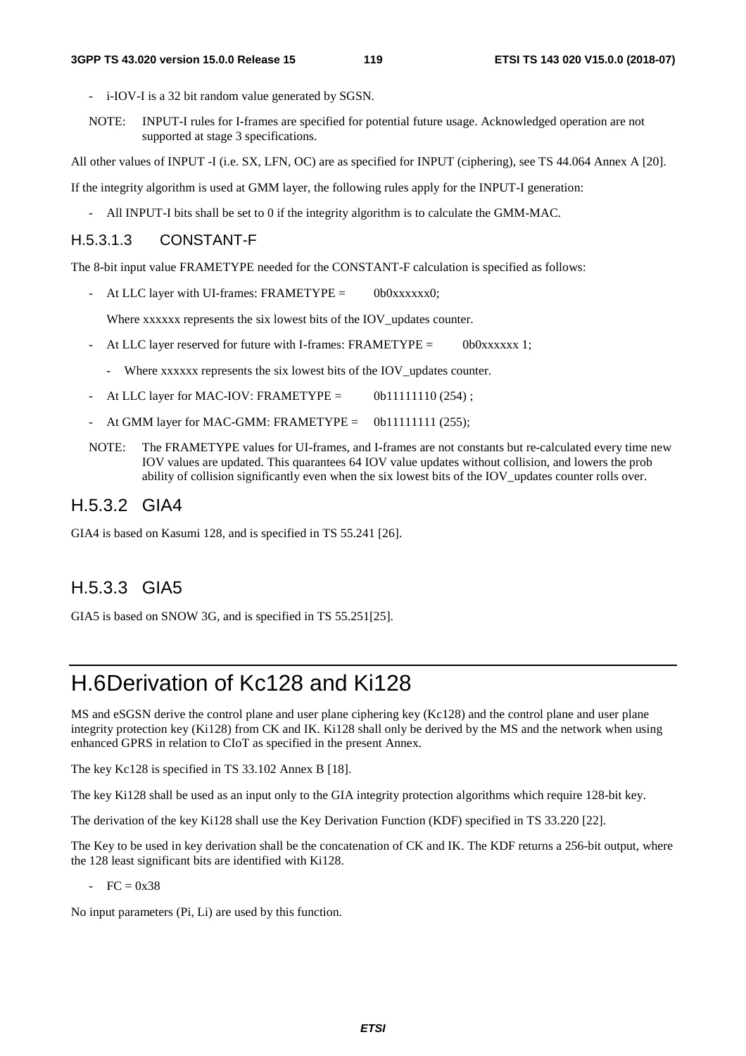- i-IOV-I is a 32 bit random value generated by SGSN.
- NOTE: INPUT-I rules for I-frames are specified for potential future usage. Acknowledged operation are not supported at stage 3 specifications.

All other values of INPUT -I (i.e. SX, LFN, OC) are as specified for INPUT (ciphering), see TS 44.064 Annex A [20].

If the integrity algorithm is used at GMM layer, the following rules apply for the INPUT-I generation:

- All INPUT-I bits shall be set to 0 if the integrity algorithm is to calculate the GMM-MAC.

### H.5.3.1.3 CONSTANT-F

The 8-bit input value FRAMETYPE needed for the CONSTANT-F calculation is specified as follows:

- At LLC layer with UI-frames: FRAMETYPE = 0b0xxxxxx0;

Where xxxxxx represents the six lowest bits of the IOV\_updates counter.

- At LLC layer reserved for future with I-frames: FRAMETYPE =  $0b0xxxxxx$  1;
	- Where xxxxxx represents the six lowest bits of the IOV updates counter.
- At LLC layer for MAC-IOV: FRAMETYPE =  $0b11111110(254)$ ;
- At GMM layer for MAC-GMM: FRAMETYPE =  $0b11111111 (255)$ ;
- NOTE: The FRAMETYPE values for UI-frames, and I-frames are not constants but re-calculated every time new IOV values are updated. This quarantees 64 IOV value updates without collision, and lowers the prob ability of collision significantly even when the six lowest bits of the IOV\_updates counter rolls over.

### H.5.3.2 GIA4

GIA4 is based on Kasumi 128, and is specified in TS 55.241 [26].

### H.5.3.3 GIA5

GIA5 is based on SNOW 3G, and is specified in TS 55.251[25].

## H.6 Derivation of Kc128 and Ki128

MS and eSGSN derive the control plane and user plane ciphering key (Kc128) and the control plane and user plane integrity protection key (Ki128) from CK and IK. Ki128 shall only be derived by the MS and the network when using enhanced GPRS in relation to CIoT as specified in the present Annex.

The key Kc128 is specified in TS 33.102 Annex B [18].

The key Ki128 shall be used as an input only to the GIA integrity protection algorithms which require 128-bit key.

The derivation of the key Ki128 shall use the Key Derivation Function (KDF) specified in TS 33.220 [22].

The Key to be used in key derivation shall be the concatenation of CK and IK. The KDF returns a 256-bit output, where the 128 least significant bits are identified with Ki128.

 $- FC = 0x38$ 

No input parameters (Pi, Li) are used by this function.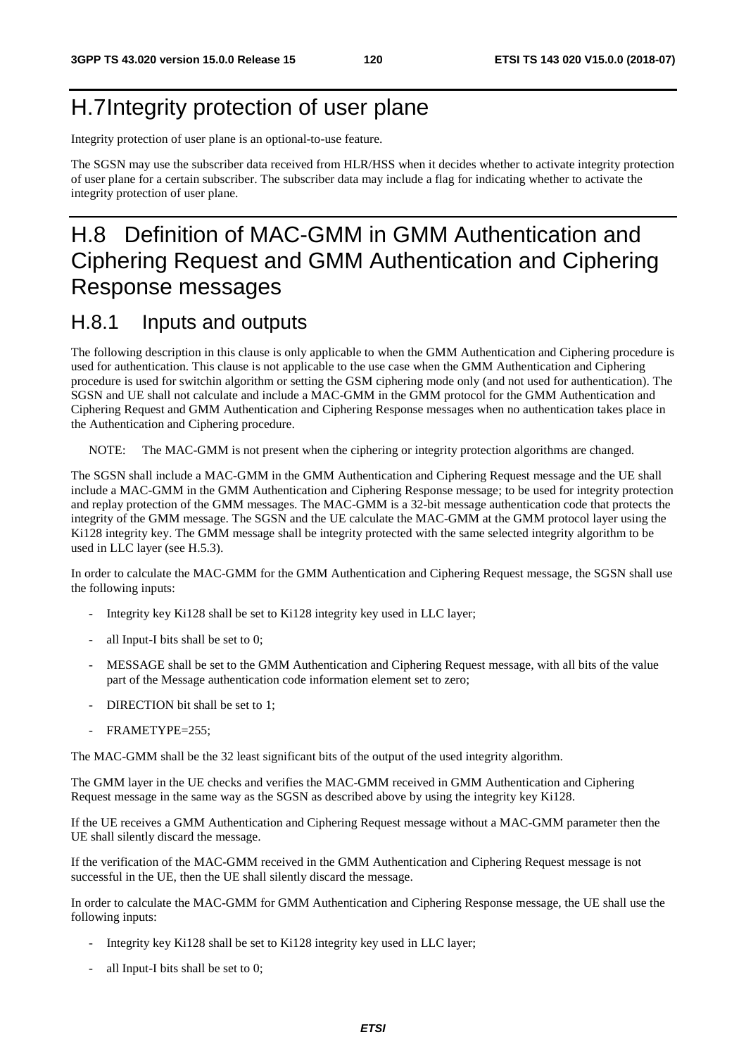# H.7 Integrity protection of user plane

Integrity protection of user plane is an optional-to-use feature.

The SGSN may use the subscriber data received from HLR/HSS when it decides whether to activate integrity protection of user plane for a certain subscriber. The subscriber data may include a flag for indicating whether to activate the integrity protection of user plane.

# H.8 Definition of MAC-GMM in GMM Authentication and Ciphering Request and GMM Authentication and Ciphering Response messages

### H.8.1 Inputs and outputs

The following description in this clause is only applicable to when the GMM Authentication and Ciphering procedure is used for authentication. This clause is not applicable to the use case when the GMM Authentication and Ciphering procedure is used for switchin algorithm or setting the GSM ciphering mode only (and not used for authentication). The SGSN and UE shall not calculate and include a MAC-GMM in the GMM protocol for the GMM Authentication and Ciphering Request and GMM Authentication and Ciphering Response messages when no authentication takes place in the Authentication and Ciphering procedure.

NOTE: The MAC-GMM is not present when the ciphering or integrity protection algorithms are changed.

The SGSN shall include a MAC-GMM in the GMM Authentication and Ciphering Request message and the UE shall include a MAC-GMM in the GMM Authentication and Ciphering Response message; to be used for integrity protection and replay protection of the GMM messages. The MAC-GMM is a 32-bit message authentication code that protects the integrity of the GMM message. The SGSN and the UE calculate the MAC-GMM at the GMM protocol layer using the Ki128 integrity key. The GMM message shall be integrity protected with the same selected integrity algorithm to be used in LLC layer (see H.5.3).

In order to calculate the MAC-GMM for the GMM Authentication and Ciphering Request message, the SGSN shall use the following inputs:

- Integrity key Ki128 shall be set to Ki128 integrity key used in LLC layer;
- all Input-I bits shall be set to 0:
- MESSAGE shall be set to the GMM Authentication and Ciphering Request message, with all bits of the value part of the Message authentication code information element set to zero;
- DIRECTION bit shall be set to 1;
- FRAMETYPE=255;

The MAC-GMM shall be the 32 least significant bits of the output of the used integrity algorithm.

The GMM layer in the UE checks and verifies the MAC-GMM received in GMM Authentication and Ciphering Request message in the same way as the SGSN as described above by using the integrity key Ki128.

If the UE receives a GMM Authentication and Ciphering Request message without a MAC-GMM parameter then the UE shall silently discard the message.

If the verification of the MAC-GMM received in the GMM Authentication and Ciphering Request message is not successful in the UE, then the UE shall silently discard the message.

In order to calculate the MAC-GMM for GMM Authentication and Ciphering Response message, the UE shall use the following inputs:

- Integrity key Ki128 shall be set to Ki128 integrity key used in LLC layer;
- all Input-I bits shall be set to  $0$ ;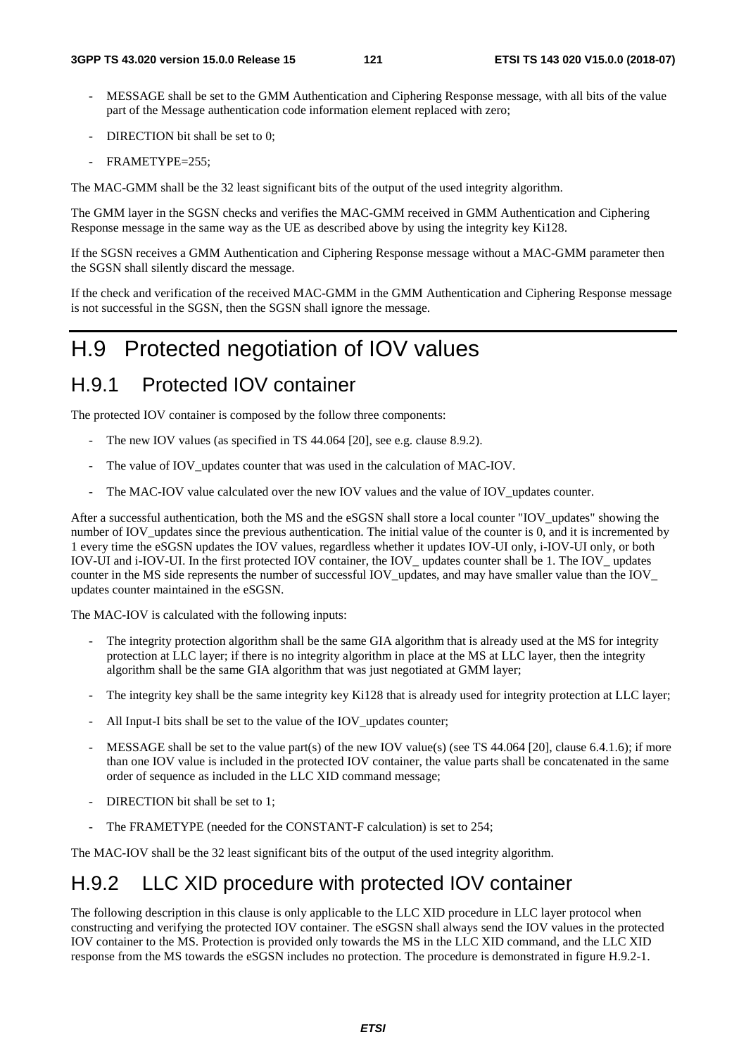- MESSAGE shall be set to the GMM Authentication and Ciphering Response message, with all bits of the value part of the Message authentication code information element replaced with zero;
- DIRECTION bit shall be set to 0;
- FRAMETYPE=255:

The MAC-GMM shall be the 32 least significant bits of the output of the used integrity algorithm.

The GMM layer in the SGSN checks and verifies the MAC-GMM received in GMM Authentication and Ciphering Response message in the same way as the UE as described above by using the integrity key Ki128.

If the SGSN receives a GMM Authentication and Ciphering Response message without a MAC-GMM parameter then the SGSN shall silently discard the message.

If the check and verification of the received MAC-GMM in the GMM Authentication and Ciphering Response message is not successful in the SGSN, then the SGSN shall ignore the message.

## H.9 Protected negotiation of IOV values

### H.9.1 Protected IOV container

The protected IOV container is composed by the follow three components:

- The new IOV values (as specified in TS 44.064 [20], see e.g. clause 8.9.2).
- The value of IOV\_updates counter that was used in the calculation of MAC-IOV.
- The MAC-IOV value calculated over the new IOV values and the value of IOV updates counter.

After a successful authentication, both the MS and the eSGSN shall store a local counter "IOV\_updates" showing the number of IOV updates since the previous authentication. The initial value of the counter is 0, and it is incremented by 1 every time the eSGSN updates the IOV values, regardless whether it updates IOV-UI only, i-IOV-UI only, or both IOV-UI and i-IOV-UI. In the first protected IOV container, the IOV\_ updates counter shall be 1. The IOV\_ updates counter in the MS side represents the number of successful IOV\_updates, and may have smaller value than the IOV\_ updates counter maintained in the eSGSN.

The MAC-IOV is calculated with the following inputs:

- The integrity protection algorithm shall be the same GIA algorithm that is already used at the MS for integrity protection at LLC layer; if there is no integrity algorithm in place at the MS at LLC layer, then the integrity algorithm shall be the same GIA algorithm that was just negotiated at GMM layer;
- The integrity key shall be the same integrity key Ki128 that is already used for integrity protection at LLC layer;
- All Input-I bits shall be set to the value of the IOV updates counter;
- MESSAGE shall be set to the value part(s) of the new IOV value(s) (see TS 44.064 [20], clause 6.4.1.6); if more than one IOV value is included in the protected IOV container, the value parts shall be concatenated in the same order of sequence as included in the LLC XID command message;
- DIRECTION bit shall be set to 1;
- The FRAMETYPE (needed for the CONSTANT-F calculation) is set to 254;

The MAC-IOV shall be the 32 least significant bits of the output of the used integrity algorithm.

## H.9.2 LLC XID procedure with protected IOV container

The following description in this clause is only applicable to the LLC XID procedure in LLC layer protocol when constructing and verifying the protected IOV container. The eSGSN shall always send the IOV values in the protected IOV container to the MS. Protection is provided only towards the MS in the LLC XID command, and the LLC XID response from the MS towards the eSGSN includes no protection. The procedure is demonstrated in figure H.9.2-1.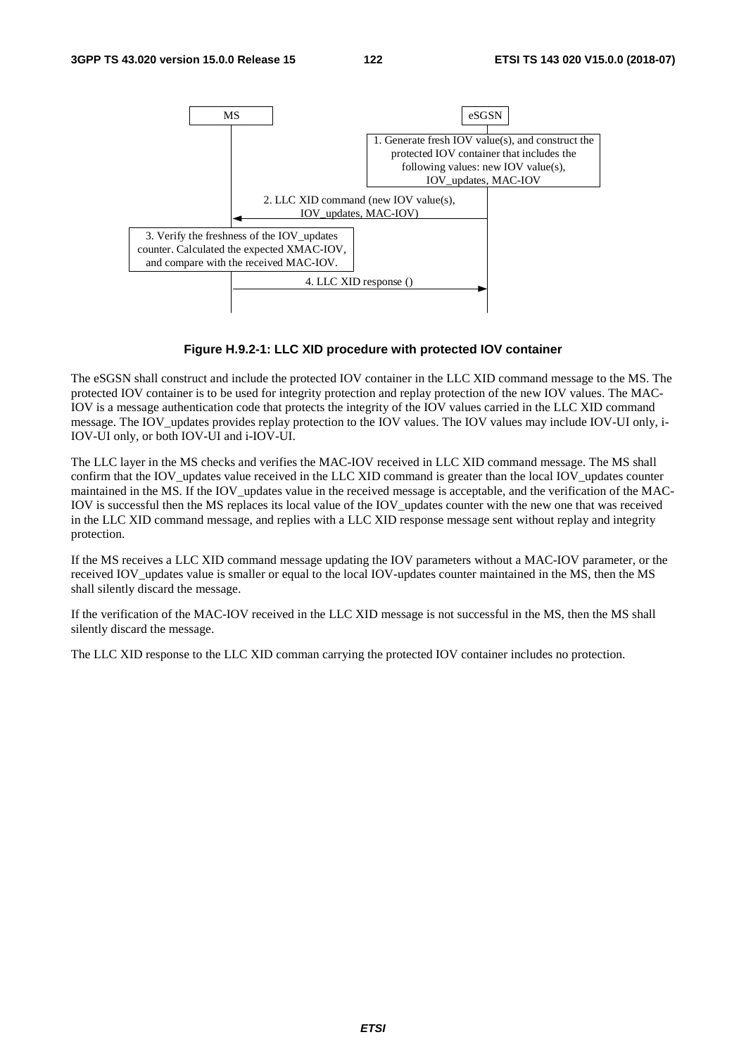

#### **Figure H.9.2-1: LLC XID procedure with protected IOV container**

The eSGSN shall construct and include the protected IOV container in the LLC XID command message to the MS. The protected IOV container is to be used for integrity protection and replay protection of the new IOV values. The MAC-IOV is a message authentication code that protects the integrity of the IOV values carried in the LLC XID command message. The IOV\_updates provides replay protection to the IOV values. The IOV values may include IOV-UI only, i-IOV-UI only, or both IOV-UI and i-IOV-UI.

The LLC layer in the MS checks and verifies the MAC-IOV received in LLC XID command message. The MS shall confirm that the IOV updates value received in the LLC XID command is greater than the local IOV updates counter maintained in the MS. If the IOV\_updates value in the received message is acceptable, and the verification of the MAC-IOV is successful then the MS replaces its local value of the IOV\_updates counter with the new one that was received in the LLC XID command message, and replies with a LLC XID response message sent without replay and integrity protection.

If the MS receives a LLC XID command message updating the IOV parameters without a MAC-IOV parameter, or the received IOV updates value is smaller or equal to the local IOV-updates counter maintained in the MS, then the MS shall silently discard the message.

If the verification of the MAC-IOV received in the LLC XID message is not successful in the MS, then the MS shall silently discard the message.

The LLC XID response to the LLC XID comman carrying the protected IOV container includes no protection.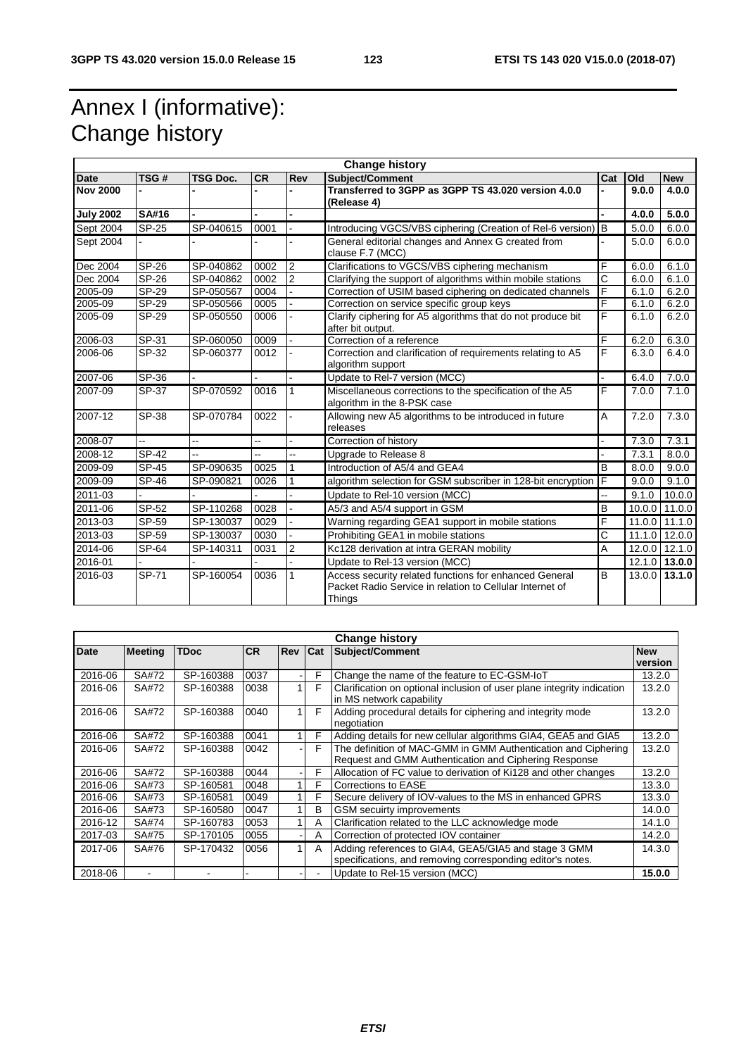# Annex I (informative): Change history

| <b>Change history</b> |              |                 |           |                |                                                                                                                              |     |       |                 |
|-----------------------|--------------|-----------------|-----------|----------------|------------------------------------------------------------------------------------------------------------------------------|-----|-------|-----------------|
| Date                  | TSG#         | <b>TSG Doc.</b> | <b>CR</b> | Rev            | Subject/Comment                                                                                                              | Cat | Old   | <b>New</b>      |
| <b>Nov 2000</b>       |              |                 |           |                | Transferred to 3GPP as 3GPP TS 43,020 version 4,0,0<br>(Release 4)                                                           |     | 9.0.0 | 4.0.0           |
| <b>July 2002</b>      | <b>SA#16</b> |                 |           |                |                                                                                                                              |     | 4.0.0 | 5.0.0           |
| Sept 2004             | <b>SP-25</b> | SP-040615       | 0001      | $\mathbf{r}$   | Introducing VGCS/VBS ciphering (Creation of Rel-6 version)   B                                                               |     | 5.0.0 | 6.0.0           |
| Sept 2004             |              |                 |           |                | General editorial changes and Annex G created from<br>clause F.7 (MCC)                                                       |     | 5.0.0 | 6.0.0           |
| Dec 2004              | SP-26        | SP-040862       | 0002      | $\overline{2}$ | Clarifications to VGCS/VBS ciphering mechanism                                                                               | F   | 6.0.0 | 6.1.0           |
| Dec 2004              | <b>SP-26</b> | SP-040862       | 0002      | $\overline{2}$ | Clarifying the support of algorithms within mobile stations                                                                  | C   | 6.0.0 | 6.1.0           |
| 2005-09               | $SP-29$      | SP-050567       | 0004      |                | Correction of USIM based ciphering on dedicated channels                                                                     | F   | 6.1.0 | 6.2.0           |
| 2005-09               | $SP-29$      | SP-050566       | 0005      |                | Correction on service specific group keys                                                                                    | F   | 6.1.0 | 6.2.0           |
| 2005-09               | SP-29        | SP-050550       | 0006      |                | Clarify ciphering for A5 algorithms that do not produce bit<br>after bit output.                                             | F   | 6.1.0 | 6.2.0           |
| 2006-03               | SP-31        | SP-060050       | 0009      |                | Correction of a reference                                                                                                    | F   | 6.2.0 | 6.3.0           |
| 2006-06               | $SP-32$      | SP-060377       | 0012      |                | Correction and clarification of requirements relating to A5<br>algorithm support                                             | F   | 6.3.0 | 6.4.0           |
| 2007-06               | $SP-36$      |                 |           |                | Update to Rel-7 version (MCC)                                                                                                |     | 6.4.0 | 7.0.0           |
| 2007-09               | SP-37        | SP-070592       | 0016      |                | Miscellaneous corrections to the specification of the A5<br>algorithm in the 8-PSK case                                      | F   | 7.0.0 | 7.1.0           |
| 2007-12               | SP-38        | SP-070784       | 0022      |                | Allowing new A5 algorithms to be introduced in future<br>releases                                                            | A   | 7.2.0 | 7.3.0           |
| 2008-07               | L.           | --              | ш.        |                | Correction of history                                                                                                        |     | 7.3.0 | 7.3.1           |
| 2008-12               | SP-42        | --              | ш.        | $\overline{a}$ | Upgrade to Release 8                                                                                                         |     | 7.3.1 | 8.0.0           |
| 2009-09               | $SP-45$      | SP-090635       | 0025      | $\mathbf{1}$   | Introduction of A5/4 and GEA4                                                                                                | B   | 8.0.0 | 9.0.0           |
| 2009-09               | SP-46        | SP-090821       | 0026      |                | algorithm selection for GSM subscriber in 128-bit encryption                                                                 | F   | 9.0.0 | 9.1.0           |
| 2011-03               |              |                 |           |                | Update to Rel-10 version (MCC)                                                                                               | Щ,  | 9.1.0 | 10.0.0          |
| 2011-06               | SP-52        | SP-110268       | 0028      |                | A5/3 and A5/4 support in GSM                                                                                                 | B   |       | 10.0.0 11.0.0   |
| 2013-03               | SP-59        | SP-130037       | 0029      |                | Warning regarding GEA1 support in mobile stations                                                                            | F   |       | $11.0.0$ 11.1.0 |
| 2013-03               | SP-59        | SP-130037       | 0030      |                | Prohibiting GEA1 in mobile stations                                                                                          | С   |       | 11.1.0 12.0.0   |
| 2014-06               | SP-64        | SP-140311       | 0031      | 2              | Kc128 derivation at intra GERAN mobility                                                                                     | A   |       | 12.0.0 12.1.0   |
| 2016-01               |              |                 |           |                | Update to Rel-13 version (MCC)                                                                                               |     |       | 12.1.0 13.0.0   |
| 2016-03               | SP-71        | SP-160054       | 0036      | 1              | Access security related functions for enhanced General<br>Packet Radio Service in relation to Cellular Internet of<br>Things | B   |       | $13.0.0$ 13.1.0 |

| <b>Change history</b> |                |             |      |         |                          |                                                                        |         |
|-----------------------|----------------|-------------|------|---------|--------------------------|------------------------------------------------------------------------|---------|
| Date                  | <b>Meeting</b> | <b>TDoc</b> | ICR. | Rev Cat |                          | <b>Subject/Comment</b>                                                 |         |
|                       |                |             |      |         |                          |                                                                        | version |
| 2016-06               | SA#72          | SP-160388   | 0037 |         | F                        | Change the name of the feature to EC-GSM-IoT                           | 13.2.0  |
| 2016-06               | SA#72          | SP-160388   | 0038 |         | F                        | Clarification on optional inclusion of user plane integrity indication | 13.2.0  |
|                       |                |             |      |         |                          | in MS network capability                                               |         |
| 2016-06               | SA#72          | SP-160388   | 0040 |         | F                        | Adding procedural details for ciphering and integrity mode             | 13.2.0  |
|                       |                |             |      |         |                          | negotiation                                                            |         |
| 2016-06               | SA#72          | SP-160388   | 0041 |         | F                        | Adding details for new cellular algorithms GIA4, GEA5 and GIA5         | 13.2.0  |
| 2016-06               | SA#72          | SP-160388   | 0042 |         | F                        | The definition of MAC-GMM in GMM Authentication and Ciphering          | 13.2.0  |
|                       |                |             |      |         |                          | Request and GMM Authentication and Ciphering Response                  |         |
| 2016-06               | SA#72          | SP-160388   | 0044 |         | F                        | Allocation of FC value to derivation of Ki128 and other changes        | 13.2.0  |
| 2016-06               | SA#73          | SP-160581   | 0048 |         | F                        | Corrections to EASE                                                    | 13.3.0  |
| 2016-06               | SA#73          | SP-160581   | 0049 |         | F                        | Secure delivery of IOV-values to the MS in enhanced GPRS               | 13.3.0  |
| 2016-06               | SA#73          | SP-160580   | 0047 |         | B                        | GSM secuirty improvements                                              | 14.0.0  |
| 2016-12               | SA#74          | SP-160783   | 0053 |         | A                        | Clarification related to the LLC acknowledge mode                      | 14.1.0  |
| 2017-03               | SA#75          | SP-170105   | 0055 |         | A                        | Correction of protected IOV container                                  | 14.2.0  |
| 2017-06               | SA#76          | SP-170432   | 0056 |         | A                        | Adding references to GIA4, GEA5/GIA5 and stage 3 GMM                   | 14.3.0  |
|                       |                |             |      |         |                          | specifications, and removing corresponding editor's notes.             |         |
| 2018-06               |                |             |      |         | $\overline{\phantom{0}}$ | Update to Rel-15 version (MCC)                                         | 15.0.0  |